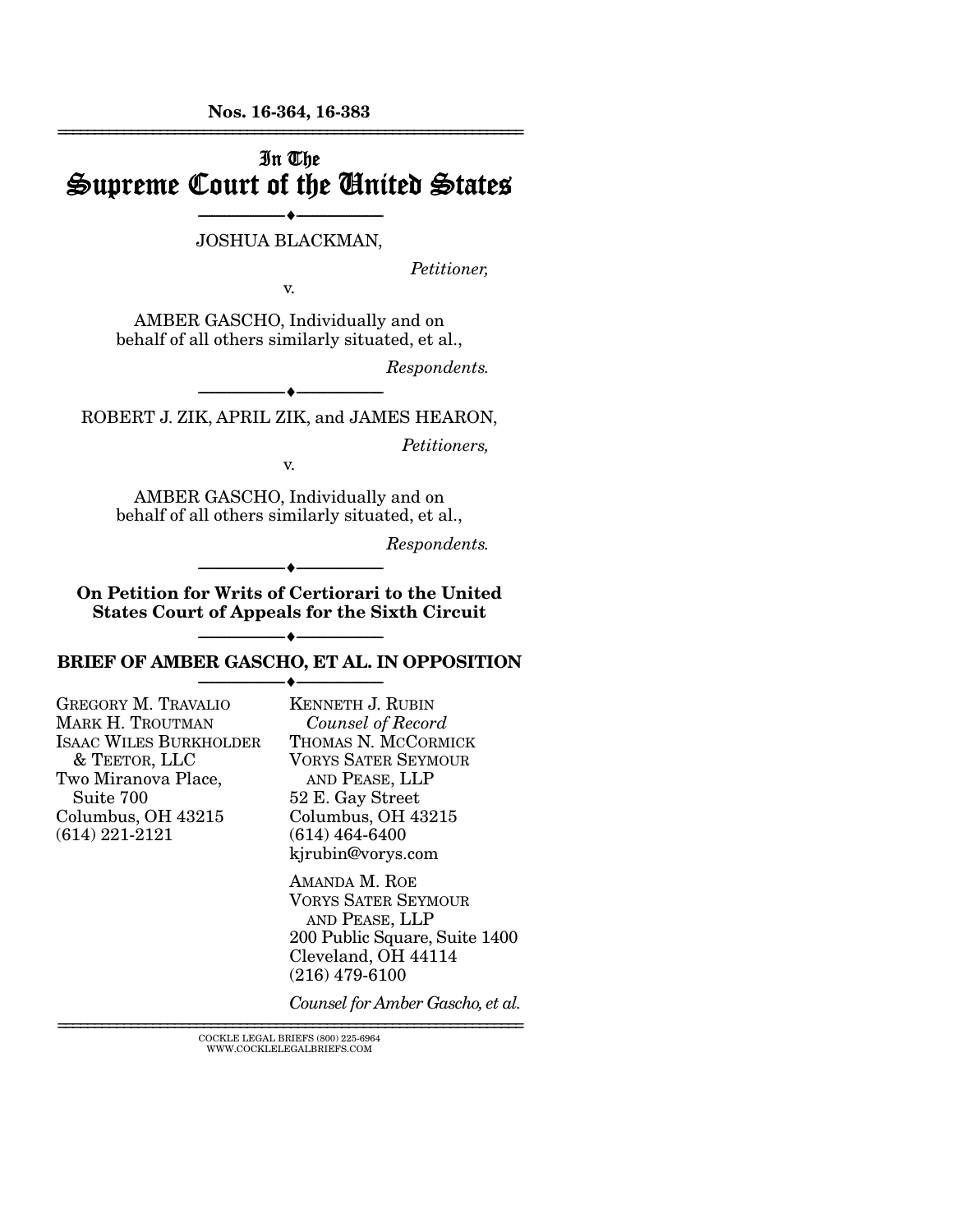Nos. 16-364, 16-383 ================================================================

## In The Supreme Court of the United States

#### --------------------------------- --------------------------------- JOSHUA BLACKMAN,

*Petitioner,* 

v.

AMBER GASCHO, Individually and on behalf of all others similarly situated, et al.,

*Respondents.* 

--------------------------------- --------------------------------- ROBERT J. ZIK, APRIL ZIK, and JAMES HEARON,

*Petitioners,* 

v.

AMBER GASCHO, Individually and on behalf of all others similarly situated, et al.,

*Respondents.* 

On Petition for Writs of Certiorari to the United States Court of Appeals for the Sixth Circuit

--------------------------------- ---------------------------------

#### --------------------------------- --------------------------------- BRIEF OF AMBER GASCHO, ET AL. IN OPPOSITION --------------------------------- ---------------------------------

| <b>GREGORY M. TRAVALIO</b>    | K  |
|-------------------------------|----|
| <b>MARK H. TROUTMAN</b>       |    |
| <b>ISAAC WILES BURKHOLDER</b> | Т  |
| & TEETOR, LLC                 | V  |
| Two Miranova Place,           |    |
| Suite 700                     | 5. |
| Columbus, OH 43215            | С  |
| $(614) 221 - 2121$            | (6 |
|                               |    |

KENNETH J. RUBIN *Counsel of Record* HOMAS N. MCCORMICK ORYS SATER SEYMOUR AND PEASE, LLP 2 E. Gay Street Columbus, OH 43215 (614) 464-6400 kjrubin@vorys.com

AMANDA M. ROE VORYS SATER SEYMOUR AND PEASE, LLP 200 Public Square, Suite 1400 Cleveland, OH 44114 (216) 479-6100

*Counsel for Amber Gascho, et al.*

================================================================ COCKLE LEGAL BRIEFS (800) 225-6964 WWW.COCKLELEGALBRIEFS.COM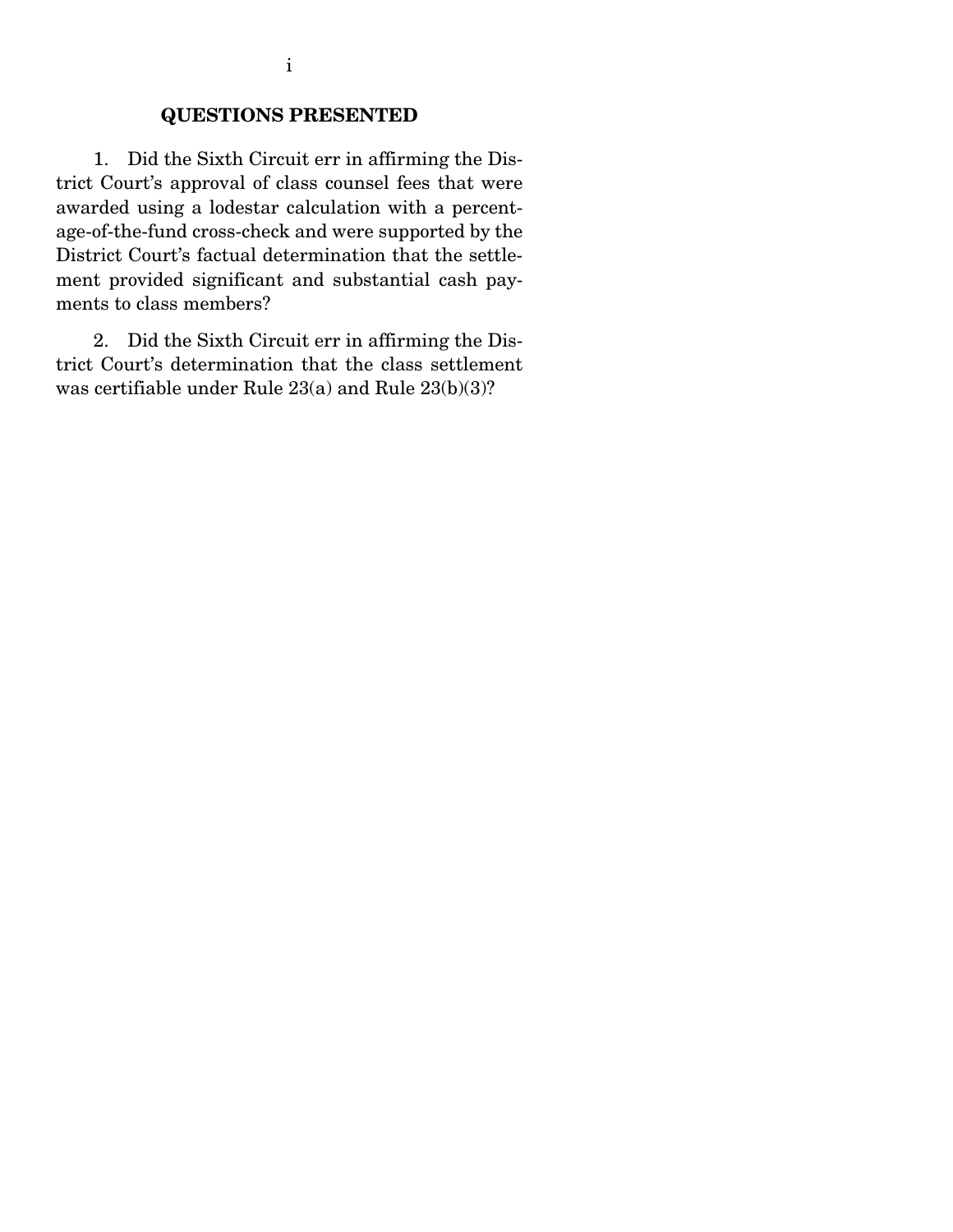### QUESTIONS PRESENTED

 1. Did the Sixth Circuit err in affirming the District Court's approval of class counsel fees that were awarded using a lodestar calculation with a percentage-of-the-fund cross-check and were supported by the District Court's factual determination that the settlement provided significant and substantial cash payments to class members?

 2. Did the Sixth Circuit err in affirming the District Court's determination that the class settlement was certifiable under Rule 23(a) and Rule 23(b)(3)?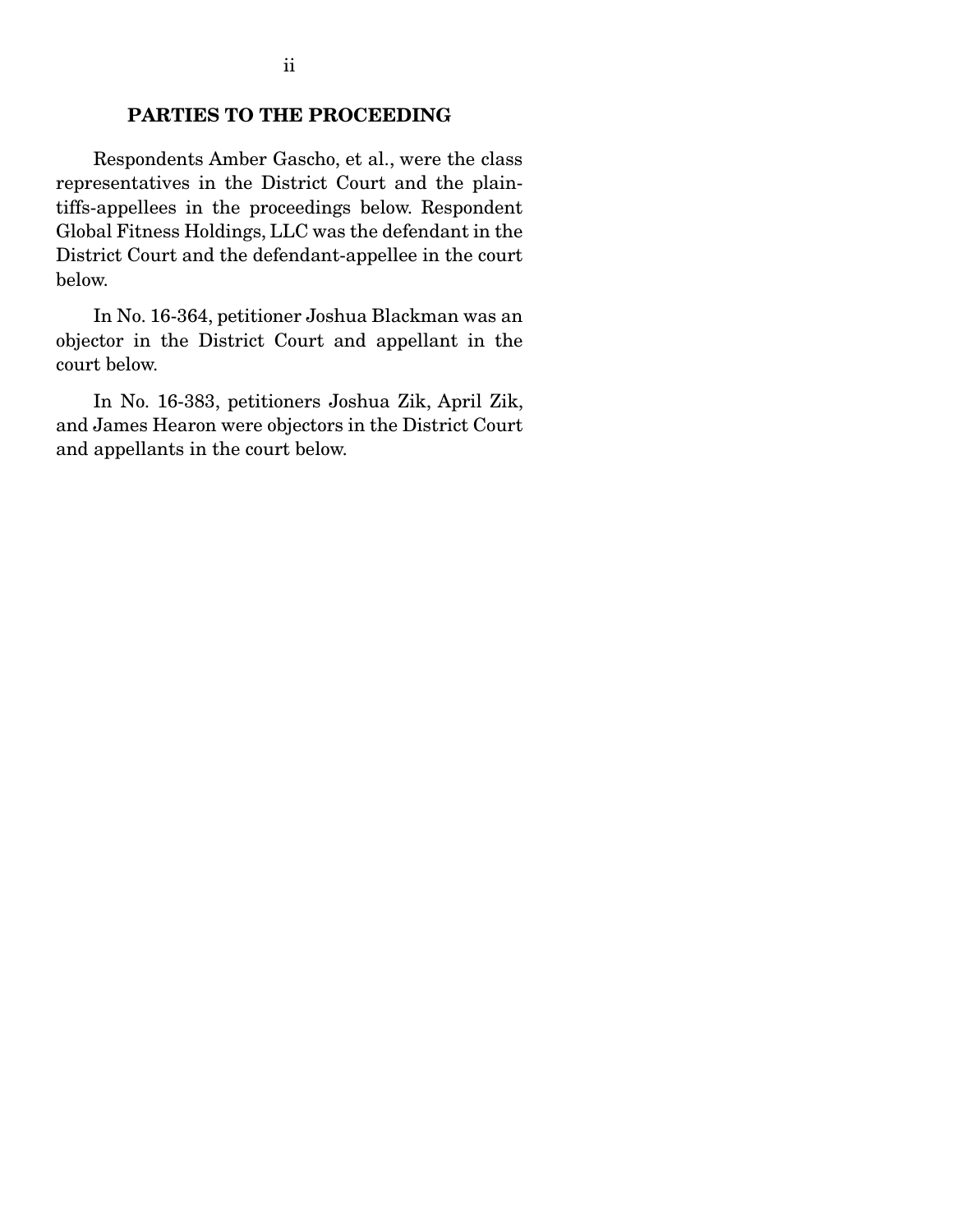### PARTIES TO THE PROCEEDING

 Respondents Amber Gascho, et al., were the class representatives in the District Court and the plaintiffs-appellees in the proceedings below. Respondent Global Fitness Holdings, LLC was the defendant in the District Court and the defendant-appellee in the court below.

 In No. 16-364, petitioner Joshua Blackman was an objector in the District Court and appellant in the court below.

 In No. 16-383, petitioners Joshua Zik, April Zik, and James Hearon were objectors in the District Court and appellants in the court below.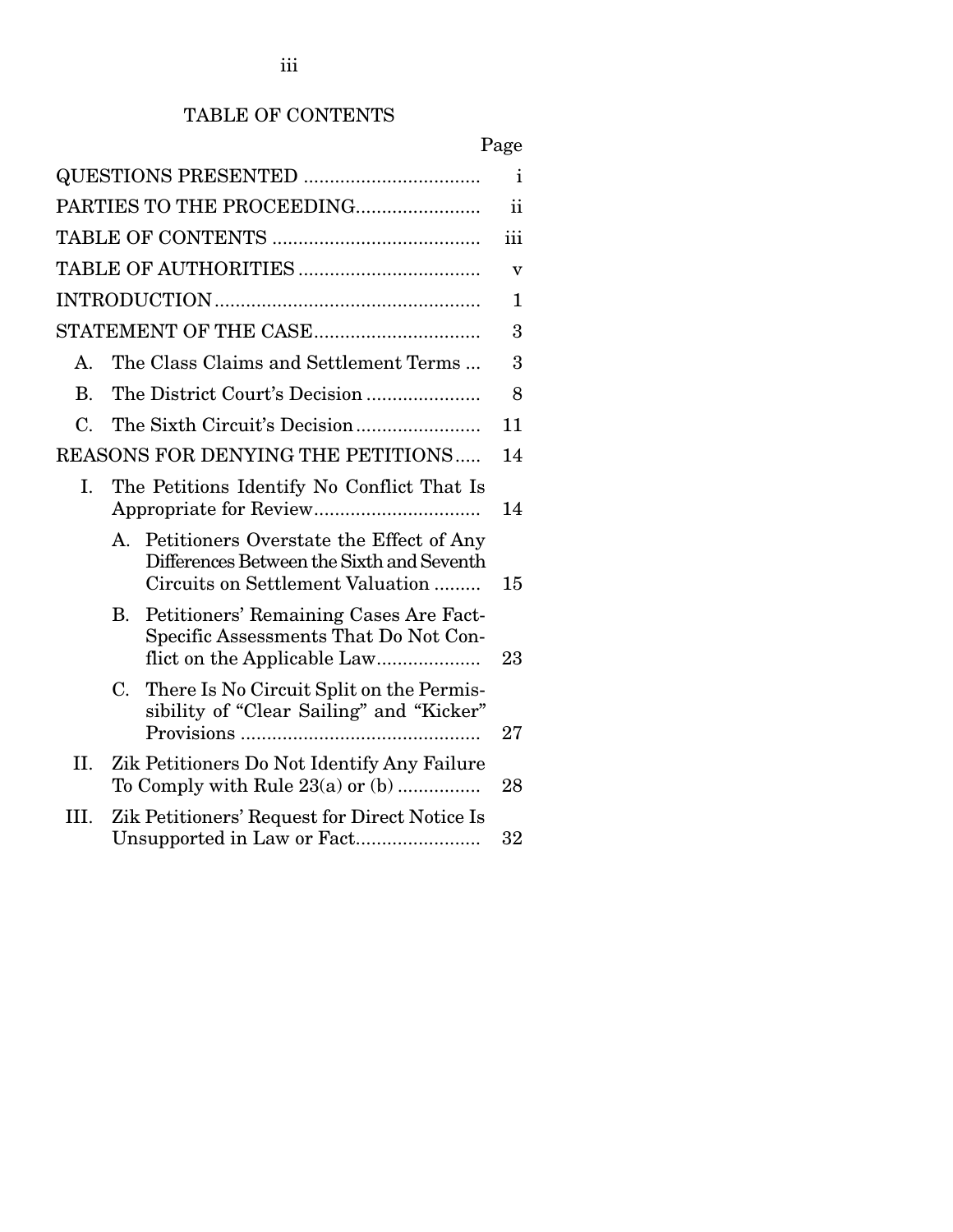# TABLE OF CONTENTS

# Page

|                 |                                                                                                                                         | $\mathbf{i}$            |
|-----------------|-----------------------------------------------------------------------------------------------------------------------------------------|-------------------------|
|                 | PARTIES TO THE PROCEEDING                                                                                                               | ii                      |
|                 |                                                                                                                                         | iii                     |
|                 |                                                                                                                                         | $\overline{\mathbf{V}}$ |
|                 |                                                                                                                                         | 1                       |
|                 |                                                                                                                                         | 3                       |
| А.              | The Class Claims and Settlement Terms                                                                                                   | 3                       |
| <b>B.</b>       |                                                                                                                                         | 8                       |
| $\mathcal{C}$ . |                                                                                                                                         | 11                      |
|                 | <b>REASONS FOR DENYING THE PETITIONS</b>                                                                                                | 14                      |
| Ι.              | The Petitions Identify No Conflict That Is                                                                                              | 14                      |
|                 | Petitioners Overstate the Effect of Any<br>$A_{\cdot}$<br>Differences Between the Sixth and Seventh<br>Circuits on Settlement Valuation | 15                      |
|                 | Petitioners' Remaining Cases Are Fact-<br>В.<br>Specific Assessments That Do Not Con-                                                   | 23                      |
|                 | There Is No Circuit Split on the Permis-<br>C.<br>sibility of "Clear Sailing" and "Kicker"                                              | 27                      |
| II.             | Zik Petitioners Do Not Identify Any Failure                                                                                             | 28                      |
| III.            | Zik Petitioners' Request for Direct Notice Is                                                                                           | 32                      |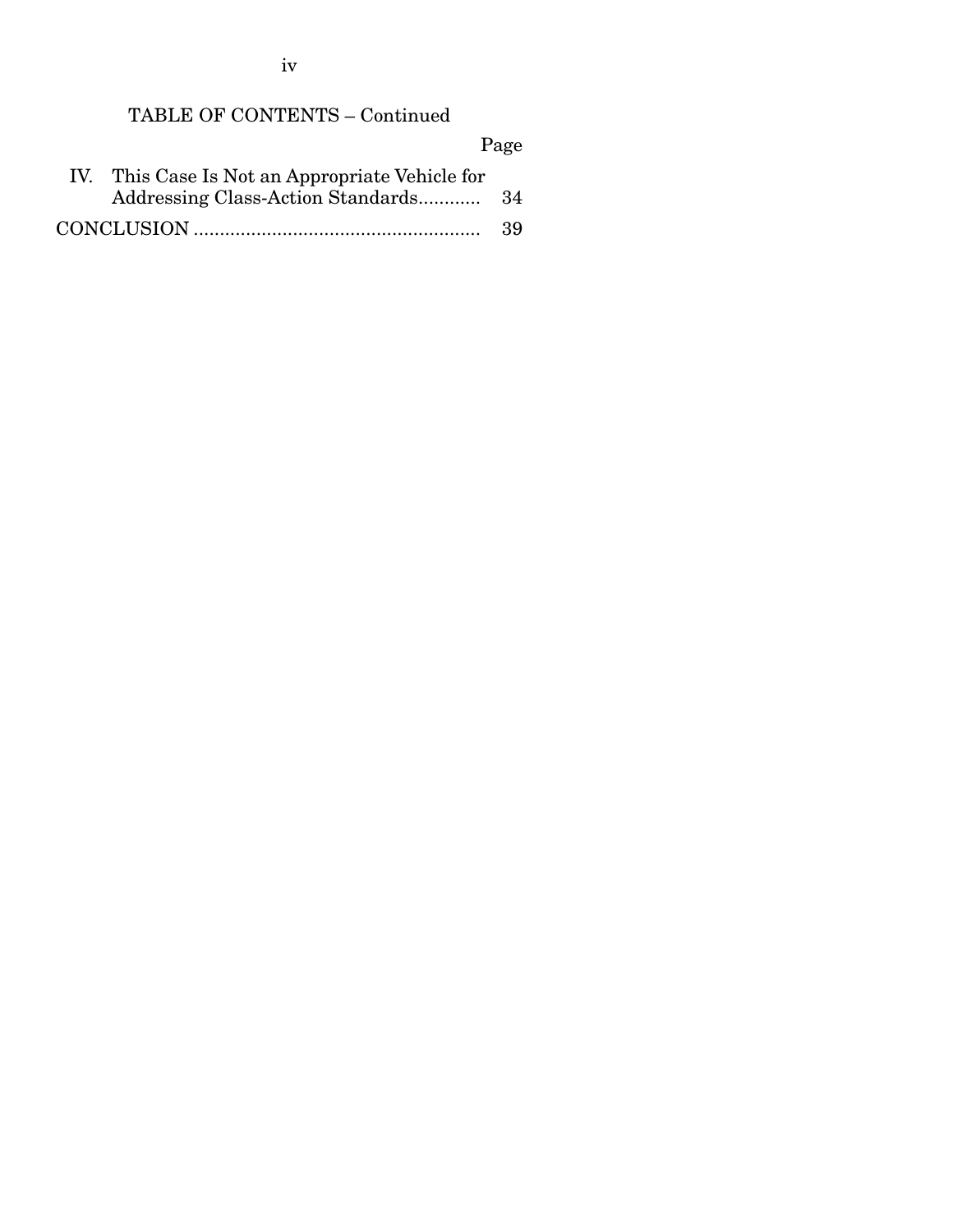iv

# TABLE OF CONTENTS – Continued

Page

| IV. This Case Is Not an Appropriate Vehicle for |     |
|-------------------------------------------------|-----|
|                                                 |     |
|                                                 | -39 |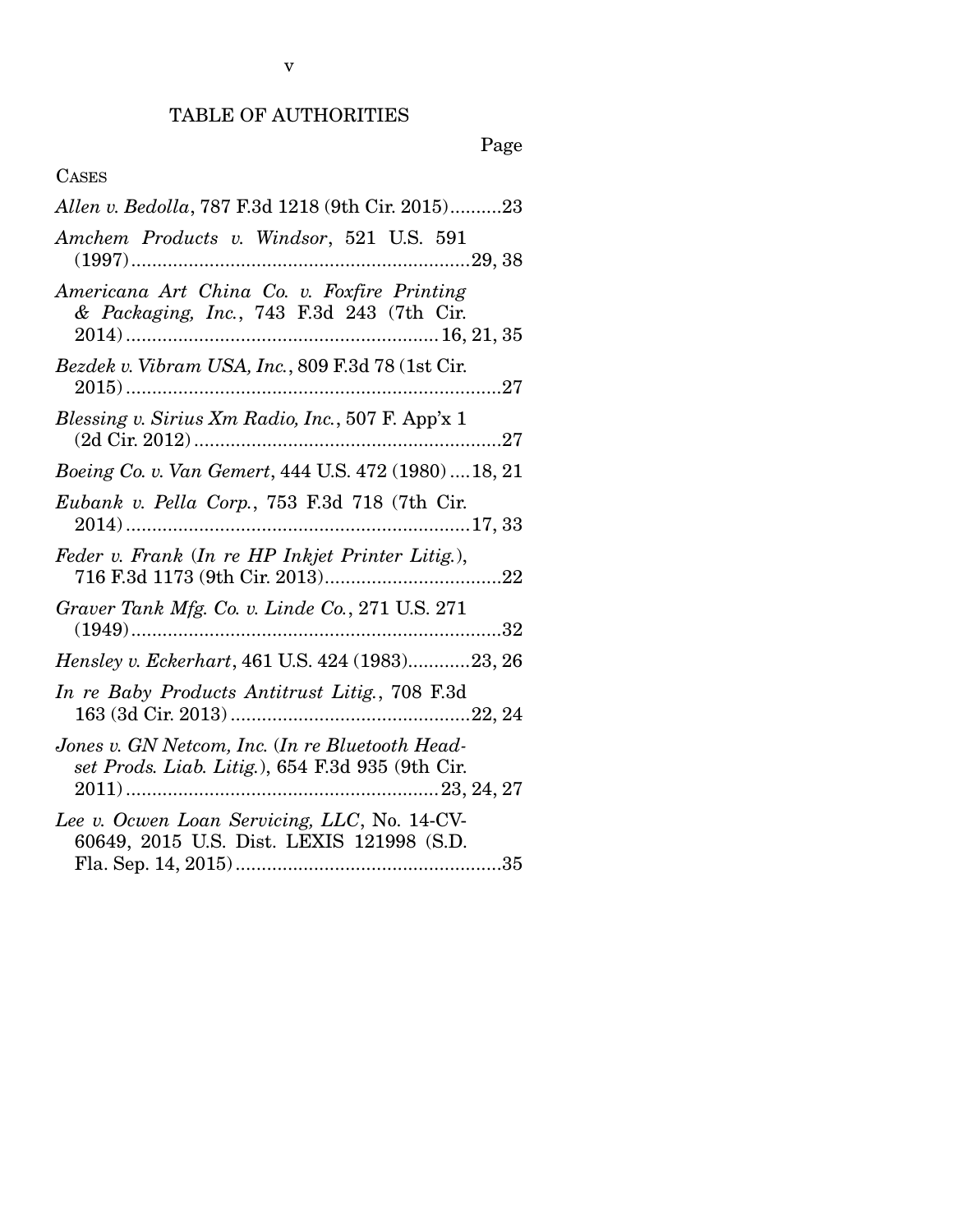## TABLE OF AUTHORITIES

# Page

### CASES

| Allen v. Bedolla, 787 F.3d 1218 (9th Cir. 2015)23                                                   |
|-----------------------------------------------------------------------------------------------------|
| Amchem Products v. Windsor, 521 U.S. 591                                                            |
| Americana Art China Co. v. Foxfire Printing<br>& Packaging, Inc., 743 F.3d 243 (7th Cir.            |
| Bezdek v. Vibram USA, Inc., 809 F.3d 78 (1st Cir.                                                   |
| Blessing v. Sirius Xm Radio, Inc., 507 F. App'x 1                                                   |
| Boeing Co. v. Van Gemert, 444 U.S. 472 (1980)  18, 21                                               |
| Eubank v. Pella Corp., 753 F.3d 718 (7th Cir.                                                       |
| Feder v. Frank (In re HP Inkjet Printer Litig.),                                                    |
| Graver Tank Mfg. Co. v. Linde Co., 271 U.S. 271                                                     |
| <i>Hensley v. Eckerhart</i> , 461 U.S. 424 (1983)23, 26                                             |
| In re Baby Products Antitrust Litig., 708 F.3d                                                      |
| Jones v. GN Netcom, Inc. (In re Bluetooth Head-<br>set Prods. Liab. Litig.), 654 F.3d 935 (9th Cir. |
| Lee v. Ocwen Loan Servicing, LLC, No. 14-CV-<br>60649, 2015 U.S. Dist. LEXIS 121998 (S.D.           |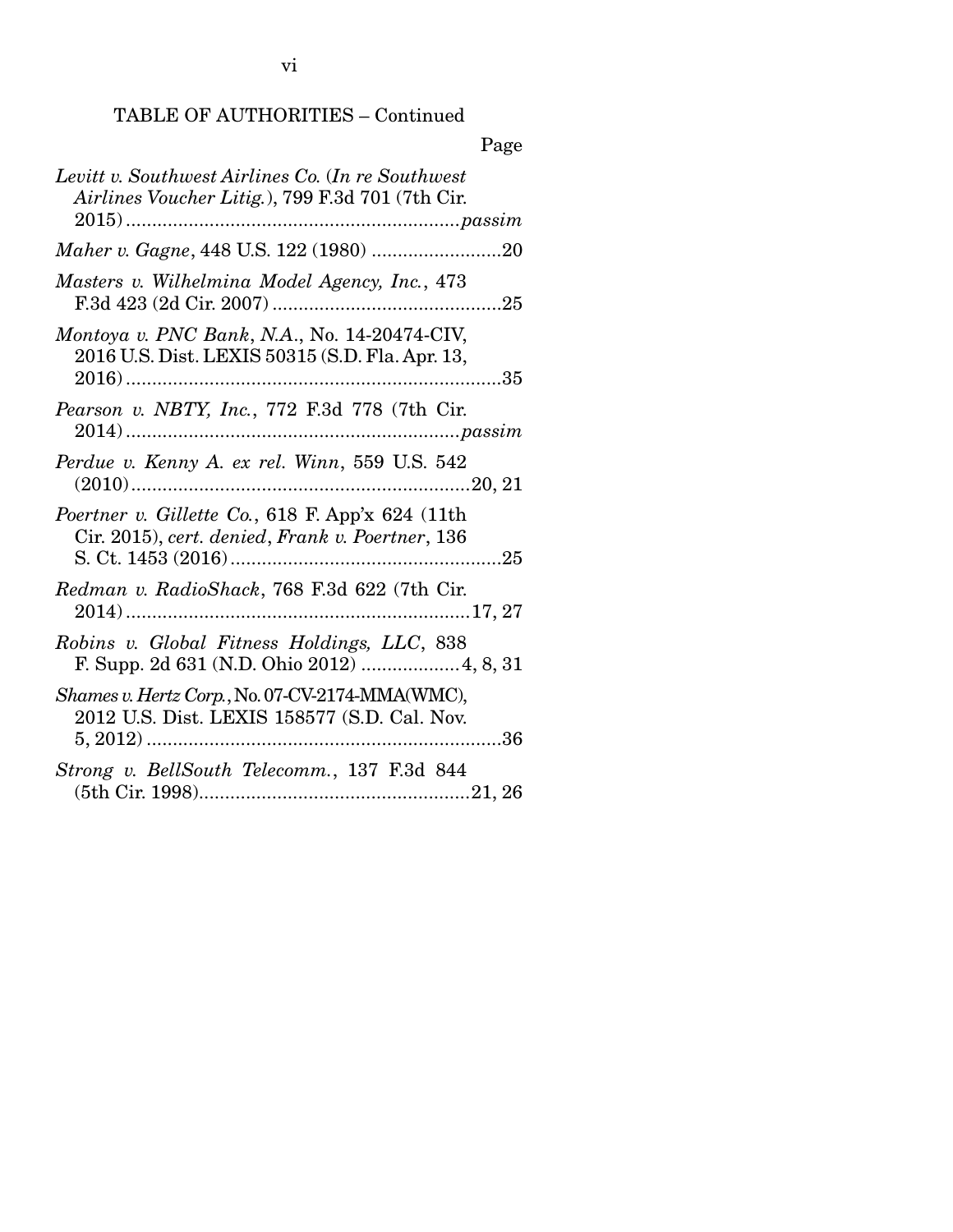## TABLE OF AUTHORITIES – Continued

|                                                                                                         | rage |
|---------------------------------------------------------------------------------------------------------|------|
| Levitt v. Southwest Airlines Co. (In re Southwest<br>Airlines Voucher Litig.), 799 F.3d 701 (7th Cir.   |      |
|                                                                                                         |      |
| Masters v. Wilhelmina Model Agency, Inc., 473                                                           |      |
| Montoya v. PNC Bank, N.A., No. 14-20474-CIV,<br>2016 U.S. Dist. LEXIS 50315 (S.D. Fla. Apr. 13,         | .35  |
| Pearson v. NBTY, Inc., 772 F.3d 778 (7th Cir.<br>passim                                                 |      |
| Perdue v. Kenny A. ex rel. Winn, 559 U.S. 542<br>$(2010)$<br>20, 21                                     |      |
| Poertner v. Gillette Co., 618 F. App'x 624 (11th<br>Cir. 2015), cert. denied, Frank v. Poertner, 136    | .25  |
| Redman v. RadioShack, 768 F.3d 622 (7th Cir.                                                            |      |
| Robins v. Global Fitness Holdings, LLC, 838<br>F. Supp. 2d 631 (N.D. Ohio 2012)  4, 8, 31               |      |
| Shames v. Hertz Corp., No. 07-CV-2174-MMA(WMC),<br>2012 U.S. Dist. LEXIS 158577 (S.D. Cal. Nov.<br>. 36 |      |
| Strong v. BellSouth Telecomm., 137 F.3d 844                                                             |      |

## $\mathbf{D}$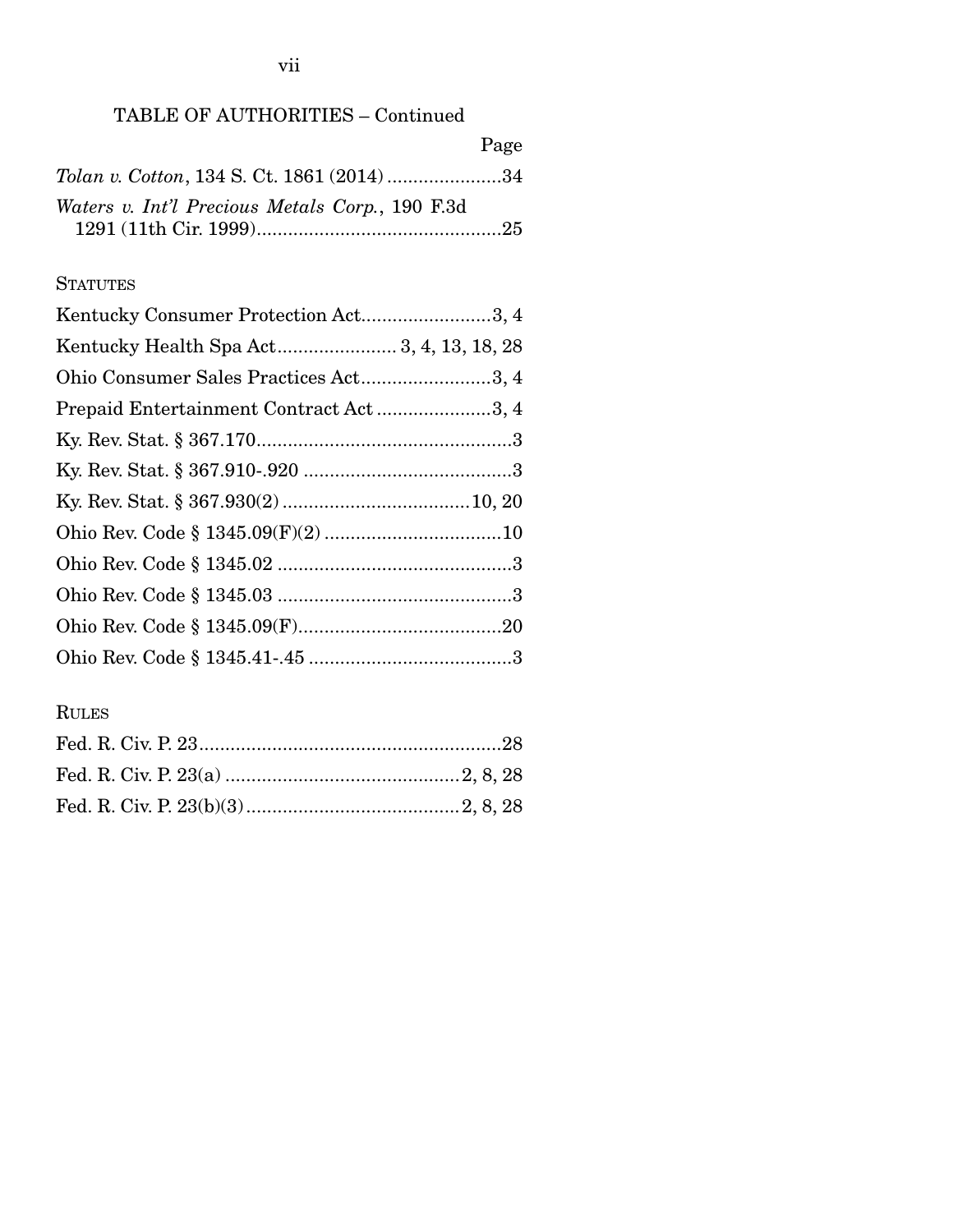## TABLE OF AUTHORITIES – Continued

|                                                    | Page |
|----------------------------------------------------|------|
| <i>Tolan v. Cotton, 134 S. Ct. 1861 (2014) </i> 34 |      |
| Waters v. Int'l Precious Metals Corp., 190 F.3d    |      |
|                                                    |      |

### **STATUTES**

| Kentucky Consumer Protection Act3, 4   |
|----------------------------------------|
|                                        |
| Ohio Consumer Sales Practices Act3, 4  |
| Prepaid Entertainment Contract Act3, 4 |
|                                        |
|                                        |
|                                        |
|                                        |
|                                        |
|                                        |
|                                        |
|                                        |

## RULES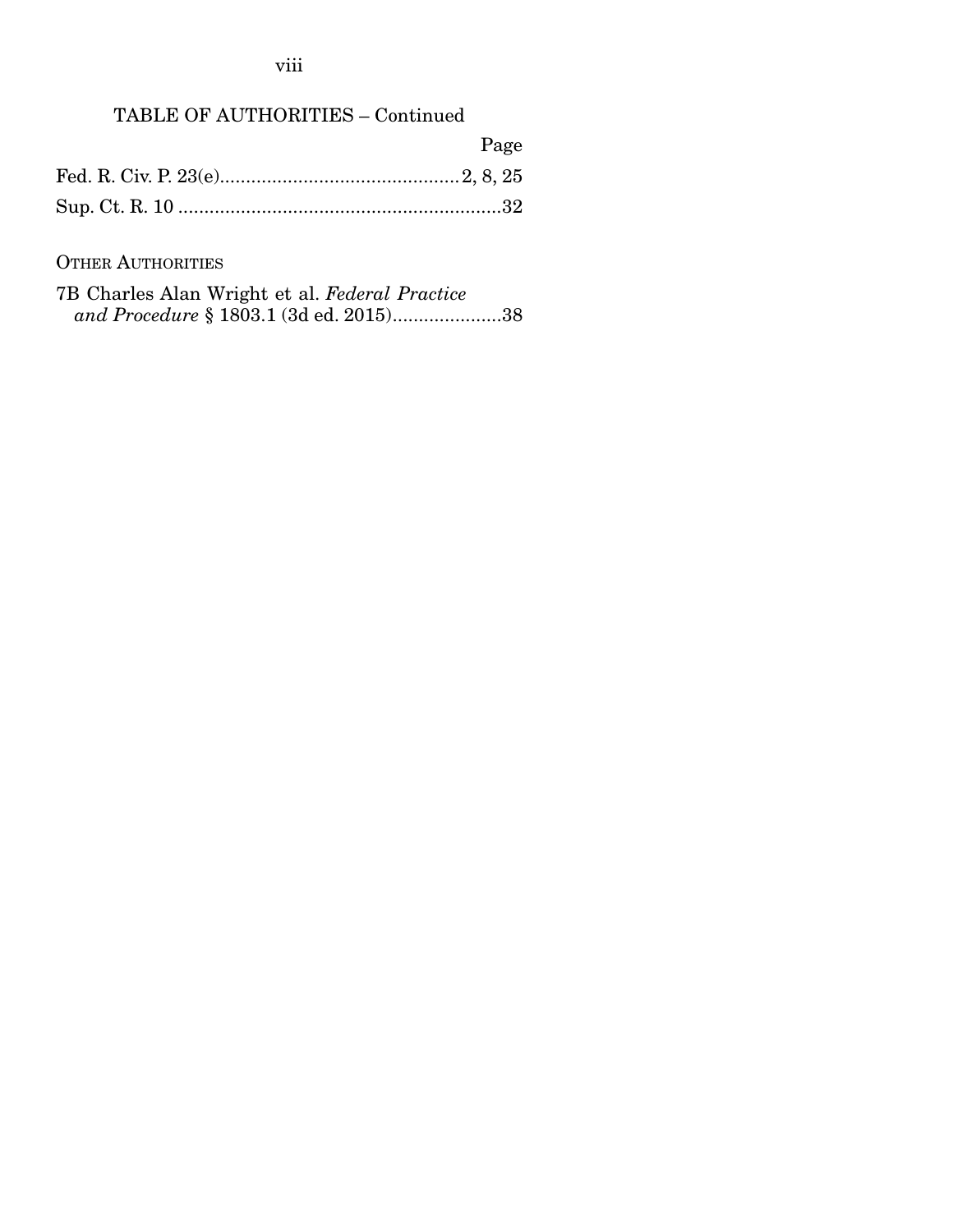viii

## TABLE OF AUTHORITIES – Continued

| Page |
|------|
|      |
|      |

### OTHER AUTHORITIES

| 7B Charles Alan Wright et al. Federal Practice |  |  |
|------------------------------------------------|--|--|
|                                                |  |  |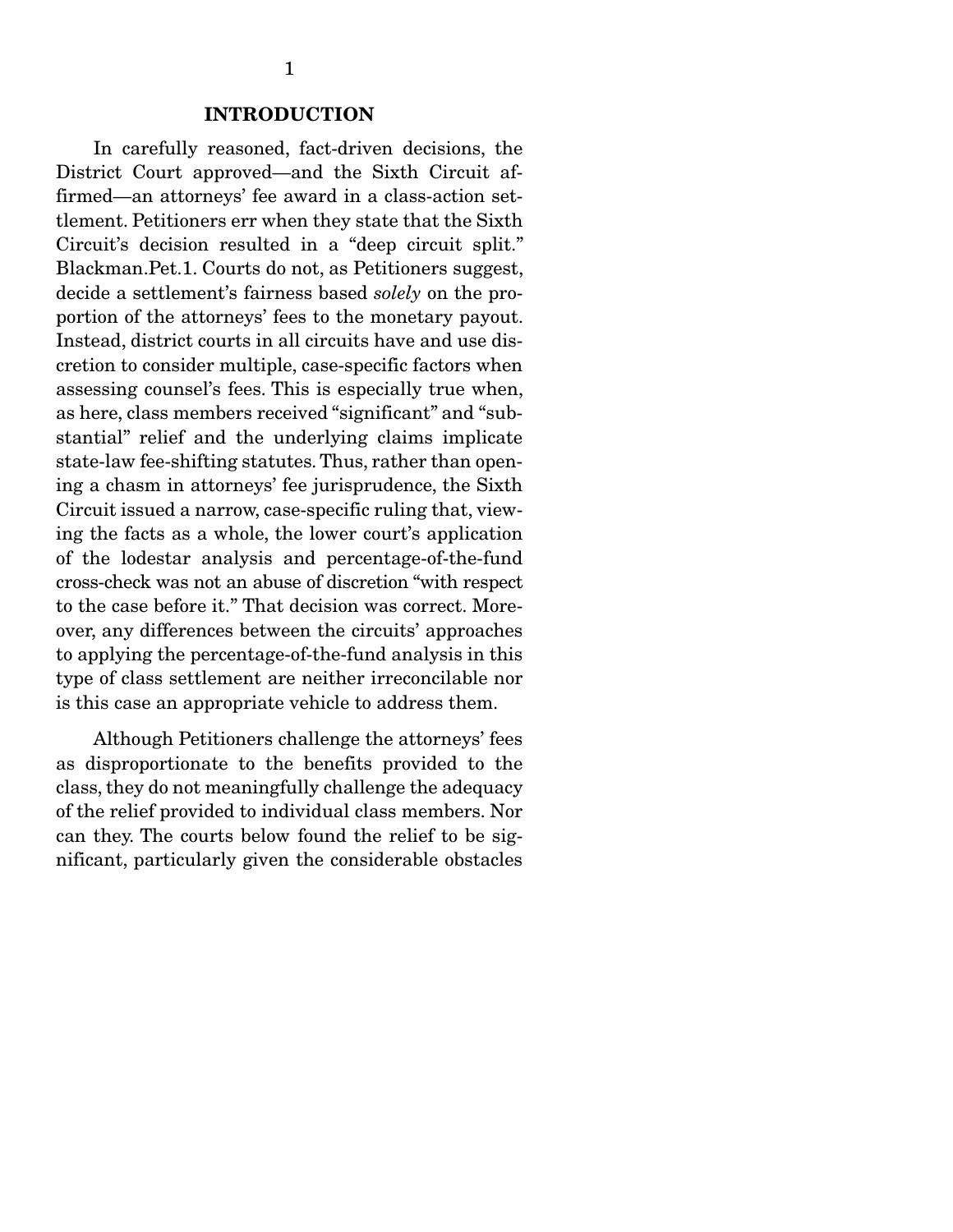In carefully reasoned, fact-driven decisions, the District Court approved—and the Sixth Circuit affirmed—an attorneys' fee award in a class-action settlement. Petitioners err when they state that the Sixth Circuit's decision resulted in a "deep circuit split." Blackman.Pet.1. Courts do not, as Petitioners suggest, decide a settlement's fairness based *solely* on the proportion of the attorneys' fees to the monetary payout. Instead, district courts in all circuits have and use discretion to consider multiple, case-specific factors when assessing counsel's fees. This is especially true when, as here, class members received "significant" and "substantial" relief and the underlying claims implicate state-law fee-shifting statutes. Thus, rather than opening a chasm in attorneys' fee jurisprudence, the Sixth Circuit issued a narrow, case-specific ruling that, viewing the facts as a whole, the lower court's application of the lodestar analysis and percentage-of-the-fund cross-check was not an abuse of discretion "with respect to the case before it." That decision was correct. Moreover, any differences between the circuits' approaches to applying the percentage-of-the-fund analysis in this type of class settlement are neither irreconcilable nor is this case an appropriate vehicle to address them.

 Although Petitioners challenge the attorneys' fees as disproportionate to the benefits provided to the class, they do not meaningfully challenge the adequacy of the relief provided to individual class members. Nor can they. The courts below found the relief to be significant, particularly given the considerable obstacles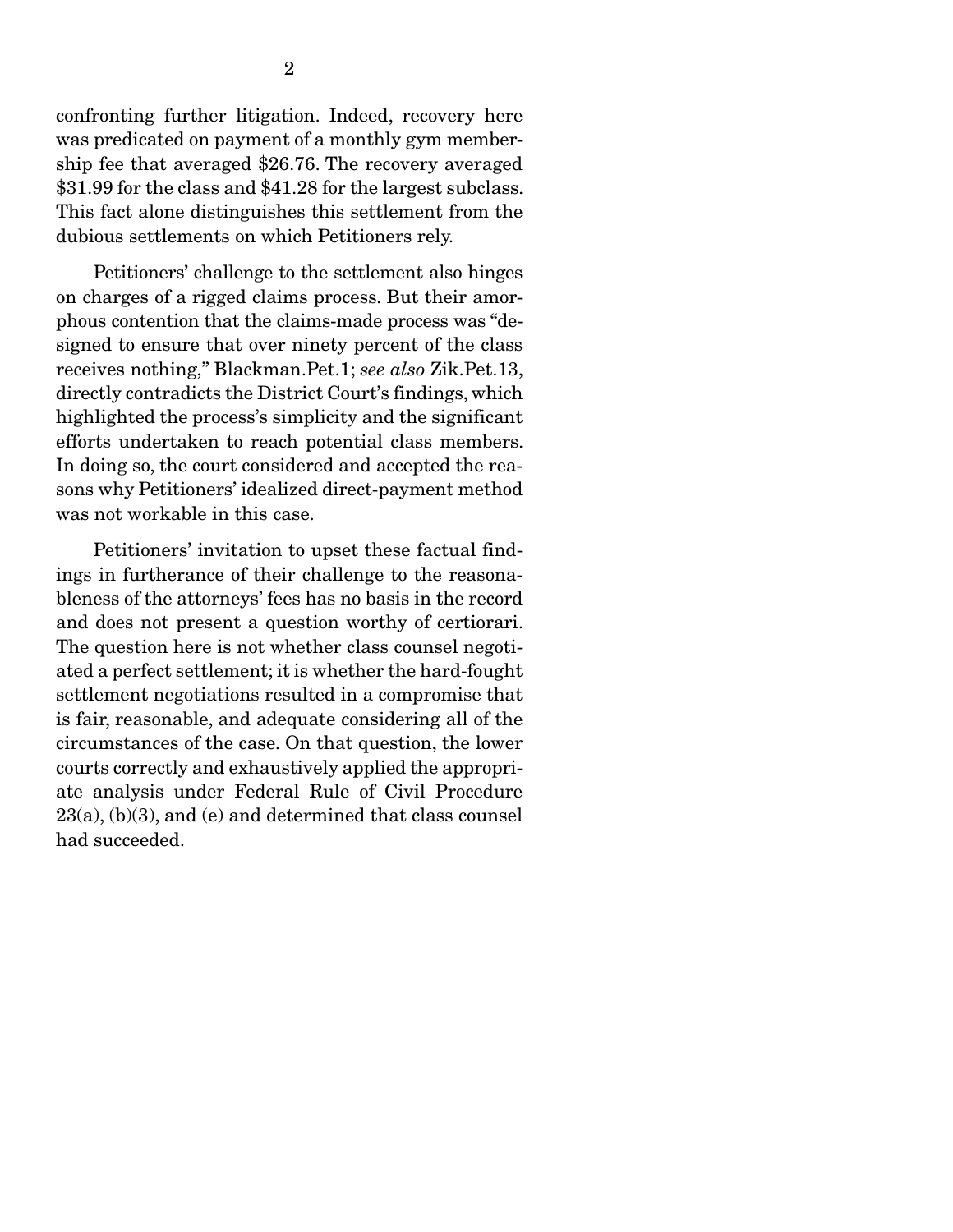confronting further litigation. Indeed, recovery here was predicated on payment of a monthly gym membership fee that averaged \$26.76. The recovery averaged \$31.99 for the class and \$41.28 for the largest subclass. This fact alone distinguishes this settlement from the dubious settlements on which Petitioners rely.

 Petitioners' challenge to the settlement also hinges on charges of a rigged claims process. But their amorphous contention that the claims-made process was "designed to ensure that over ninety percent of the class receives nothing," Blackman.Pet.1; *see also* Zik.Pet.13, directly contradicts the District Court's findings, which highlighted the process's simplicity and the significant efforts undertaken to reach potential class members. In doing so, the court considered and accepted the reasons why Petitioners' idealized direct-payment method was not workable in this case.

 Petitioners' invitation to upset these factual findings in furtherance of their challenge to the reasonableness of the attorneys' fees has no basis in the record and does not present a question worthy of certiorari. The question here is not whether class counsel negotiated a perfect settlement; it is whether the hard-fought settlement negotiations resulted in a compromise that is fair, reasonable, and adequate considering all of the circumstances of the case. On that question, the lower courts correctly and exhaustively applied the appropriate analysis under Federal Rule of Civil Procedure  $23(a)$ ,  $(b)(3)$ , and  $(e)$  and determined that class counsel had succeeded.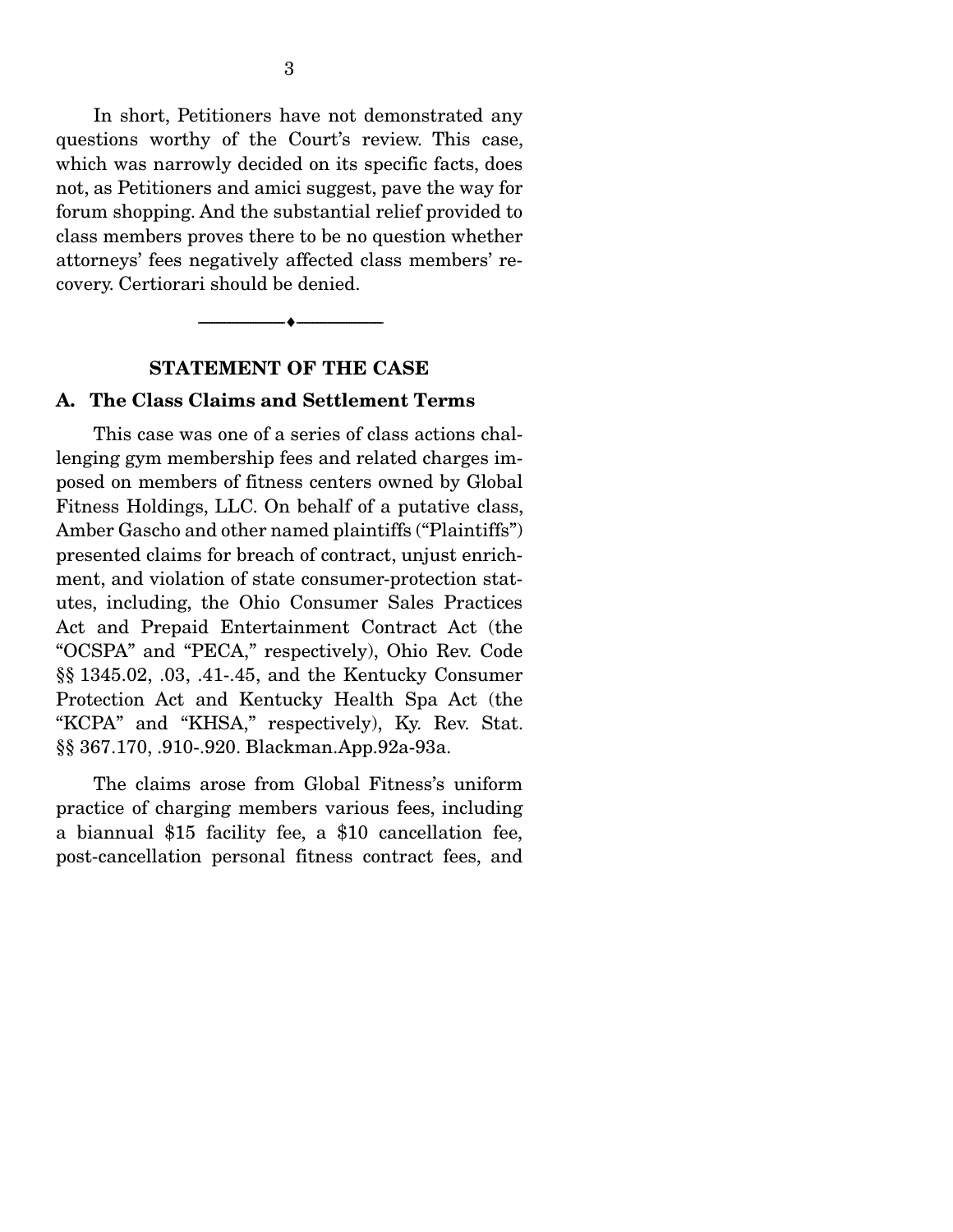In short, Petitioners have not demonstrated any questions worthy of the Court's review. This case, which was narrowly decided on its specific facts, does not, as Petitioners and amici suggest, pave the way for forum shopping. And the substantial relief provided to class members proves there to be no question whether attorneys' fees negatively affected class members' recovery. Certiorari should be denied.



#### STATEMENT OF THE CASE

#### A. The Class Claims and Settlement Terms

 This case was one of a series of class actions challenging gym membership fees and related charges imposed on members of fitness centers owned by Global Fitness Holdings, LLC. On behalf of a putative class, Amber Gascho and other named plaintiffs ("Plaintiffs") presented claims for breach of contract, unjust enrichment, and violation of state consumer-protection statutes, including, the Ohio Consumer Sales Practices Act and Prepaid Entertainment Contract Act (the "OCSPA" and "PECA," respectively), Ohio Rev. Code §§ 1345.02, .03, .41-.45, and the Kentucky Consumer Protection Act and Kentucky Health Spa Act (the "KCPA" and "KHSA," respectively), Ky. Rev. Stat. §§ 367.170, .910-.920. Blackman.App.92a-93a.

 The claims arose from Global Fitness's uniform practice of charging members various fees, including a biannual \$15 facility fee, a \$10 cancellation fee, post-cancellation personal fitness contract fees, and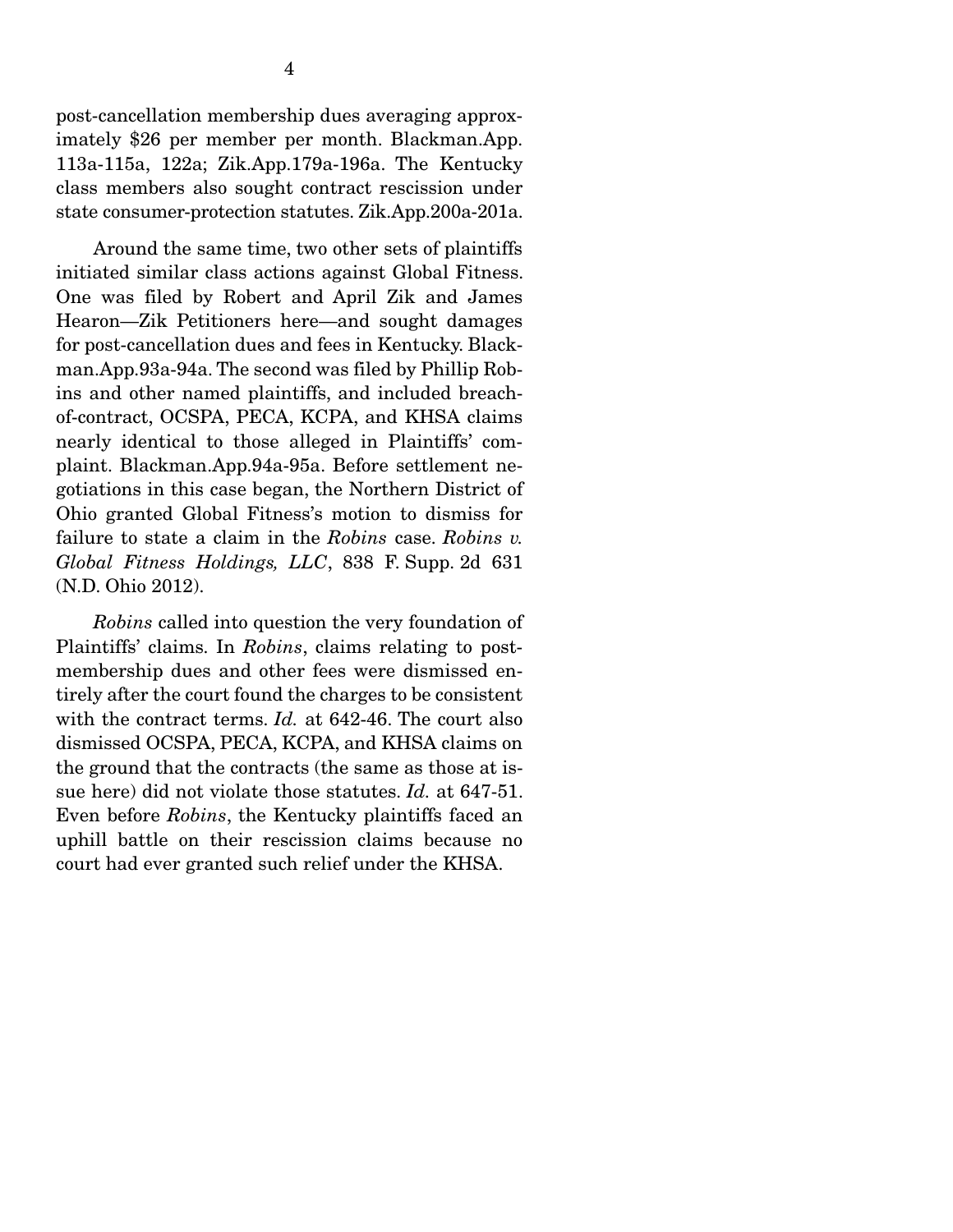post-cancellation membership dues averaging approximately \$26 per member per month. Blackman.App. 113a-115a, 122a; Zik.App.179a-196a. The Kentucky class members also sought contract rescission under state consumer-protection statutes. Zik.App.200a-201a.

 Around the same time, two other sets of plaintiffs initiated similar class actions against Global Fitness. One was filed by Robert and April Zik and James Hearon—Zik Petitioners here—and sought damages for post-cancellation dues and fees in Kentucky. Blackman.App.93a-94a. The second was filed by Phillip Robins and other named plaintiffs, and included breachof-contract, OCSPA, PECA, KCPA, and KHSA claims nearly identical to those alleged in Plaintiffs' complaint. Blackman.App.94a-95a. Before settlement negotiations in this case began, the Northern District of Ohio granted Global Fitness's motion to dismiss for failure to state a claim in the *Robins* case. *Robins v. Global Fitness Holdings, LLC*, 838 F. Supp. 2d 631 (N.D. Ohio 2012).

*Robins* called into question the very foundation of Plaintiffs' claims. In *Robins*, claims relating to postmembership dues and other fees were dismissed entirely after the court found the charges to be consistent with the contract terms. *Id.* at 642-46. The court also dismissed OCSPA, PECA, KCPA, and KHSA claims on the ground that the contracts (the same as those at issue here) did not violate those statutes. *Id.* at 647-51. Even before *Robins*, the Kentucky plaintiffs faced an uphill battle on their rescission claims because no court had ever granted such relief under the KHSA.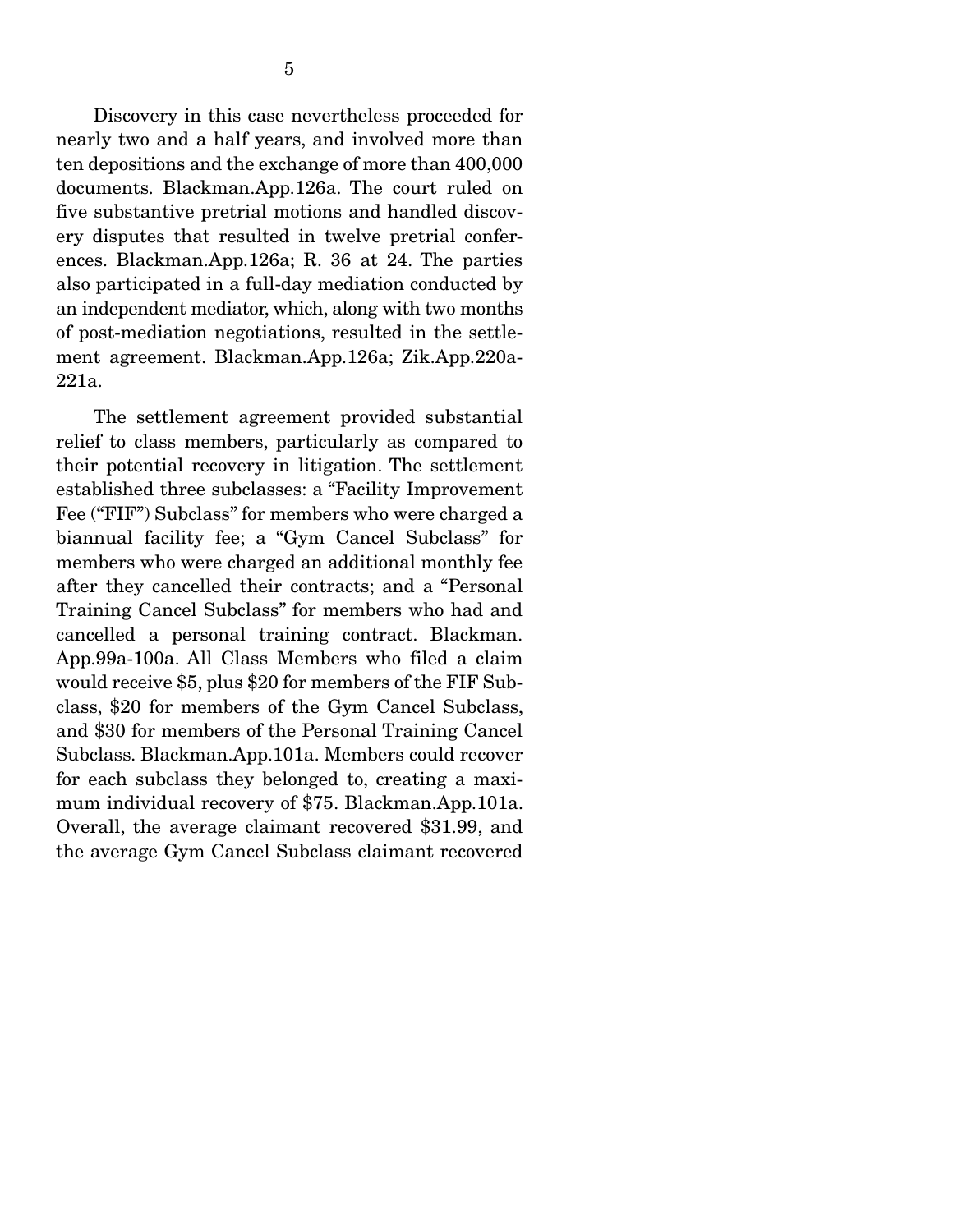5

 Discovery in this case nevertheless proceeded for nearly two and a half years, and involved more than ten depositions and the exchange of more than 400,000 documents. Blackman.App.126a. The court ruled on five substantive pretrial motions and handled discovery disputes that resulted in twelve pretrial conferences. Blackman.App.126a; R. 36 at 24. The parties also participated in a full-day mediation conducted by an independent mediator, which, along with two months of post-mediation negotiations, resulted in the settlement agreement. Blackman.App.126a; Zik.App.220a-221a.

 The settlement agreement provided substantial relief to class members, particularly as compared to their potential recovery in litigation. The settlement established three subclasses: a "Facility Improvement Fee ("FIF") Subclass" for members who were charged a biannual facility fee; a "Gym Cancel Subclass" for members who were charged an additional monthly fee after they cancelled their contracts; and a "Personal Training Cancel Subclass" for members who had and cancelled a personal training contract. Blackman. App.99a-100a. All Class Members who filed a claim would receive \$5, plus \$20 for members of the FIF Subclass, \$20 for members of the Gym Cancel Subclass, and \$30 for members of the Personal Training Cancel Subclass. Blackman.App.101a. Members could recover for each subclass they belonged to, creating a maximum individual recovery of \$75. Blackman.App.101a. Overall, the average claimant recovered \$31.99, and the average Gym Cancel Subclass claimant recovered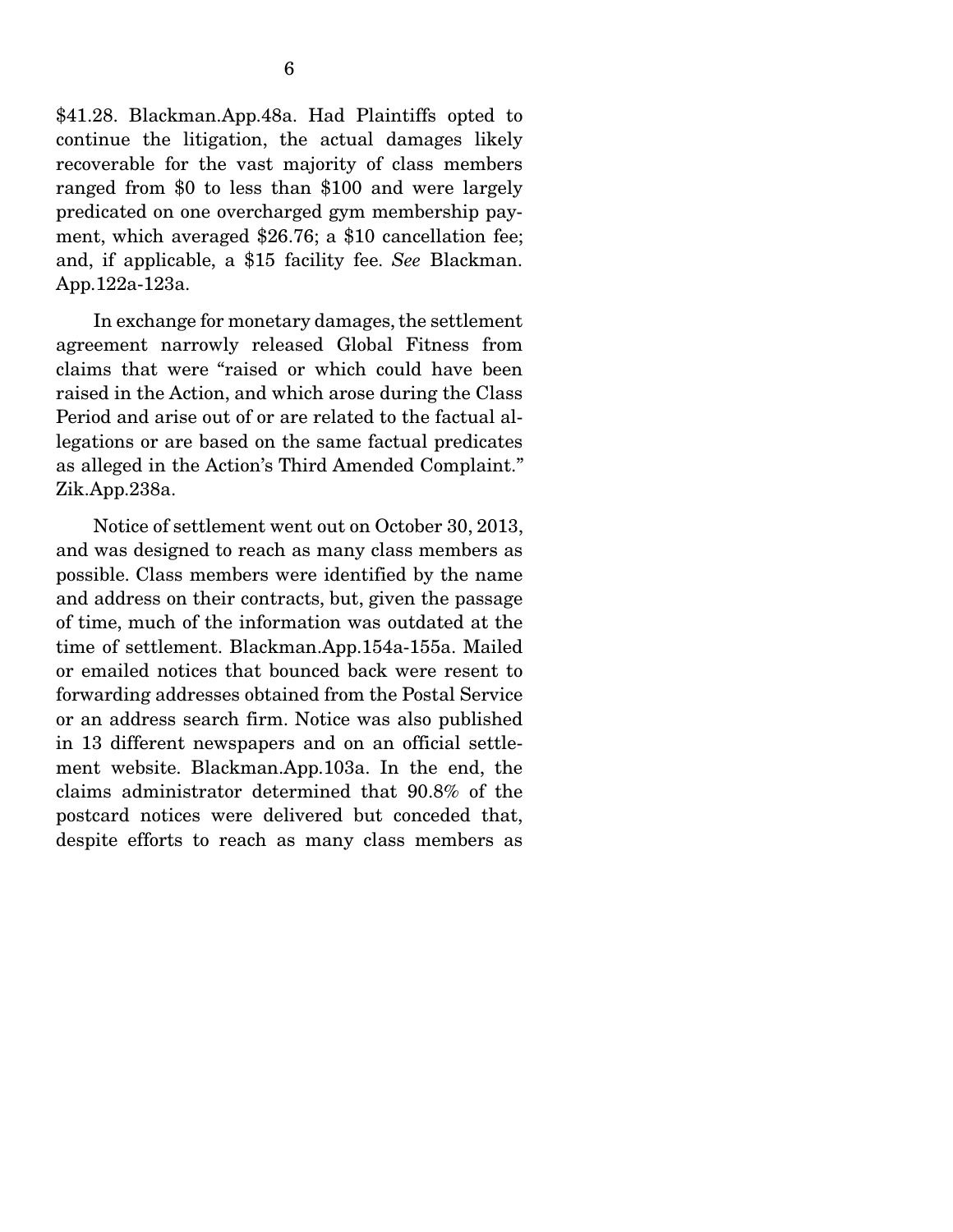predicated on one overcharged gym membership payment, which averaged \$26.76; a \$10 cancellation fee; and, if applicable, a \$15 facility fee. *See* Blackman. App.122a-123a.

 In exchange for monetary damages, the settlement agreement narrowly released Global Fitness from claims that were "raised or which could have been raised in the Action, and which arose during the Class Period and arise out of or are related to the factual allegations or are based on the same factual predicates as alleged in the Action's Third Amended Complaint." Zik.App.238a.

 Notice of settlement went out on October 30, 2013, and was designed to reach as many class members as possible. Class members were identified by the name and address on their contracts, but, given the passage of time, much of the information was outdated at the time of settlement. Blackman.App.154a-155a. Mailed or emailed notices that bounced back were resent to forwarding addresses obtained from the Postal Service or an address search firm. Notice was also published in 13 different newspapers and on an official settlement website. Blackman.App.103a. In the end, the claims administrator determined that 90.8% of the postcard notices were delivered but conceded that, despite efforts to reach as many class members as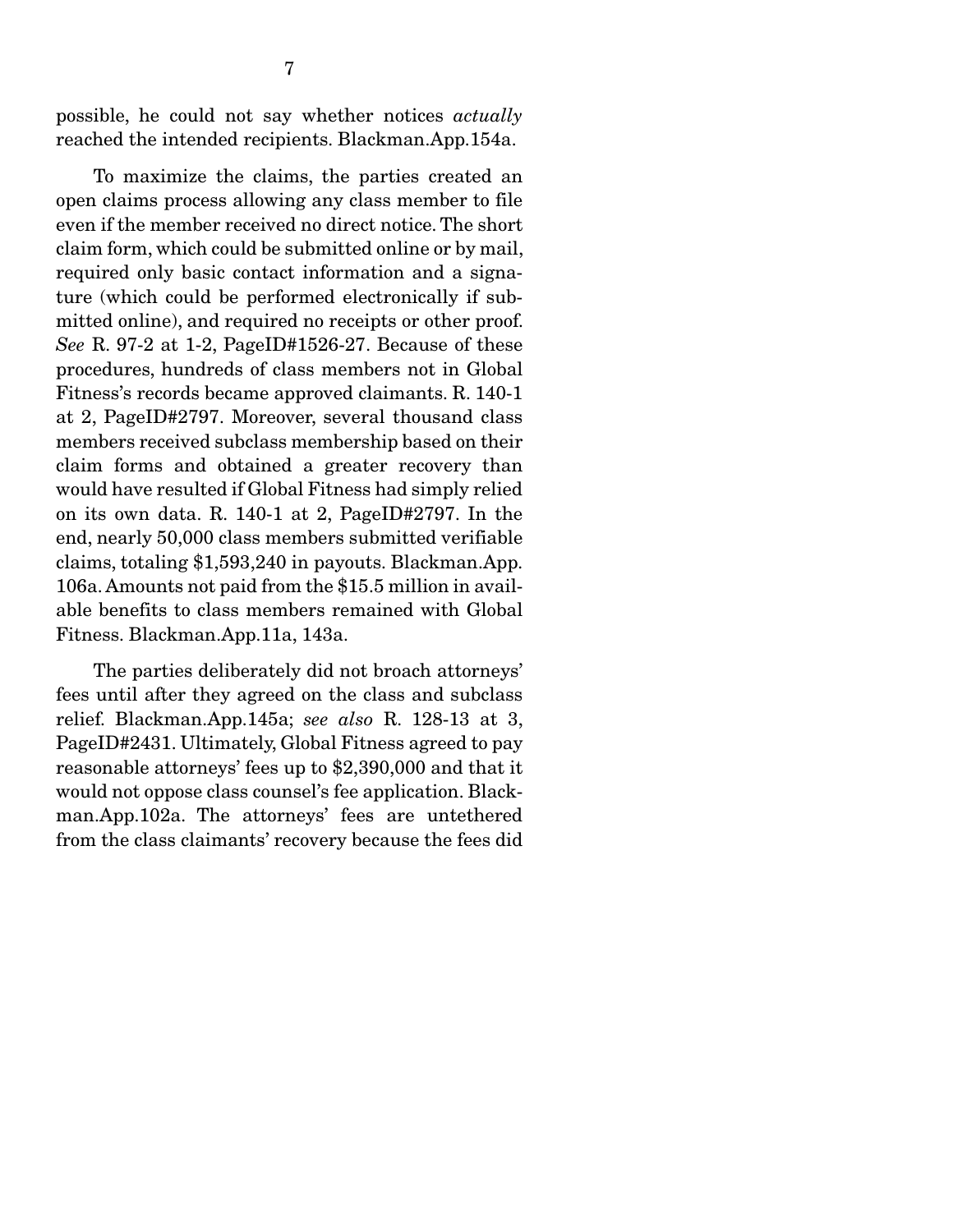possible, he could not say whether notices *actually* reached the intended recipients. Blackman.App.154a.

 To maximize the claims, the parties created an open claims process allowing any class member to file even if the member received no direct notice. The short claim form, which could be submitted online or by mail, required only basic contact information and a signature (which could be performed electronically if submitted online), and required no receipts or other proof. *See* R. 97-2 at 1-2, PageID#1526-27. Because of these procedures, hundreds of class members not in Global Fitness's records became approved claimants. R. 140-1 at 2, PageID#2797. Moreover, several thousand class members received subclass membership based on their claim forms and obtained a greater recovery than would have resulted if Global Fitness had simply relied on its own data. R. 140-1 at 2, PageID#2797. In the end, nearly 50,000 class members submitted verifiable claims, totaling \$1,593,240 in payouts. Blackman.App. 106a. Amounts not paid from the \$15.5 million in available benefits to class members remained with Global Fitness. Blackman.App.11a, 143a.

 The parties deliberately did not broach attorneys' fees until after they agreed on the class and subclass relief. Blackman.App.145a; *see also* R. 128-13 at 3, PageID#2431. Ultimately, Global Fitness agreed to pay reasonable attorneys' fees up to \$2,390,000 and that it would not oppose class counsel's fee application. Blackman.App.102a. The attorneys' fees are untethered from the class claimants' recovery because the fees did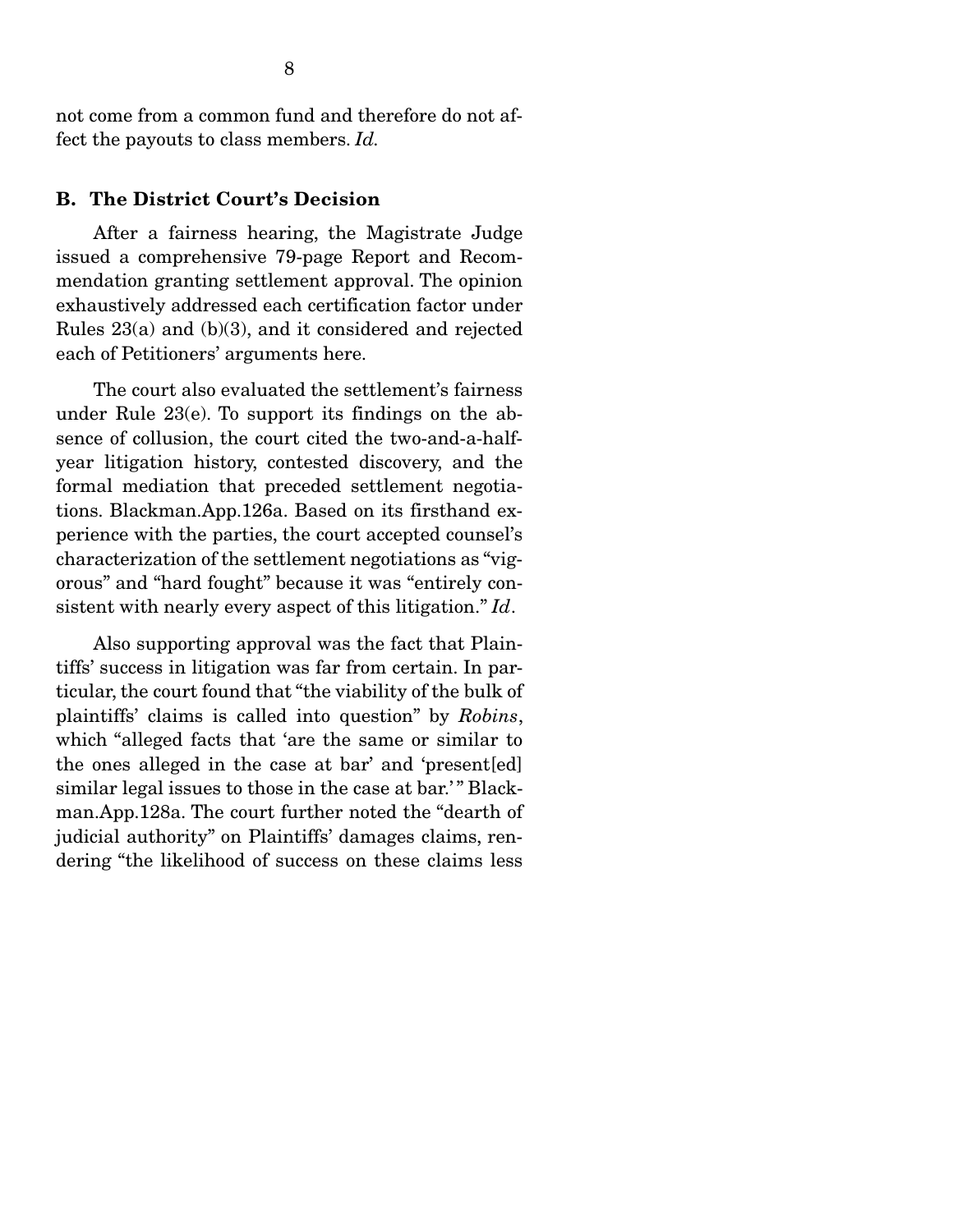not come from a common fund and therefore do not affect the payouts to class members. *Id.* 

#### B. The District Court's Decision

 After a fairness hearing, the Magistrate Judge issued a comprehensive 79-page Report and Recommendation granting settlement approval. The opinion exhaustively addressed each certification factor under Rules 23(a) and (b)(3), and it considered and rejected each of Petitioners' arguments here.

 The court also evaluated the settlement's fairness under Rule 23(e). To support its findings on the absence of collusion, the court cited the two-and-a-halfyear litigation history, contested discovery, and the formal mediation that preceded settlement negotiations. Blackman.App.126a. Based on its firsthand experience with the parties, the court accepted counsel's characterization of the settlement negotiations as "vigorous" and "hard fought" because it was "entirely consistent with nearly every aspect of this litigation." *Id*.

 Also supporting approval was the fact that Plaintiffs' success in litigation was far from certain. In particular, the court found that "the viability of the bulk of plaintiffs' claims is called into question" by *Robins*, which "alleged facts that 'are the same or similar to the ones alleged in the case at bar' and 'present[ed] similar legal issues to those in the case at bar.'" Blackman.App.128a. The court further noted the "dearth of judicial authority" on Plaintiffs' damages claims, rendering "the likelihood of success on these claims less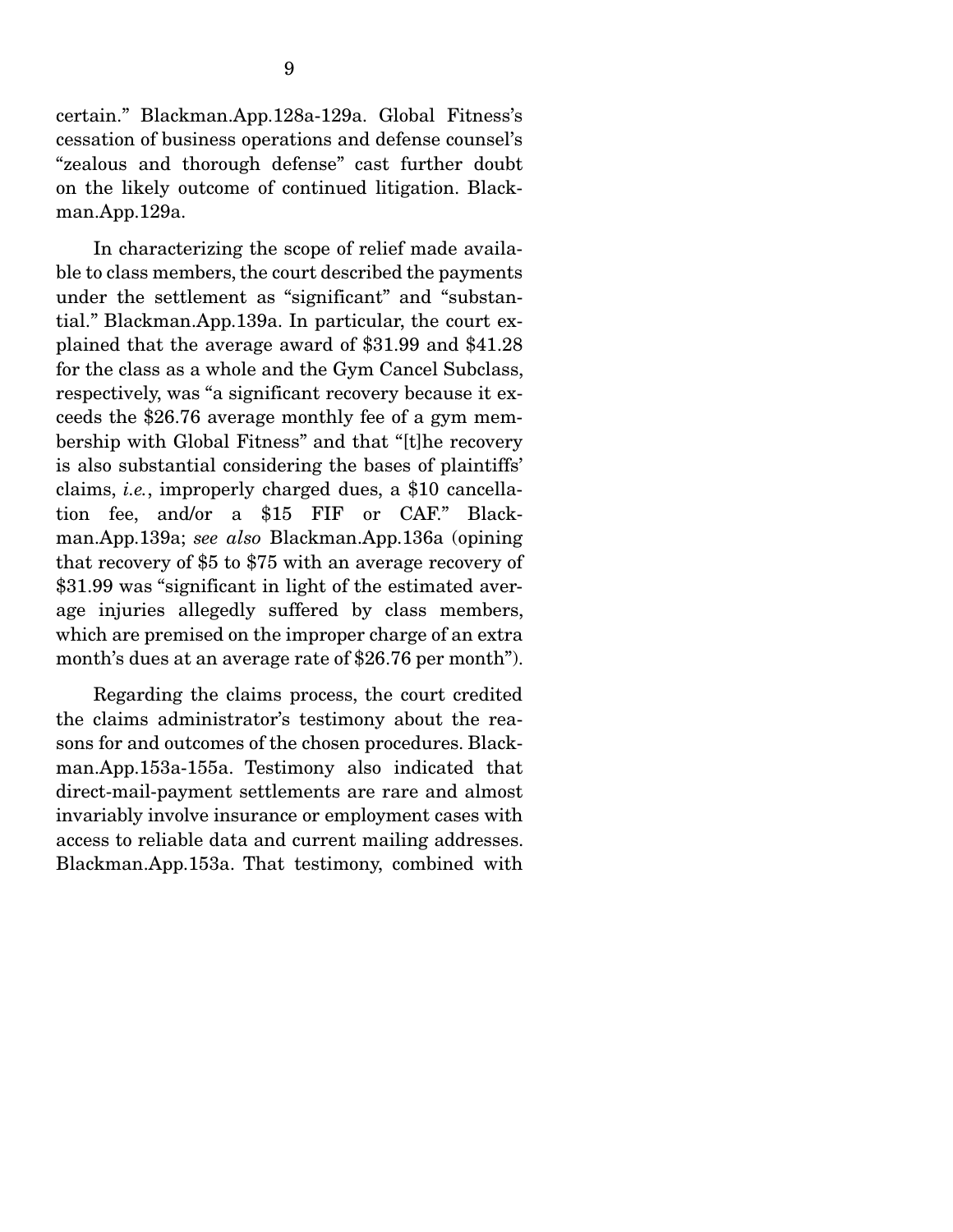certain." Blackman.App.128a-129a. Global Fitness's cessation of business operations and defense counsel's "zealous and thorough defense" cast further doubt on the likely outcome of continued litigation. Blackman.App.129a.

 In characterizing the scope of relief made available to class members, the court described the payments under the settlement as "significant" and "substantial." Blackman.App.139a. In particular, the court explained that the average award of \$31.99 and \$41.28 for the class as a whole and the Gym Cancel Subclass, respectively, was "a significant recovery because it exceeds the \$26.76 average monthly fee of a gym membership with Global Fitness" and that "[t]he recovery is also substantial considering the bases of plaintiffs' claims, *i.e.*, improperly charged dues, a \$10 cancellation fee, and/or a \$15 FIF or CAF." Blackman.App.139a; *see also* Blackman.App.136a (opining that recovery of \$5 to \$75 with an average recovery of \$31.99 was "significant in light of the estimated average injuries allegedly suffered by class members, which are premised on the improper charge of an extra month's dues at an average rate of \$26.76 per month").

 Regarding the claims process, the court credited the claims administrator's testimony about the reasons for and outcomes of the chosen procedures. Blackman.App.153a-155a. Testimony also indicated that direct-mail-payment settlements are rare and almost invariably involve insurance or employment cases with access to reliable data and current mailing addresses. Blackman.App.153a. That testimony, combined with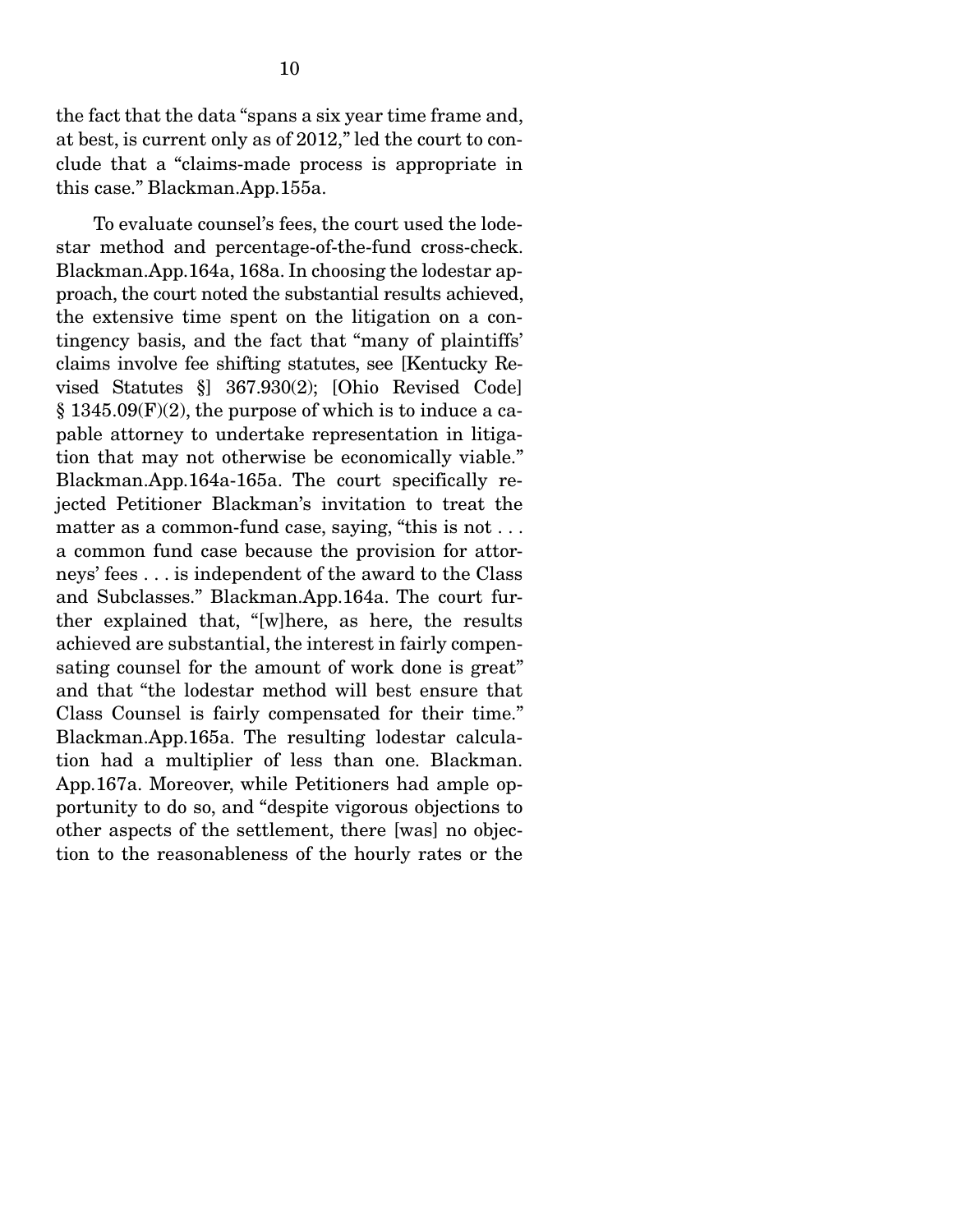the fact that the data "spans a six year time frame and, at best, is current only as of 2012," led the court to conclude that a "claims-made process is appropriate in this case." Blackman.App.155a.

 To evaluate counsel's fees, the court used the lodestar method and percentage-of-the-fund cross-check. Blackman.App.164a, 168a. In choosing the lodestar approach, the court noted the substantial results achieved, the extensive time spent on the litigation on a contingency basis, and the fact that "many of plaintiffs' claims involve fee shifting statutes, see [Kentucky Revised Statutes §] 367.930(2); [Ohio Revised Code]  $§$  1345.09 $(F)(2)$ , the purpose of which is to induce a capable attorney to undertake representation in litigation that may not otherwise be economically viable." Blackman.App.164a-165a. The court specifically rejected Petitioner Blackman's invitation to treat the matter as a common-fund case, saying, "this is not . . . a common fund case because the provision for attorneys' fees . . . is independent of the award to the Class and Subclasses." Blackman.App.164a. The court further explained that, "[w]here, as here, the results achieved are substantial, the interest in fairly compensating counsel for the amount of work done is great" and that "the lodestar method will best ensure that Class Counsel is fairly compensated for their time." Blackman.App.165a. The resulting lodestar calculation had a multiplier of less than one. Blackman. App.167a. Moreover, while Petitioners had ample opportunity to do so, and "despite vigorous objections to other aspects of the settlement, there [was] no objection to the reasonableness of the hourly rates or the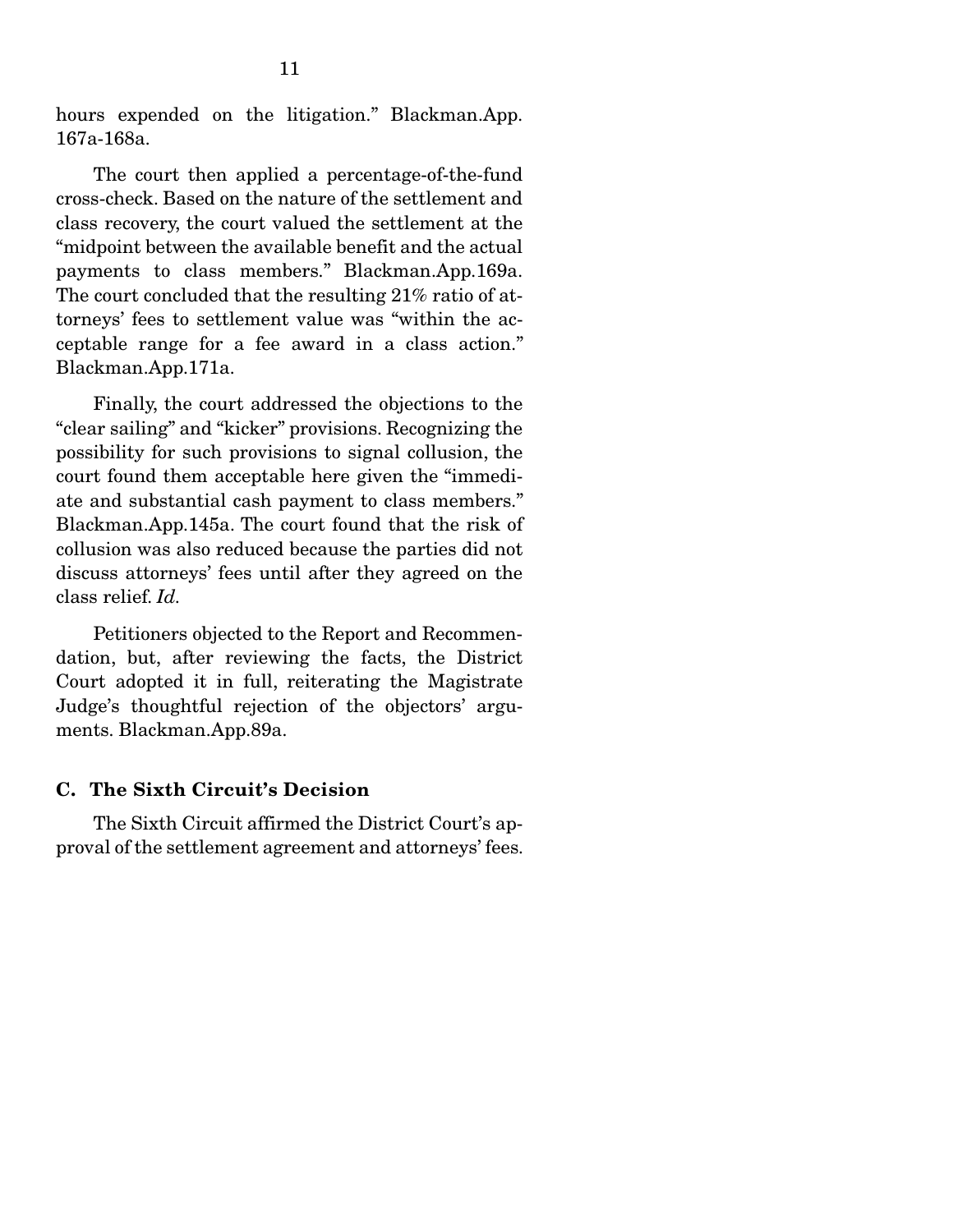hours expended on the litigation." Blackman.App. 167a-168a.

 The court then applied a percentage-of-the-fund cross-check. Based on the nature of the settlement and class recovery, the court valued the settlement at the "midpoint between the available benefit and the actual payments to class members." Blackman.App.169a. The court concluded that the resulting 21% ratio of attorneys' fees to settlement value was "within the acceptable range for a fee award in a class action." Blackman.App.171a.

 Finally, the court addressed the objections to the "clear sailing" and "kicker" provisions. Recognizing the possibility for such provisions to signal collusion, the court found them acceptable here given the "immediate and substantial cash payment to class members." Blackman.App.145a. The court found that the risk of collusion was also reduced because the parties did not discuss attorneys' fees until after they agreed on the class relief. *Id.* 

 Petitioners objected to the Report and Recommendation, but, after reviewing the facts, the District Court adopted it in full, reiterating the Magistrate Judge's thoughtful rejection of the objectors' arguments. Blackman.App.89a.

#### C. The Sixth Circuit's Decision

 The Sixth Circuit affirmed the District Court's approval of the settlement agreement and attorneys' fees.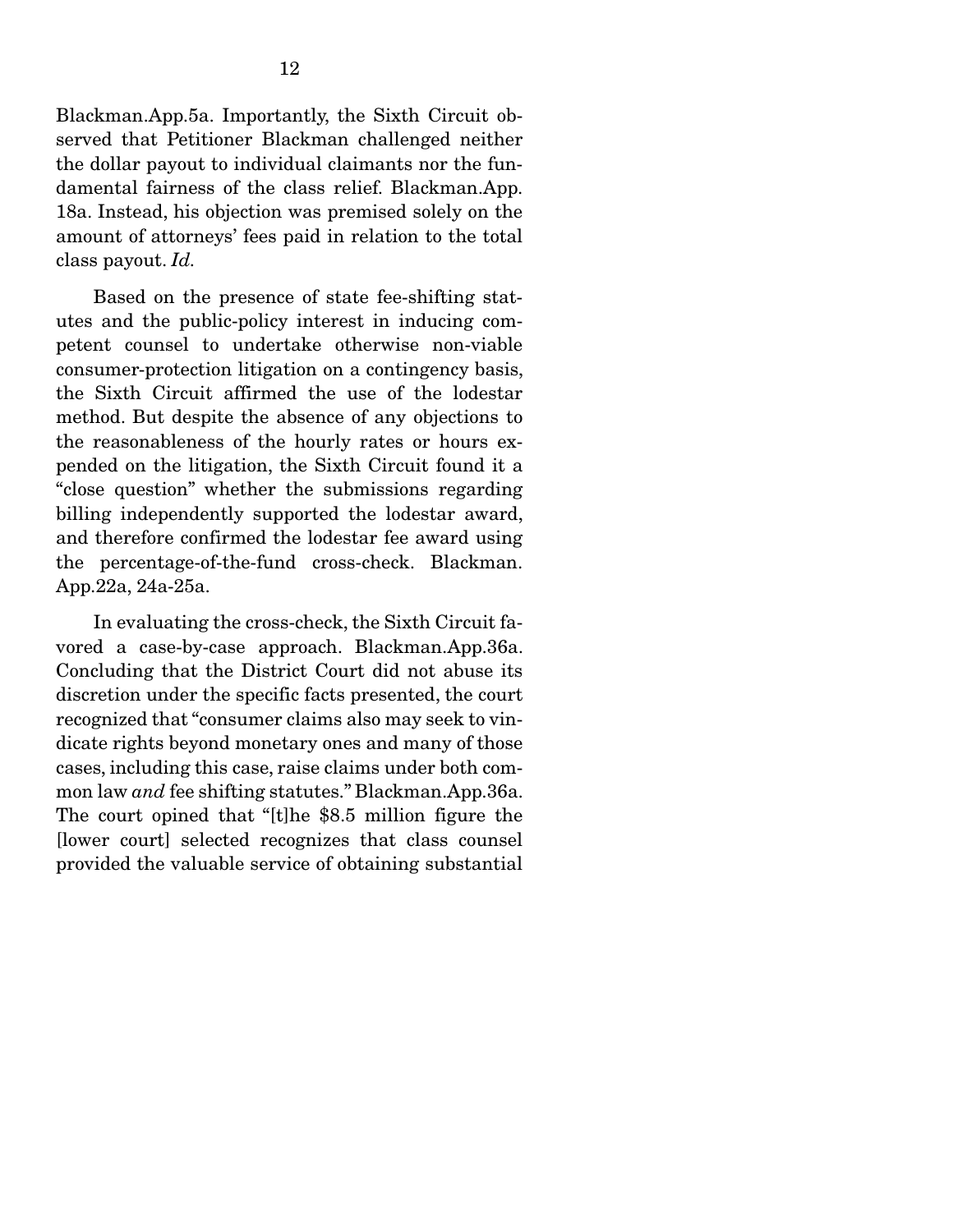Blackman.App.5a. Importantly, the Sixth Circuit observed that Petitioner Blackman challenged neither the dollar payout to individual claimants nor the fundamental fairness of the class relief. Blackman.App. 18a. Instead, his objection was premised solely on the amount of attorneys' fees paid in relation to the total class payout. *Id.* 

Based on the presence of state fee-shifting statutes and the public-policy interest in inducing competent counsel to undertake otherwise non-viable consumer-protection litigation on a contingency basis, the Sixth Circuit affirmed the use of the lodestar method. But despite the absence of any objections to the reasonableness of the hourly rates or hours expended on the litigation, the Sixth Circuit found it a "close question" whether the submissions regarding billing independently supported the lodestar award, and therefore confirmed the lodestar fee award using the percentage-of-the-fund cross-check. Blackman. App.22a, 24a-25a.

 In evaluating the cross-check, the Sixth Circuit favored a case-by-case approach. Blackman.App.36a. Concluding that the District Court did not abuse its discretion under the specific facts presented, the court recognized that "consumer claims also may seek to vindicate rights beyond monetary ones and many of those cases, including this case, raise claims under both common law *and* fee shifting statutes." Blackman.App.36a. The court opined that "[t]he \$8.5 million figure the [lower court] selected recognizes that class counsel provided the valuable service of obtaining substantial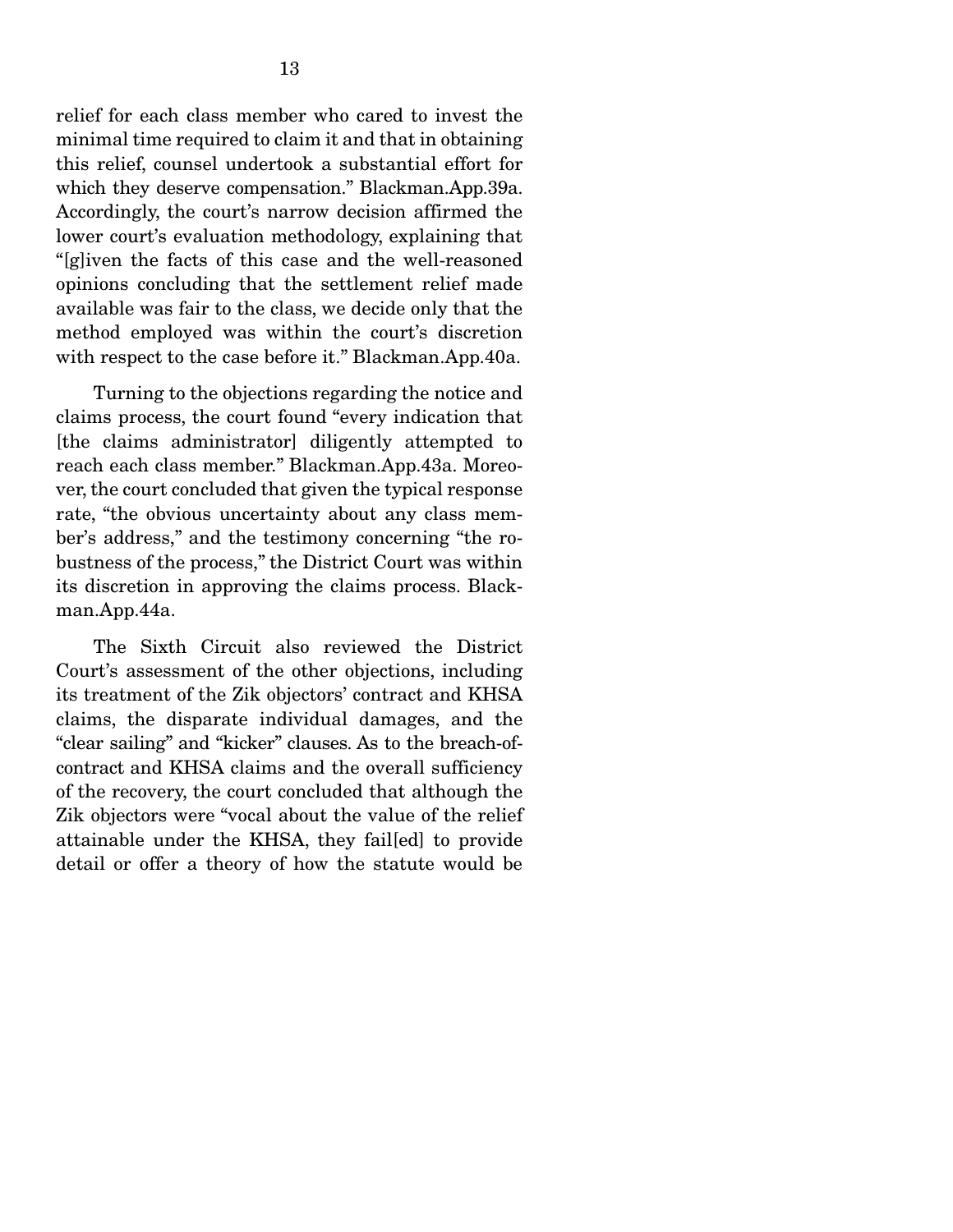relief for each class member who cared to invest the minimal time required to claim it and that in obtaining this relief, counsel undertook a substantial effort for which they deserve compensation." Blackman.App.39a. Accordingly, the court's narrow decision affirmed the lower court's evaluation methodology, explaining that "[g]iven the facts of this case and the well-reasoned opinions concluding that the settlement relief made available was fair to the class, we decide only that the method employed was within the court's discretion with respect to the case before it." Blackman.App.40a.

 Turning to the objections regarding the notice and claims process, the court found "every indication that [the claims administrator] diligently attempted to reach each class member." Blackman.App.43a. Moreover, the court concluded that given the typical response rate, "the obvious uncertainty about any class member's address," and the testimony concerning "the robustness of the process," the District Court was within its discretion in approving the claims process. Blackman.App.44a.

 The Sixth Circuit also reviewed the District Court's assessment of the other objections, including its treatment of the Zik objectors' contract and KHSA claims, the disparate individual damages, and the "clear sailing" and "kicker" clauses. As to the breach-ofcontract and KHSA claims and the overall sufficiency of the recovery, the court concluded that although the Zik objectors were "vocal about the value of the relief attainable under the KHSA, they fail[ed] to provide detail or offer a theory of how the statute would be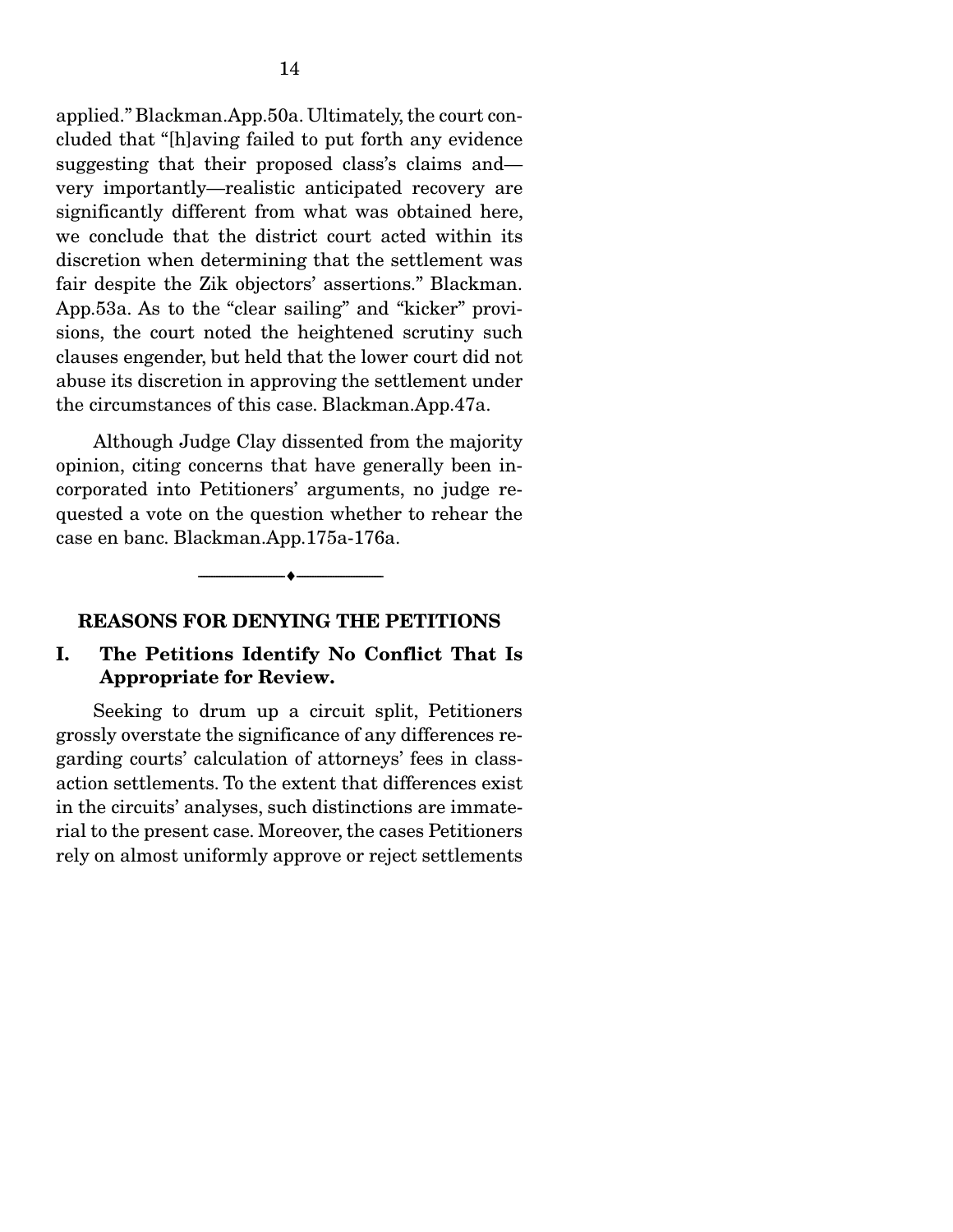applied." Blackman.App.50a. Ultimately, the court concluded that "[h]aving failed to put forth any evidence suggesting that their proposed class's claims and very importantly—realistic anticipated recovery are significantly different from what was obtained here, we conclude that the district court acted within its discretion when determining that the settlement was fair despite the Zik objectors' assertions." Blackman. App.53a. As to the "clear sailing" and "kicker" provisions, the court noted the heightened scrutiny such clauses engender, but held that the lower court did not abuse its discretion in approving the settlement under the circumstances of this case. Blackman.App.47a.

 Although Judge Clay dissented from the majority opinion, citing concerns that have generally been incorporated into Petitioners' arguments, no judge requested a vote on the question whether to rehear the case en banc. Blackman.App.175a-176a.

 $\overbrace{\hspace{2.5cm}}$ 

#### REASONS FOR DENYING THE PETITIONS

#### I. The Petitions Identify No Conflict That Is Appropriate for Review.

 Seeking to drum up a circuit split, Petitioners grossly overstate the significance of any differences regarding courts' calculation of attorneys' fees in classaction settlements. To the extent that differences exist in the circuits' analyses, such distinctions are immaterial to the present case. Moreover, the cases Petitioners rely on almost uniformly approve or reject settlements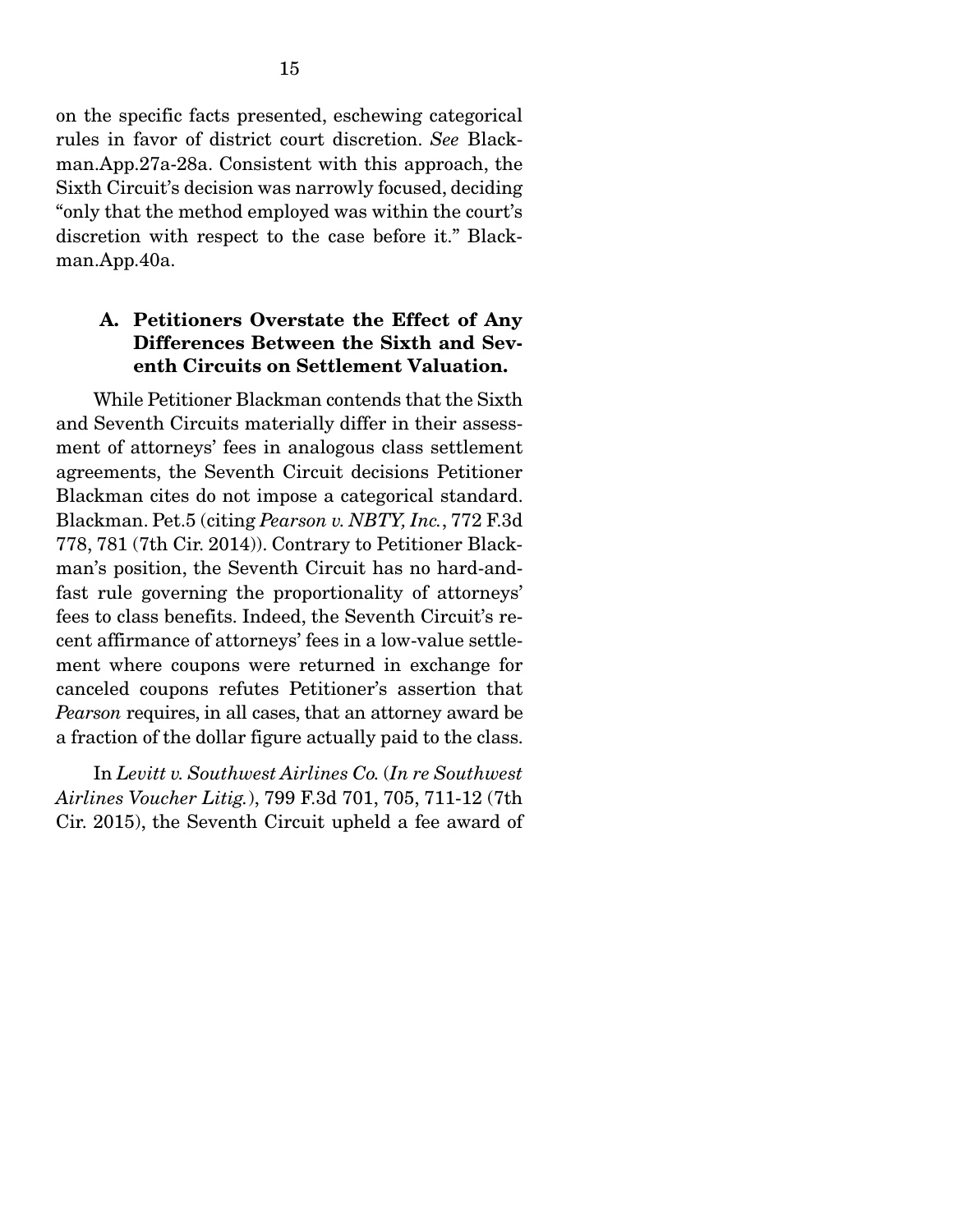on the specific facts presented, eschewing categorical rules in favor of district court discretion. *See* Blackman.App.27a-28a. Consistent with this approach, the Sixth Circuit's decision was narrowly focused, deciding "only that the method employed was within the court's discretion with respect to the case before it." Blackman.App.40a.

### A. Petitioners Overstate the Effect of Any Differences Between the Sixth and Seventh Circuits on Settlement Valuation.

 While Petitioner Blackman contends that the Sixth and Seventh Circuits materially differ in their assessment of attorneys' fees in analogous class settlement agreements, the Seventh Circuit decisions Petitioner Blackman cites do not impose a categorical standard. Blackman. Pet.5 (citing *Pearson v. NBTY, Inc.*, 772 F.3d 778, 781 (7th Cir. 2014)). Contrary to Petitioner Blackman's position, the Seventh Circuit has no hard-andfast rule governing the proportionality of attorneys' fees to class benefits. Indeed, the Seventh Circuit's recent affirmance of attorneys' fees in a low-value settlement where coupons were returned in exchange for canceled coupons refutes Petitioner's assertion that *Pearson* requires, in all cases, that an attorney award be a fraction of the dollar figure actually paid to the class.

 In *Levitt v. Southwest Airlines Co.* (*In re Southwest Airlines Voucher Litig.*), 799 F.3d 701, 705, 711-12 (7th Cir. 2015), the Seventh Circuit upheld a fee award of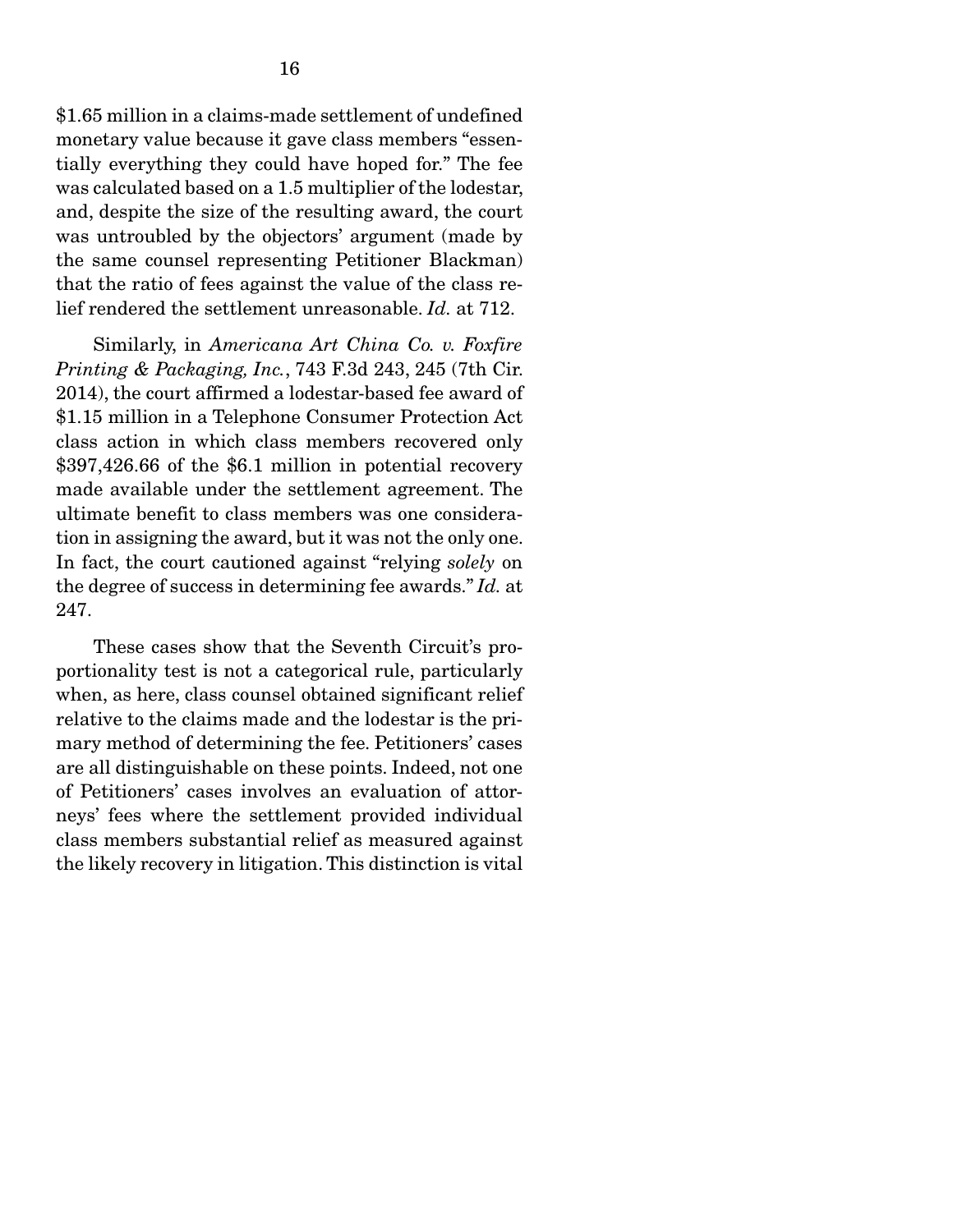\$1.65 million in a claims-made settlement of undefined monetary value because it gave class members "essentially everything they could have hoped for." The fee was calculated based on a 1.5 multiplier of the lodestar, and, despite the size of the resulting award, the court was untroubled by the objectors' argument (made by the same counsel representing Petitioner Blackman) that the ratio of fees against the value of the class relief rendered the settlement unreasonable. *Id.* at 712.

 Similarly, in *Americana Art China Co. v. Foxfire Printing & Packaging, Inc.*, 743 F.3d 243, 245 (7th Cir. 2014), the court affirmed a lodestar-based fee award of \$1.15 million in a Telephone Consumer Protection Act class action in which class members recovered only \$397,426.66 of the \$6.1 million in potential recovery made available under the settlement agreement. The ultimate benefit to class members was one consideration in assigning the award, but it was not the only one. In fact, the court cautioned against "relying *solely* on the degree of success in determining fee awards." *Id.* at 247.

 These cases show that the Seventh Circuit's proportionality test is not a categorical rule, particularly when, as here, class counsel obtained significant relief relative to the claims made and the lodestar is the primary method of determining the fee. Petitioners' cases are all distinguishable on these points. Indeed, not one of Petitioners' cases involves an evaluation of attorneys' fees where the settlement provided individual class members substantial relief as measured against the likely recovery in litigation. This distinction is vital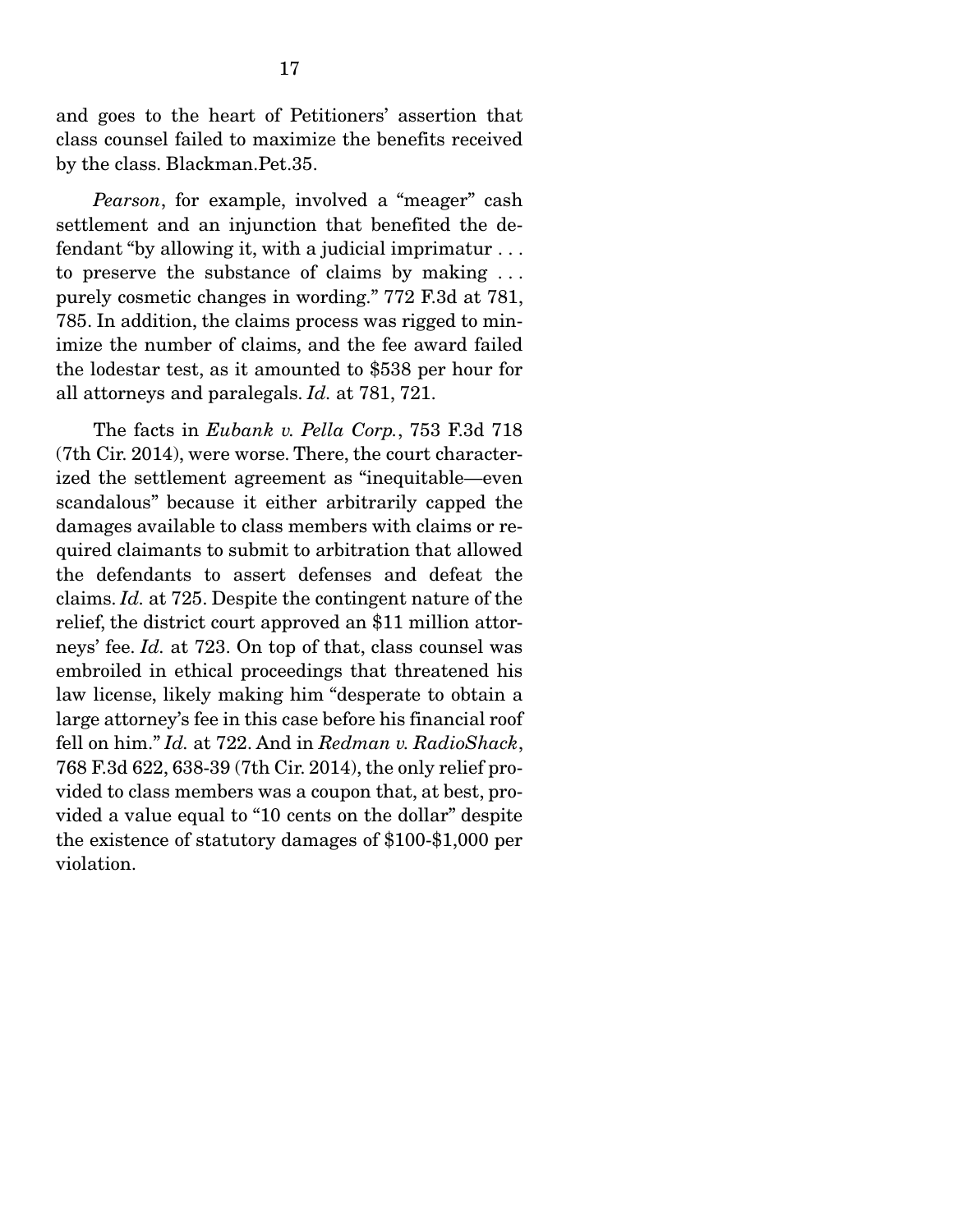and goes to the heart of Petitioners' assertion that class counsel failed to maximize the benefits received by the class. Blackman.Pet.35.

*Pearson*, for example, involved a "meager" cash settlement and an injunction that benefited the defendant "by allowing it, with a judicial imprimatur . . . to preserve the substance of claims by making . . . purely cosmetic changes in wording." 772 F.3d at 781, 785. In addition, the claims process was rigged to minimize the number of claims, and the fee award failed the lodestar test, as it amounted to \$538 per hour for all attorneys and paralegals. *Id.* at 781, 721.

 The facts in *Eubank v. Pella Corp.*, 753 F.3d 718 (7th Cir. 2014), were worse. There, the court characterized the settlement agreement as "inequitable—even scandalous" because it either arbitrarily capped the damages available to class members with claims or required claimants to submit to arbitration that allowed the defendants to assert defenses and defeat the claims. *Id.* at 725. Despite the contingent nature of the relief, the district court approved an \$11 million attorneys' fee. *Id.* at 723. On top of that, class counsel was embroiled in ethical proceedings that threatened his law license, likely making him "desperate to obtain a large attorney's fee in this case before his financial roof fell on him." *Id.* at 722. And in *Redman v. RadioShack*, 768 F.3d 622, 638-39 (7th Cir. 2014), the only relief provided to class members was a coupon that, at best, provided a value equal to "10 cents on the dollar" despite the existence of statutory damages of \$100-\$1,000 per violation.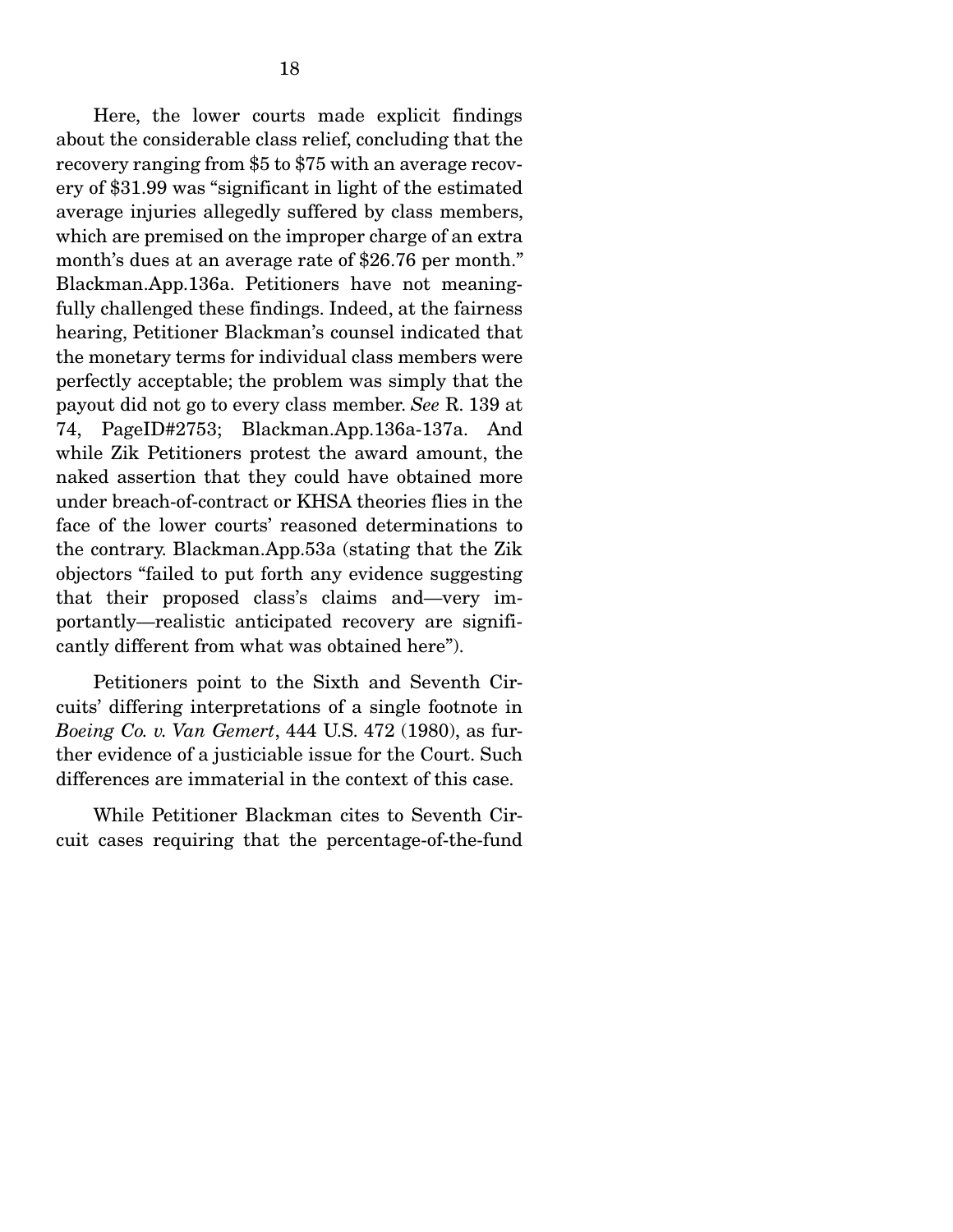Here, the lower courts made explicit findings about the considerable class relief, concluding that the recovery ranging from \$5 to \$75 with an average recovery of \$31.99 was "significant in light of the estimated average injuries allegedly suffered by class members, which are premised on the improper charge of an extra month's dues at an average rate of \$26.76 per month." Blackman.App.136a. Petitioners have not meaningfully challenged these findings. Indeed, at the fairness hearing, Petitioner Blackman's counsel indicated that the monetary terms for individual class members were perfectly acceptable; the problem was simply that the payout did not go to every class member. *See* R. 139 at 74, PageID#2753; Blackman.App.136a-137a. And while Zik Petitioners protest the award amount, the naked assertion that they could have obtained more under breach-of-contract or KHSA theories flies in the face of the lower courts' reasoned determinations to the contrary. Blackman.App.53a (stating that the Zik objectors "failed to put forth any evidence suggesting that their proposed class's claims and—very importantly—realistic anticipated recovery are significantly different from what was obtained here").

 Petitioners point to the Sixth and Seventh Circuits' differing interpretations of a single footnote in *Boeing Co. v. Van Gemert*, 444 U.S. 472 (1980), as further evidence of a justiciable issue for the Court. Such differences are immaterial in the context of this case.

 While Petitioner Blackman cites to Seventh Circuit cases requiring that the percentage-of-the-fund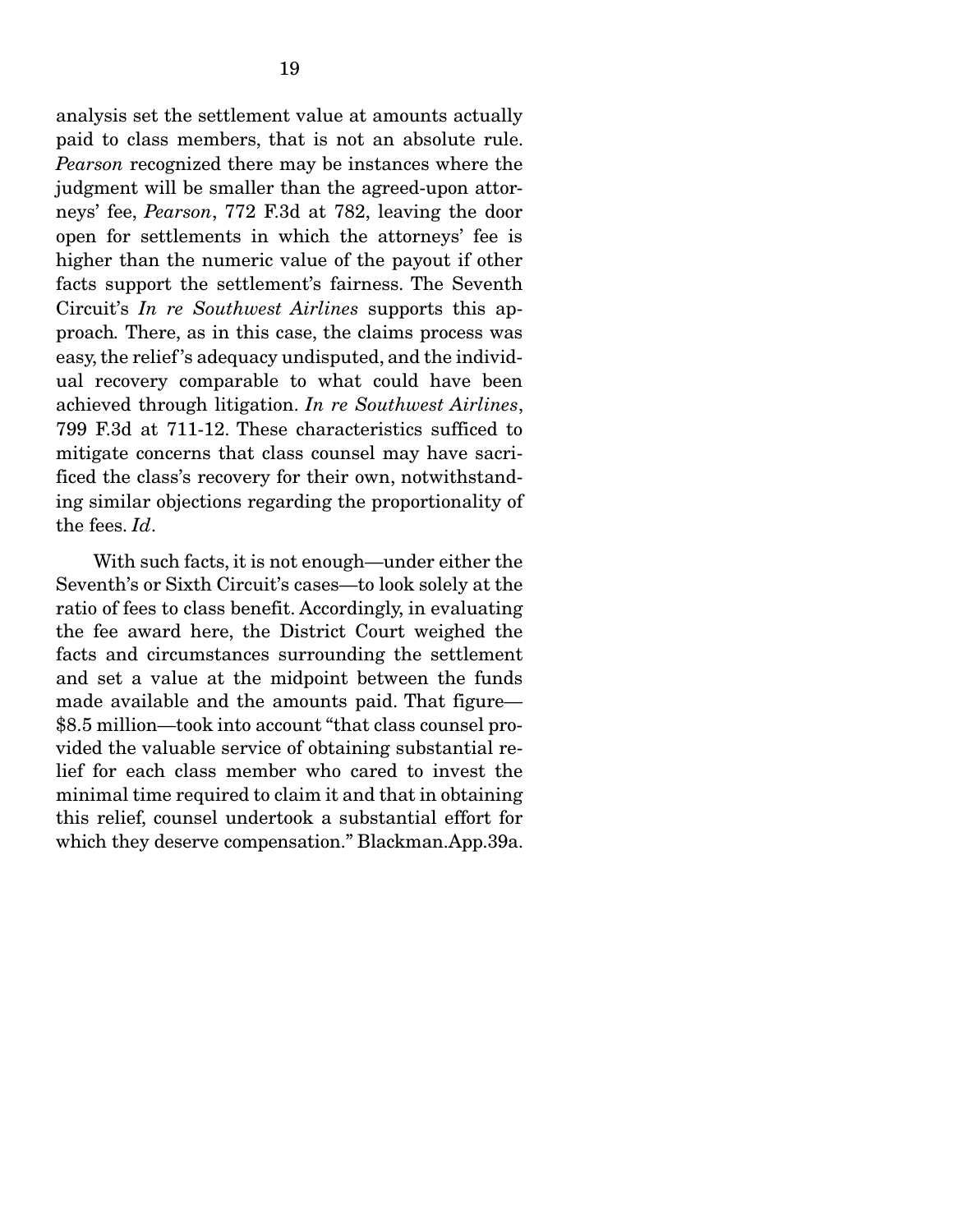analysis set the settlement value at amounts actually paid to class members, that is not an absolute rule. *Pearson* recognized there may be instances where the judgment will be smaller than the agreed-upon attorneys' fee, *Pearson*, 772 F.3d at 782, leaving the door open for settlements in which the attorneys' fee is higher than the numeric value of the payout if other facts support the settlement's fairness. The Seventh Circuit's *In re Southwest Airlines* supports this approach*.* There, as in this case, the claims process was easy, the relief 's adequacy undisputed, and the individual recovery comparable to what could have been achieved through litigation. *In re Southwest Airlines*, 799 F.3d at 711-12. These characteristics sufficed to mitigate concerns that class counsel may have sacrificed the class's recovery for their own, notwithstanding similar objections regarding the proportionality of the fees. *Id*.

 With such facts, it is not enough—under either the Seventh's or Sixth Circuit's cases—to look solely at the ratio of fees to class benefit. Accordingly, in evaluating the fee award here, the District Court weighed the facts and circumstances surrounding the settlement and set a value at the midpoint between the funds made available and the amounts paid. That figure— \$8.5 million—took into account "that class counsel provided the valuable service of obtaining substantial relief for each class member who cared to invest the minimal time required to claim it and that in obtaining this relief, counsel undertook a substantial effort for which they deserve compensation." Blackman.App.39a.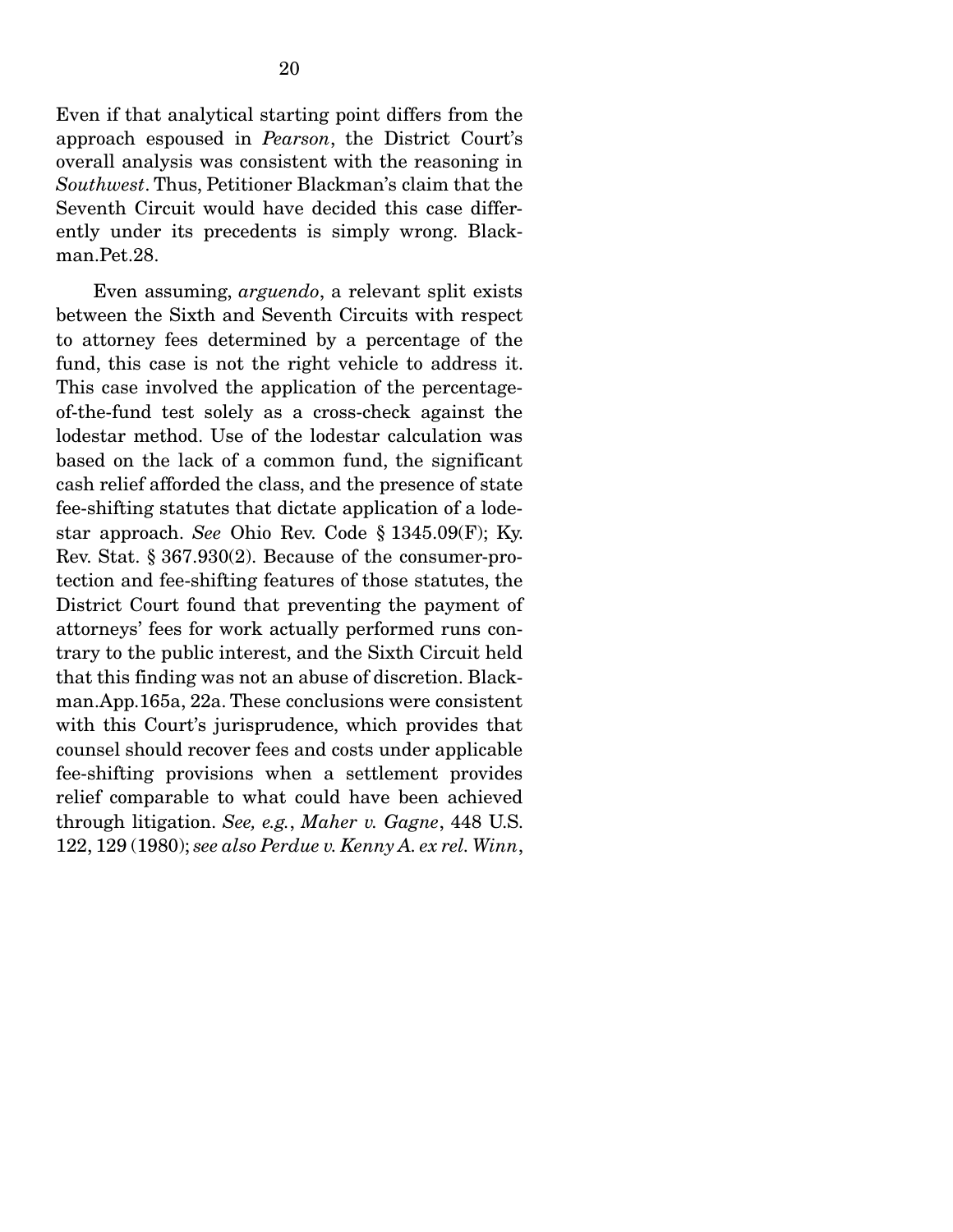Even if that analytical starting point differs from the approach espoused in *Pearson*, the District Court's overall analysis was consistent with the reasoning in *Southwest*. Thus, Petitioner Blackman's claim that the Seventh Circuit would have decided this case differently under its precedents is simply wrong. Blackman.Pet.28.

 Even assuming, *arguendo*, a relevant split exists between the Sixth and Seventh Circuits with respect to attorney fees determined by a percentage of the fund, this case is not the right vehicle to address it. This case involved the application of the percentageof-the-fund test solely as a cross-check against the lodestar method. Use of the lodestar calculation was based on the lack of a common fund, the significant cash relief afforded the class, and the presence of state fee-shifting statutes that dictate application of a lodestar approach. *See* Ohio Rev. Code § 1345.09(F); Ky. Rev. Stat. § 367.930(2). Because of the consumer-protection and fee-shifting features of those statutes, the District Court found that preventing the payment of attorneys' fees for work actually performed runs contrary to the public interest, and the Sixth Circuit held that this finding was not an abuse of discretion. Blackman.App.165a, 22a. These conclusions were consistent with this Court's jurisprudence, which provides that counsel should recover fees and costs under applicable fee-shifting provisions when a settlement provides relief comparable to what could have been achieved through litigation. *See, e.g.*, *Maher v. Gagne*, 448 U.S. 122, 129 (1980); *see also Perdue v. Kenny A. ex rel. Winn*,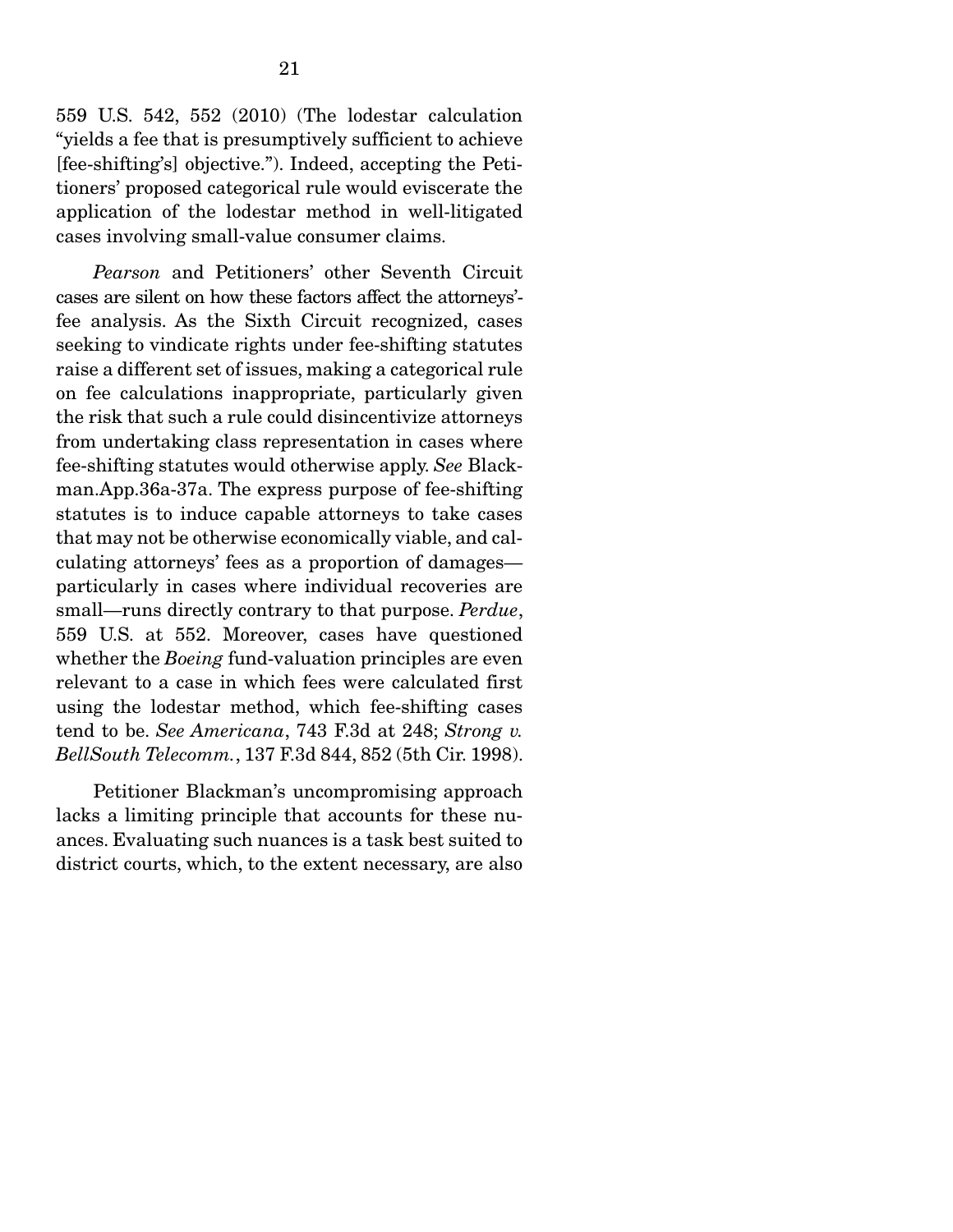559 U.S. 542, 552 (2010) (The lodestar calculation "yields a fee that is presumptively sufficient to achieve [fee-shifting's] objective."). Indeed, accepting the Petitioners' proposed categorical rule would eviscerate the application of the lodestar method in well-litigated cases involving small-value consumer claims.

 *Pearson* and Petitioners' other Seventh Circuit cases are silent on how these factors affect the attorneys' fee analysis. As the Sixth Circuit recognized, cases seeking to vindicate rights under fee-shifting statutes raise a different set of issues, making a categorical rule on fee calculations inappropriate, particularly given the risk that such a rule could disincentivize attorneys from undertaking class representation in cases where fee-shifting statutes would otherwise apply. *See* Blackman.App.36a-37a. The express purpose of fee-shifting statutes is to induce capable attorneys to take cases that may not be otherwise economically viable, and calculating attorneys' fees as a proportion of damages particularly in cases where individual recoveries are small—runs directly contrary to that purpose. *Perdue*, 559 U.S. at 552. Moreover, cases have questioned whether the *Boeing* fund-valuation principles are even relevant to a case in which fees were calculated first using the lodestar method, which fee-shifting cases tend to be. *See Americana*, 743 F.3d at 248; *Strong v. BellSouth Telecomm.*, 137 F.3d 844, 852 (5th Cir. 1998).

 Petitioner Blackman's uncompromising approach lacks a limiting principle that accounts for these nuances. Evaluating such nuances is a task best suited to district courts, which, to the extent necessary, are also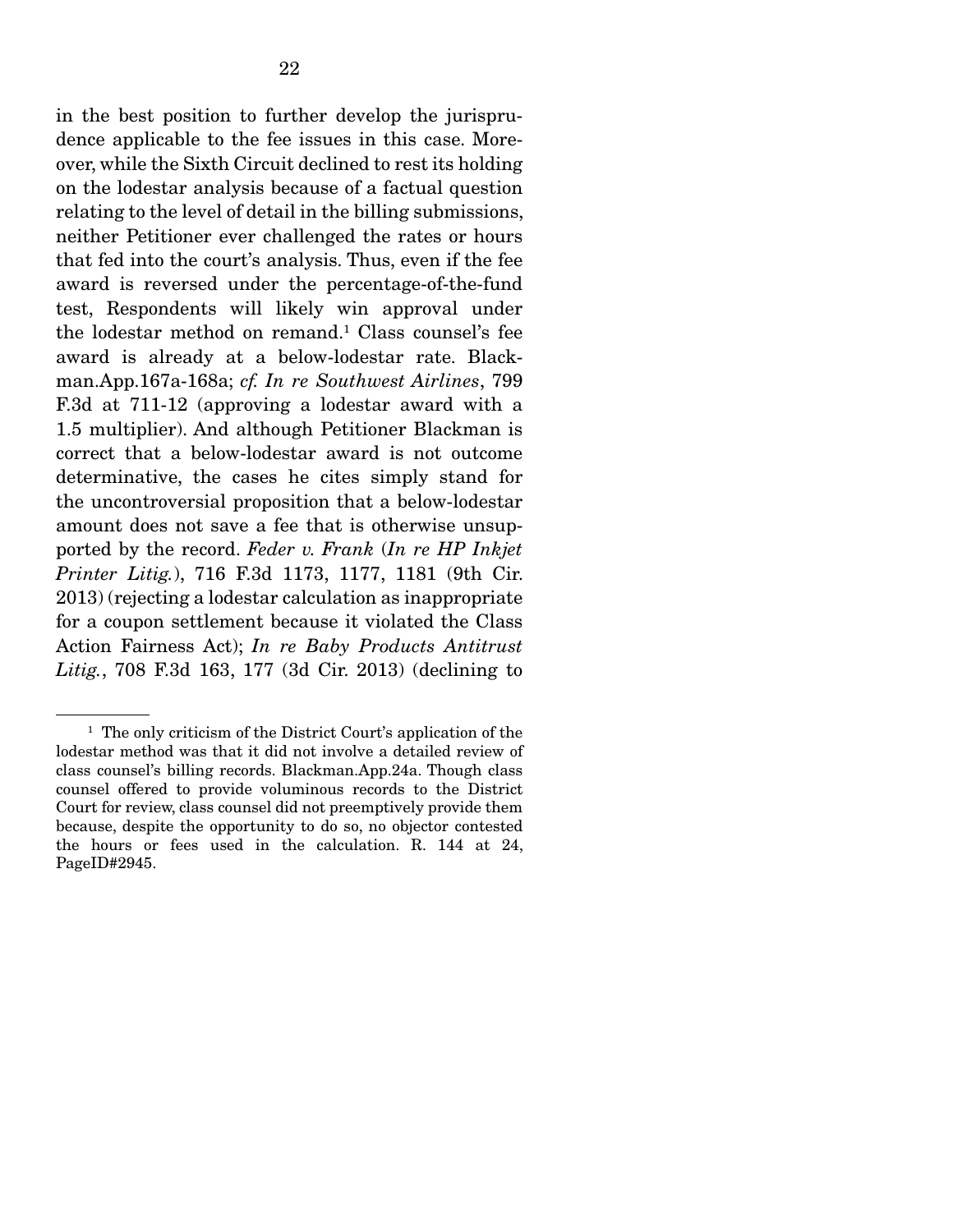in the best position to further develop the jurisprudence applicable to the fee issues in this case. Moreover, while the Sixth Circuit declined to rest its holding on the lodestar analysis because of a factual question relating to the level of detail in the billing submissions, neither Petitioner ever challenged the rates or hours that fed into the court's analysis. Thus, even if the fee award is reversed under the percentage-of-the-fund test, Respondents will likely win approval under the lodestar method on remand.<sup>1</sup> Class counsel's fee award is already at a below-lodestar rate. Blackman.App.167a-168a; *cf. In re Southwest Airlines*, 799 F.3d at 711-12 (approving a lodestar award with a 1.5 multiplier). And although Petitioner Blackman is correct that a below-lodestar award is not outcome determinative, the cases he cites simply stand for the uncontroversial proposition that a below-lodestar amount does not save a fee that is otherwise unsupported by the record. *Feder v. Frank* (*In re HP Inkjet Printer Litig.*), 716 F.3d 1173, 1177, 1181 (9th Cir. 2013) (rejecting a lodestar calculation as inappropriate for a coupon settlement because it violated the Class Action Fairness Act); *In re Baby Products Antitrust Litig.*, 708 F.3d 163, 177 (3d Cir. 2013) (declining to

<sup>&</sup>lt;sup>1</sup> The only criticism of the District Court's application of the lodestar method was that it did not involve a detailed review of class counsel's billing records. Blackman.App.24a. Though class counsel offered to provide voluminous records to the District Court for review, class counsel did not preemptively provide them because, despite the opportunity to do so, no objector contested the hours or fees used in the calculation. R. 144 at 24, PageID#2945.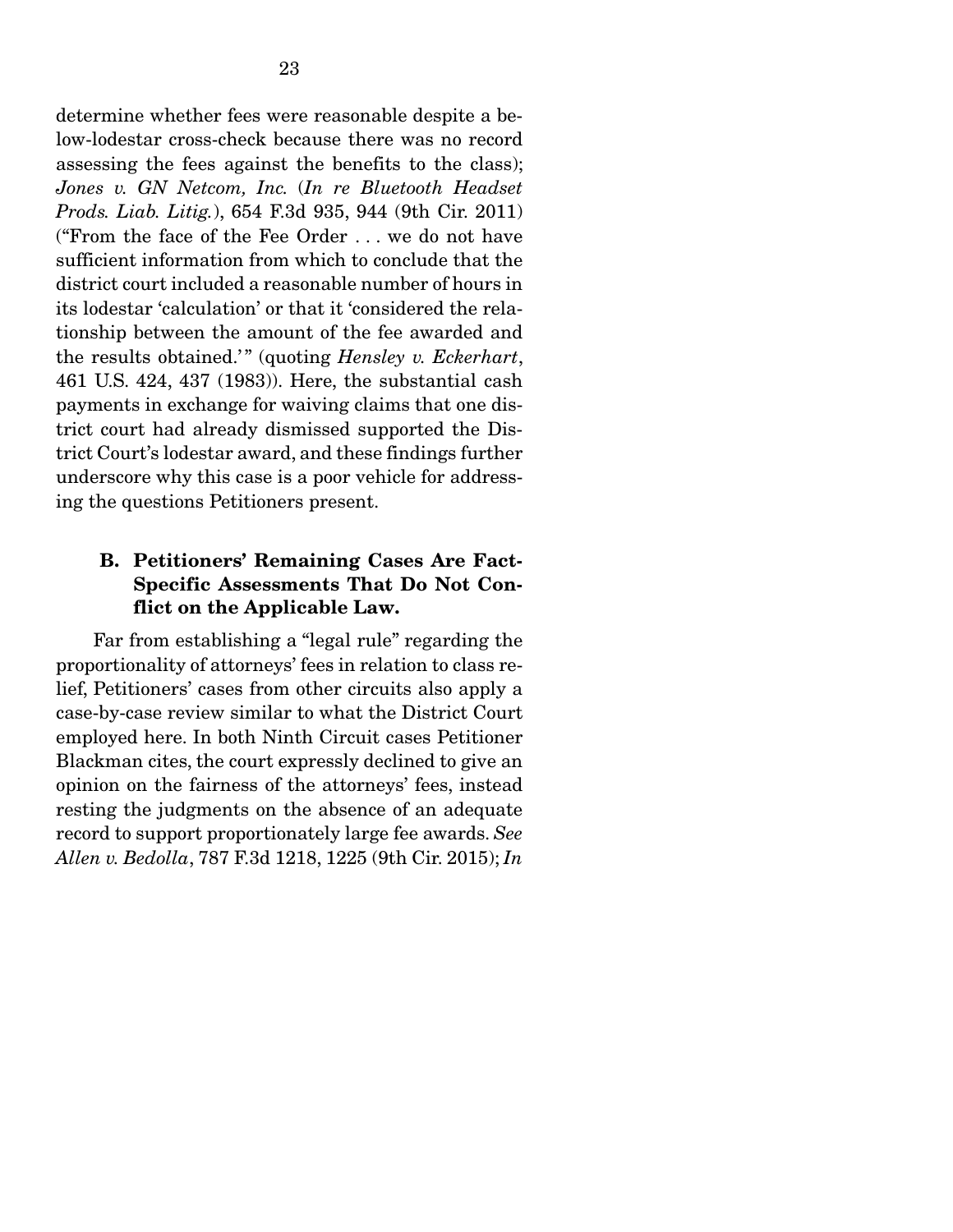determine whether fees were reasonable despite a below-lodestar cross-check because there was no record assessing the fees against the benefits to the class); *Jones v. GN Netcom, Inc.* (*In re Bluetooth Headset Prods. Liab. Litig.*), 654 F.3d 935, 944 (9th Cir. 2011) ("From the face of the Fee Order . . . we do not have sufficient information from which to conclude that the district court included a reasonable number of hours in its lodestar 'calculation' or that it 'considered the relationship between the amount of the fee awarded and the results obtained.'" (quoting *Hensley v. Eckerhart*, 461 U.S. 424, 437 (1983)). Here, the substantial cash payments in exchange for waiving claims that one district court had already dismissed supported the District Court's lodestar award, and these findings further underscore why this case is a poor vehicle for addressing the questions Petitioners present.

### B. Petitioners' Remaining Cases Are Fact-Specific Assessments That Do Not Conflict on the Applicable Law.

 Far from establishing a "legal rule" regarding the proportionality of attorneys' fees in relation to class relief, Petitioners' cases from other circuits also apply a case-by-case review similar to what the District Court employed here. In both Ninth Circuit cases Petitioner Blackman cites, the court expressly declined to give an opinion on the fairness of the attorneys' fees, instead resting the judgments on the absence of an adequate record to support proportionately large fee awards. *See Allen v. Bedolla*, 787 F.3d 1218, 1225 (9th Cir. 2015); *In*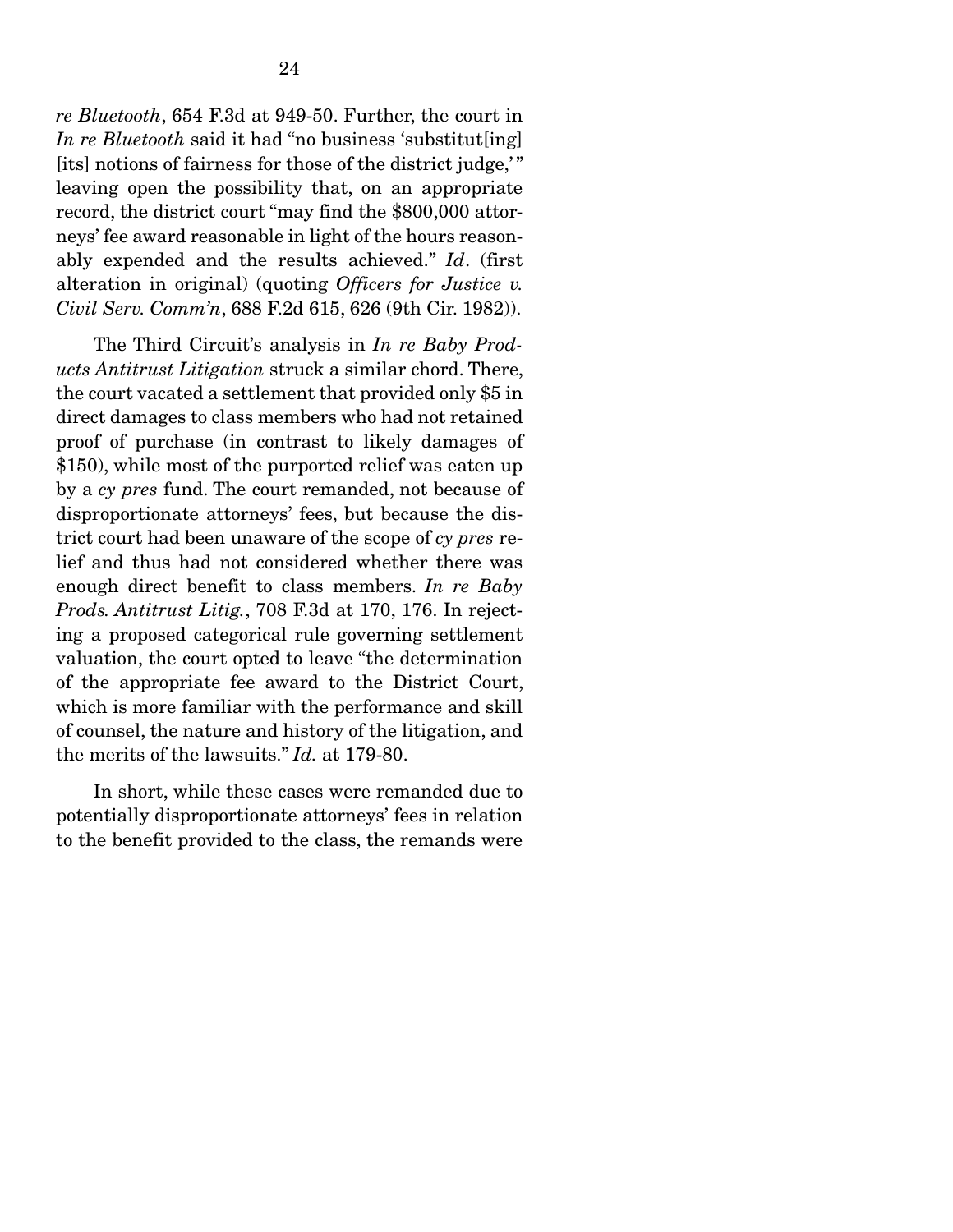*re Bluetooth*, 654 F.3d at 949-50. Further, the court in *In re Bluetooth* said it had "no business 'substitut[ing] [its] notions of fairness for those of the district judge," leaving open the possibility that, on an appropriate record, the district court "may find the \$800,000 attorneys' fee award reasonable in light of the hours reasonably expended and the results achieved." *Id*. (first alteration in original) (quoting *Officers for Justice v. Civil Serv. Comm'n*, 688 F.2d 615, 626 (9th Cir. 1982)).

 The Third Circuit's analysis in *In re Baby Products Antitrust Litigation* struck a similar chord. There, the court vacated a settlement that provided only \$5 in direct damages to class members who had not retained proof of purchase (in contrast to likely damages of \$150), while most of the purported relief was eaten up by a *cy pres* fund. The court remanded, not because of disproportionate attorneys' fees, but because the district court had been unaware of the scope of *cy pres* relief and thus had not considered whether there was enough direct benefit to class members. *In re Baby Prods. Antitrust Litig.*, 708 F.3d at 170, 176. In rejecting a proposed categorical rule governing settlement valuation, the court opted to leave "the determination of the appropriate fee award to the District Court, which is more familiar with the performance and skill of counsel, the nature and history of the litigation, and the merits of the lawsuits." *Id.* at 179-80.

 In short, while these cases were remanded due to potentially disproportionate attorneys' fees in relation to the benefit provided to the class, the remands were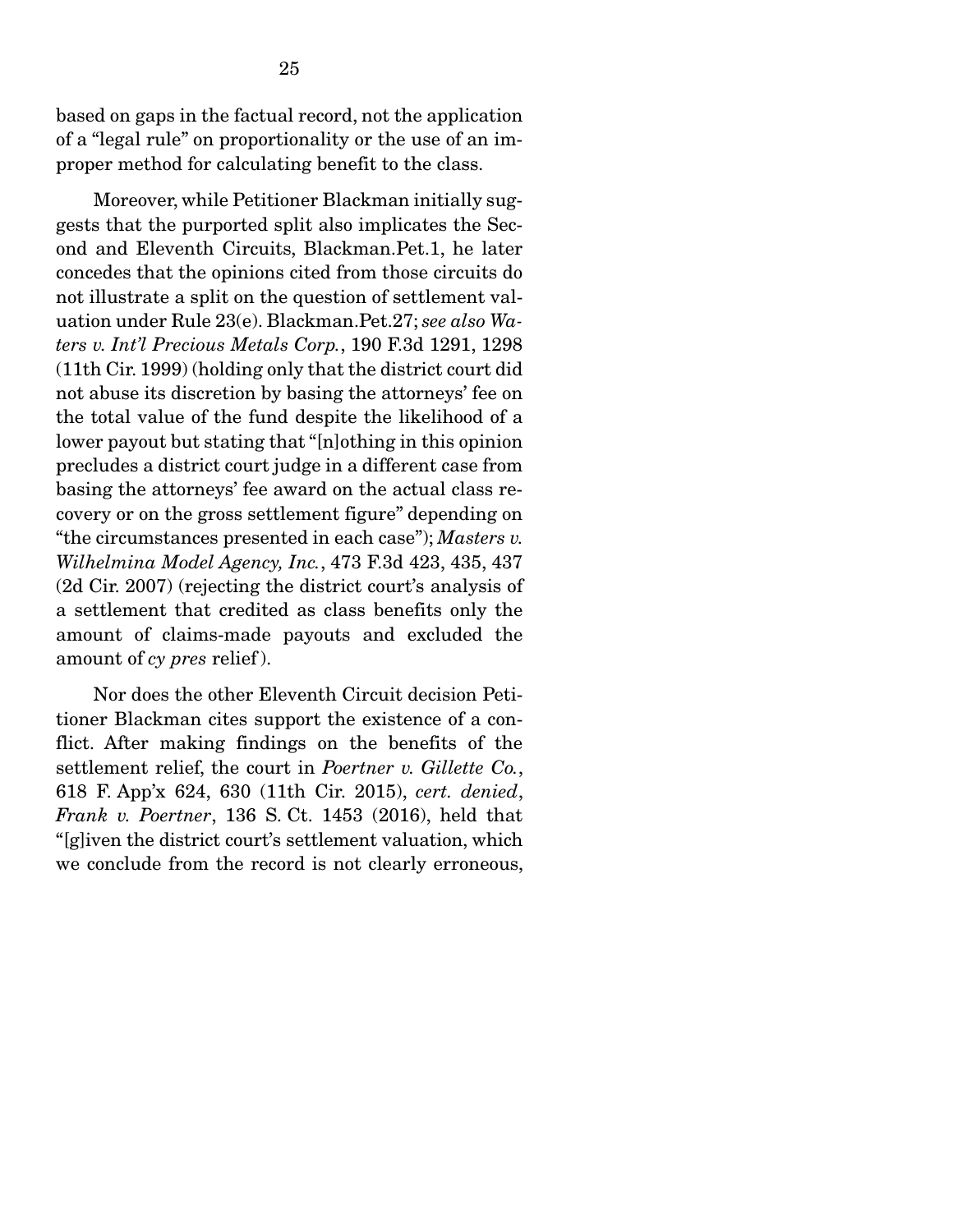based on gaps in the factual record, not the application of a "legal rule" on proportionality or the use of an improper method for calculating benefit to the class.

 Moreover, while Petitioner Blackman initially suggests that the purported split also implicates the Second and Eleventh Circuits, Blackman.Pet.1, he later concedes that the opinions cited from those circuits do not illustrate a split on the question of settlement valuation under Rule 23(e). Blackman.Pet.27; *see also Waters v. Int'l Precious Metals Corp.*, 190 F.3d 1291, 1298 (11th Cir. 1999) (holding only that the district court did not abuse its discretion by basing the attorneys' fee on the total value of the fund despite the likelihood of a lower payout but stating that "[n]othing in this opinion precludes a district court judge in a different case from basing the attorneys' fee award on the actual class recovery or on the gross settlement figure" depending on "the circumstances presented in each case"); *Masters v. Wilhelmina Model Agency, Inc.*, 473 F.3d 423, 435, 437 (2d Cir. 2007) (rejecting the district court's analysis of a settlement that credited as class benefits only the amount of claims-made payouts and excluded the amount of *cy pres* relief ).

 Nor does the other Eleventh Circuit decision Petitioner Blackman cites support the existence of a conflict. After making findings on the benefits of the settlement relief, the court in *Poertner v. Gillette Co.*, 618 F. App'x 624, 630 (11th Cir. 2015), *cert. denied*, *Frank v. Poertner*, 136 S. Ct. 1453 (2016), held that "[g]iven the district court's settlement valuation, which we conclude from the record is not clearly erroneous,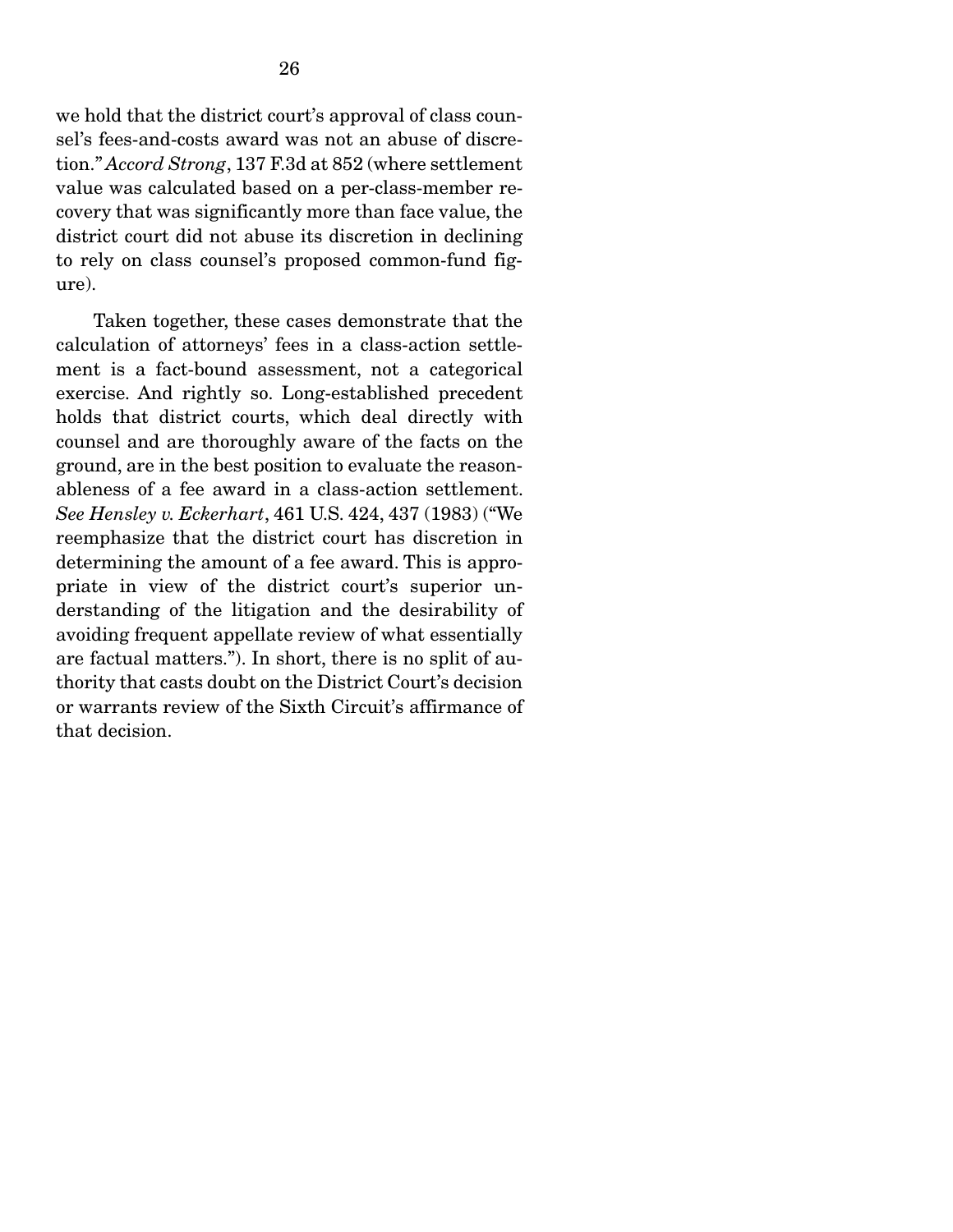we hold that the district court's approval of class counsel's fees-and-costs award was not an abuse of discretion." *Accord Strong*, 137 F.3d at 852 (where settlement value was calculated based on a per-class-member recovery that was significantly more than face value, the district court did not abuse its discretion in declining to rely on class counsel's proposed common-fund figure).

 Taken together, these cases demonstrate that the calculation of attorneys' fees in a class-action settlement is a fact-bound assessment, not a categorical exercise. And rightly so. Long-established precedent holds that district courts, which deal directly with counsel and are thoroughly aware of the facts on the ground, are in the best position to evaluate the reasonableness of a fee award in a class-action settlement. *See Hensley v. Eckerhart*, 461 U.S. 424, 437 (1983) ("We reemphasize that the district court has discretion in determining the amount of a fee award. This is appropriate in view of the district court's superior understanding of the litigation and the desirability of avoiding frequent appellate review of what essentially are factual matters."). In short, there is no split of authority that casts doubt on the District Court's decision or warrants review of the Sixth Circuit's affirmance of that decision.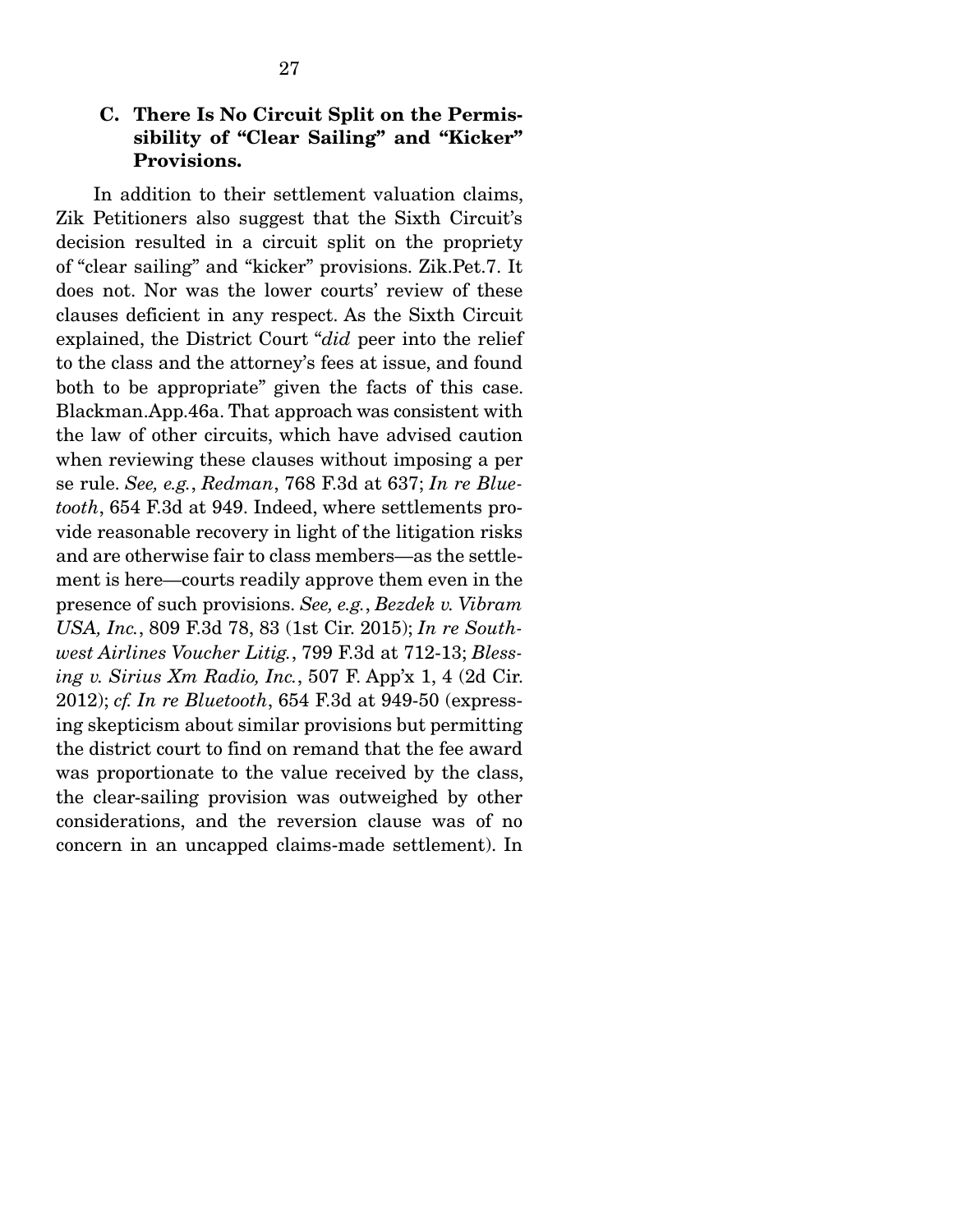### C. There Is No Circuit Split on the Permissibility of "Clear Sailing" and "Kicker" Provisions.

 In addition to their settlement valuation claims, Zik Petitioners also suggest that the Sixth Circuit's decision resulted in a circuit split on the propriety of "clear sailing" and "kicker" provisions. Zik.Pet.7. It does not. Nor was the lower courts' review of these clauses deficient in any respect. As the Sixth Circuit explained, the District Court "*did* peer into the relief to the class and the attorney's fees at issue, and found both to be appropriate" given the facts of this case. Blackman.App.46a. That approach was consistent with the law of other circuits, which have advised caution when reviewing these clauses without imposing a per se rule. *See, e.g.*, *Redman*, 768 F.3d at 637; *In re Bluetooth*, 654 F.3d at 949. Indeed, where settlements provide reasonable recovery in light of the litigation risks and are otherwise fair to class members—as the settlement is here—courts readily approve them even in the presence of such provisions. *See, e.g.*, *Bezdek v. Vibram USA, Inc.*, 809 F.3d 78, 83 (1st Cir. 2015); *In re Southwest Airlines Voucher Litig.*, 799 F.3d at 712-13; *Blessing v. Sirius Xm Radio, Inc.*, 507 F. App'x 1, 4 (2d Cir. 2012); *cf. In re Bluetooth*, 654 F.3d at 949-50 (expressing skepticism about similar provisions but permitting the district court to find on remand that the fee award was proportionate to the value received by the class, the clear-sailing provision was outweighed by other considerations, and the reversion clause was of no concern in an uncapped claims-made settlement). In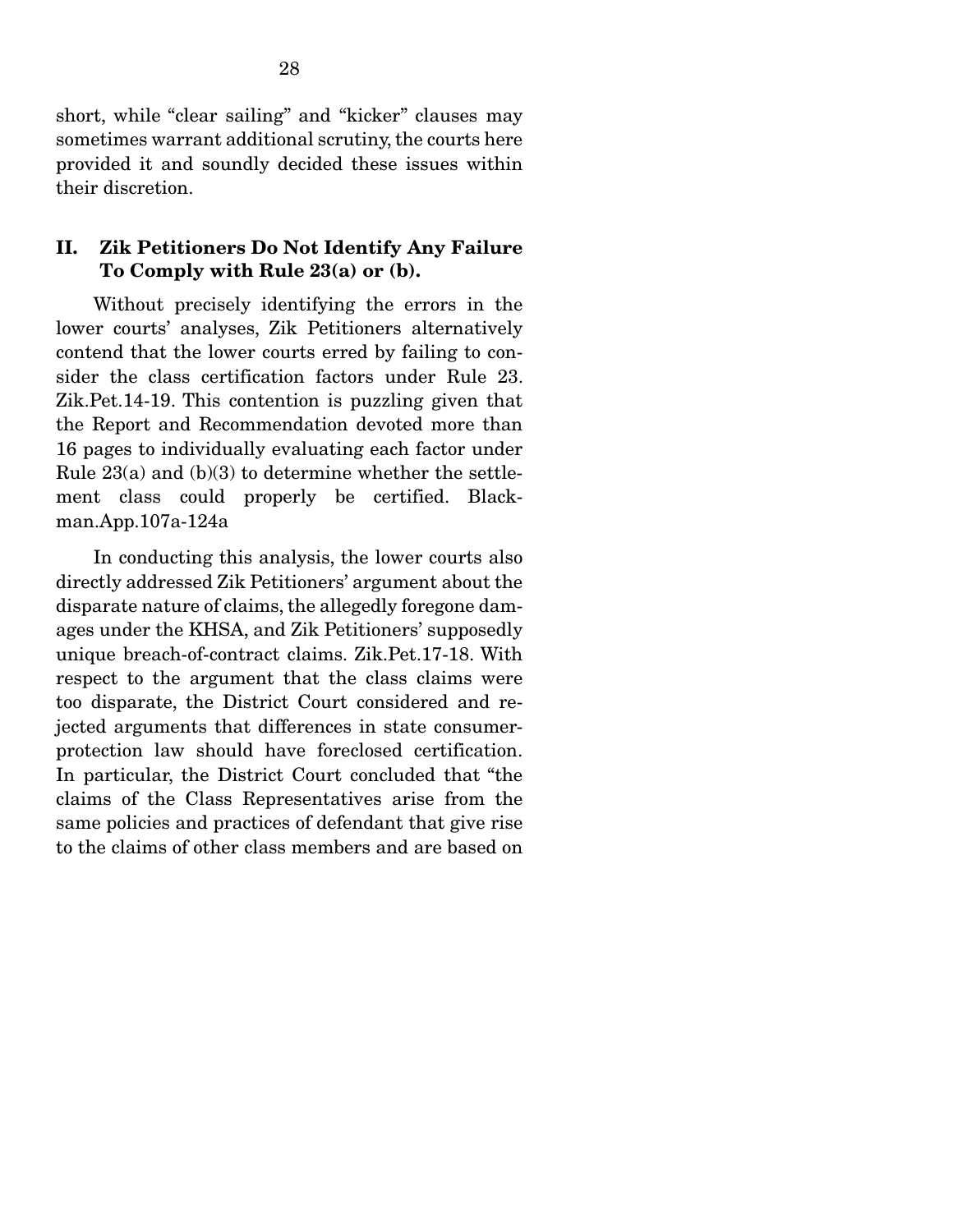short, while "clear sailing" and "kicker" clauses may sometimes warrant additional scrutiny, the courts here provided it and soundly decided these issues within their discretion.

#### II. Zik Petitioners Do Not Identify Any Failure To Comply with Rule 23(a) or (b).

 Without precisely identifying the errors in the lower courts' analyses, Zik Petitioners alternatively contend that the lower courts erred by failing to consider the class certification factors under Rule 23. Zik.Pet.14-19. This contention is puzzling given that the Report and Recommendation devoted more than 16 pages to individually evaluating each factor under Rule  $23(a)$  and  $(b)(3)$  to determine whether the settlement class could properly be certified. Blackman.App.107a-124a

 In conducting this analysis, the lower courts also directly addressed Zik Petitioners' argument about the disparate nature of claims, the allegedly foregone damages under the KHSA, and Zik Petitioners' supposedly unique breach-of-contract claims. Zik.Pet.17-18. With respect to the argument that the class claims were too disparate, the District Court considered and rejected arguments that differences in state consumerprotection law should have foreclosed certification. In particular, the District Court concluded that "the claims of the Class Representatives arise from the same policies and practices of defendant that give rise to the claims of other class members and are based on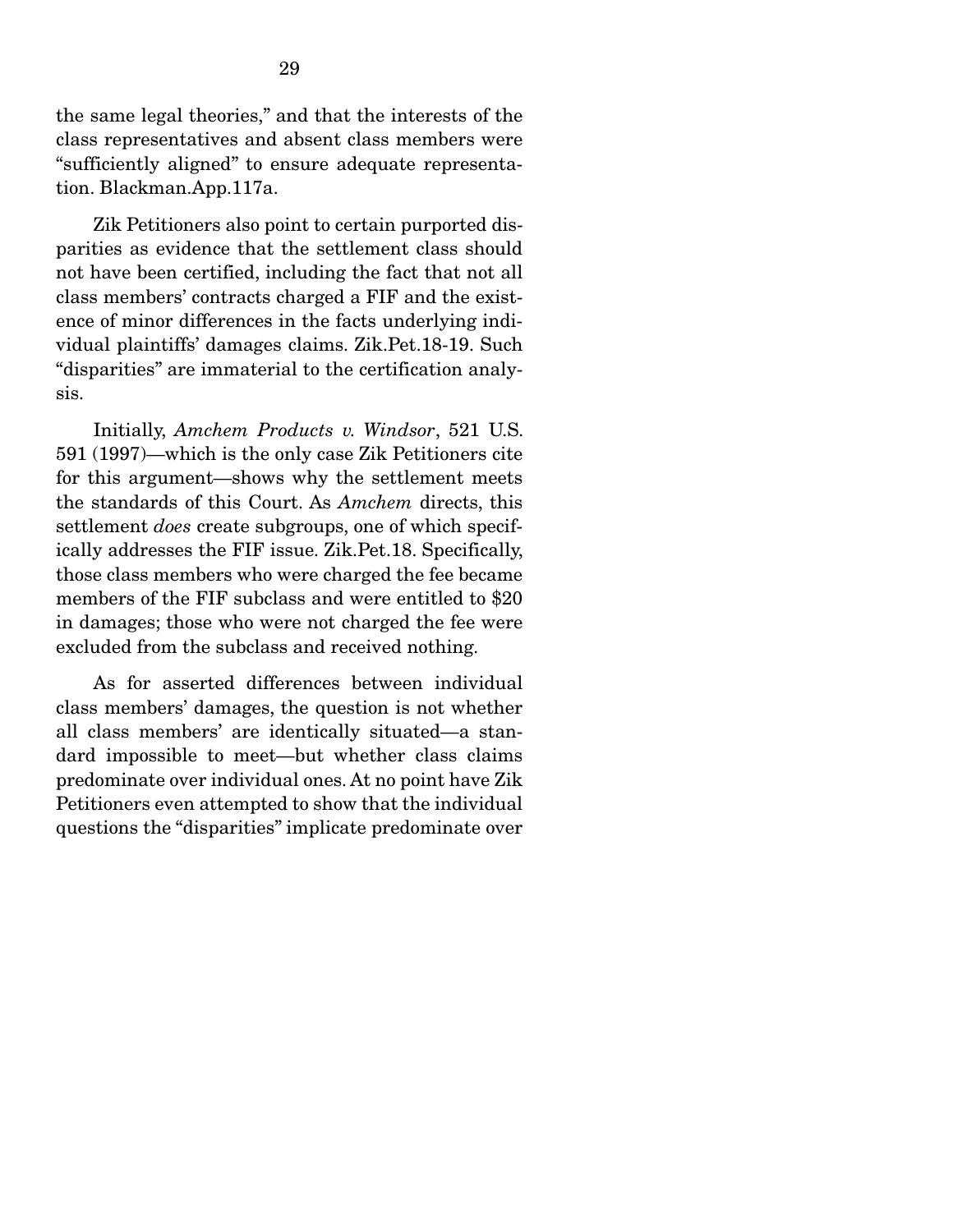the same legal theories," and that the interests of the class representatives and absent class members were "sufficiently aligned" to ensure adequate representation. Blackman.App.117a.

 Zik Petitioners also point to certain purported disparities as evidence that the settlement class should not have been certified, including the fact that not all class members' contracts charged a FIF and the existence of minor differences in the facts underlying individual plaintiffs' damages claims. Zik.Pet.18-19. Such "disparities" are immaterial to the certification analysis.

 Initially, *Amchem Products v. Windsor*, 521 U.S. 591 (1997)—which is the only case Zik Petitioners cite for this argument—shows why the settlement meets the standards of this Court. As *Amchem* directs, this settlement *does* create subgroups, one of which specifically addresses the FIF issue. Zik.Pet.18. Specifically, those class members who were charged the fee became members of the FIF subclass and were entitled to \$20 in damages; those who were not charged the fee were excluded from the subclass and received nothing.

 As for asserted differences between individual class members' damages, the question is not whether all class members' are identically situated—a standard impossible to meet—but whether class claims predominate over individual ones. At no point have Zik Petitioners even attempted to show that the individual questions the "disparities" implicate predominate over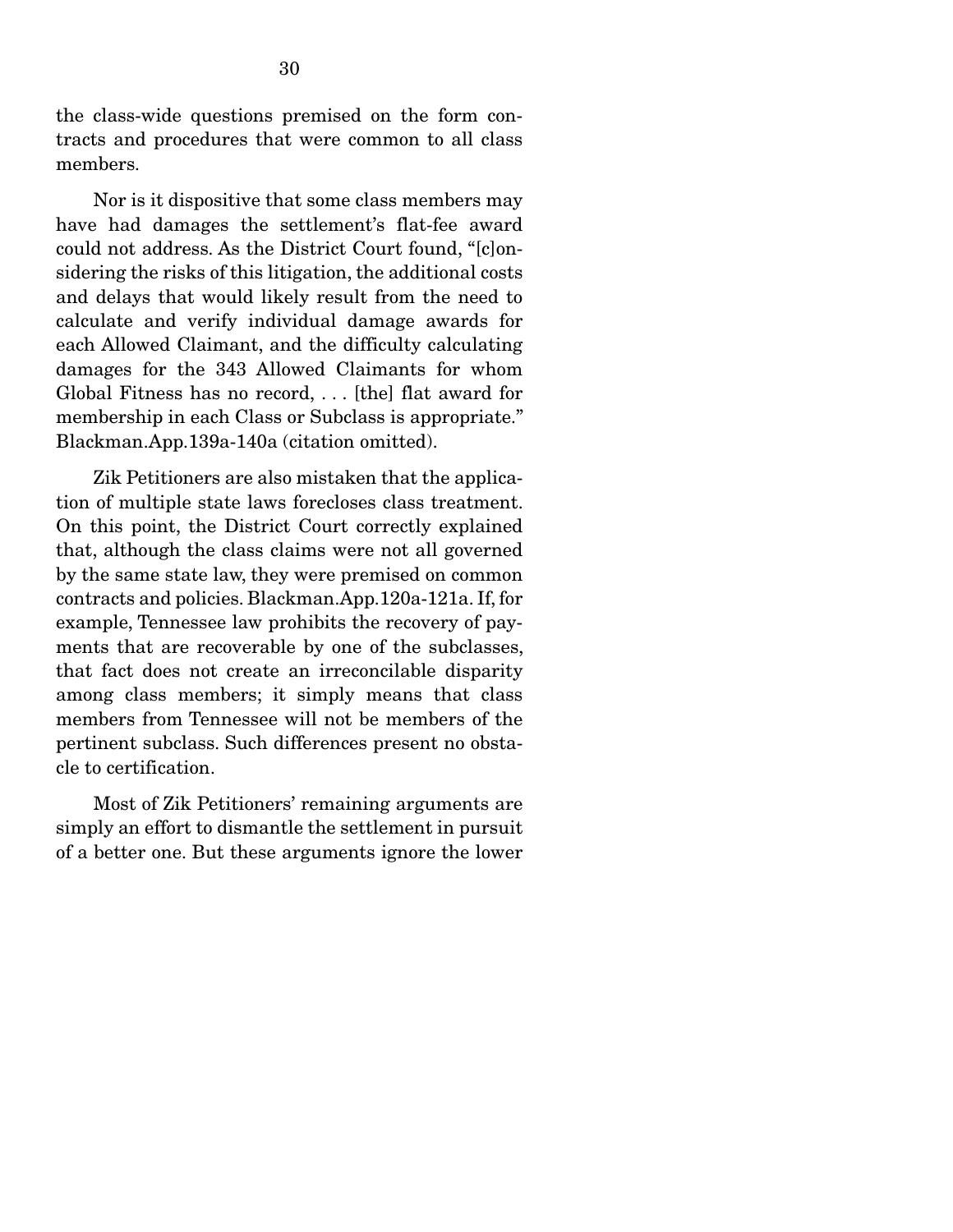the class-wide questions premised on the form contracts and procedures that were common to all class members.

 Nor is it dispositive that some class members may have had damages the settlement's flat-fee award could not address. As the District Court found, "[c]onsidering the risks of this litigation, the additional costs and delays that would likely result from the need to calculate and verify individual damage awards for each Allowed Claimant, and the difficulty calculating damages for the 343 Allowed Claimants for whom Global Fitness has no record, . . . [the] flat award for membership in each Class or Subclass is appropriate." Blackman.App.139a-140a (citation omitted).

 Zik Petitioners are also mistaken that the application of multiple state laws forecloses class treatment. On this point, the District Court correctly explained that, although the class claims were not all governed by the same state law, they were premised on common contracts and policies. Blackman.App.120a-121a. If, for example, Tennessee law prohibits the recovery of payments that are recoverable by one of the subclasses, that fact does not create an irreconcilable disparity among class members; it simply means that class members from Tennessee will not be members of the pertinent subclass. Such differences present no obstacle to certification.

 Most of Zik Petitioners' remaining arguments are simply an effort to dismantle the settlement in pursuit of a better one. But these arguments ignore the lower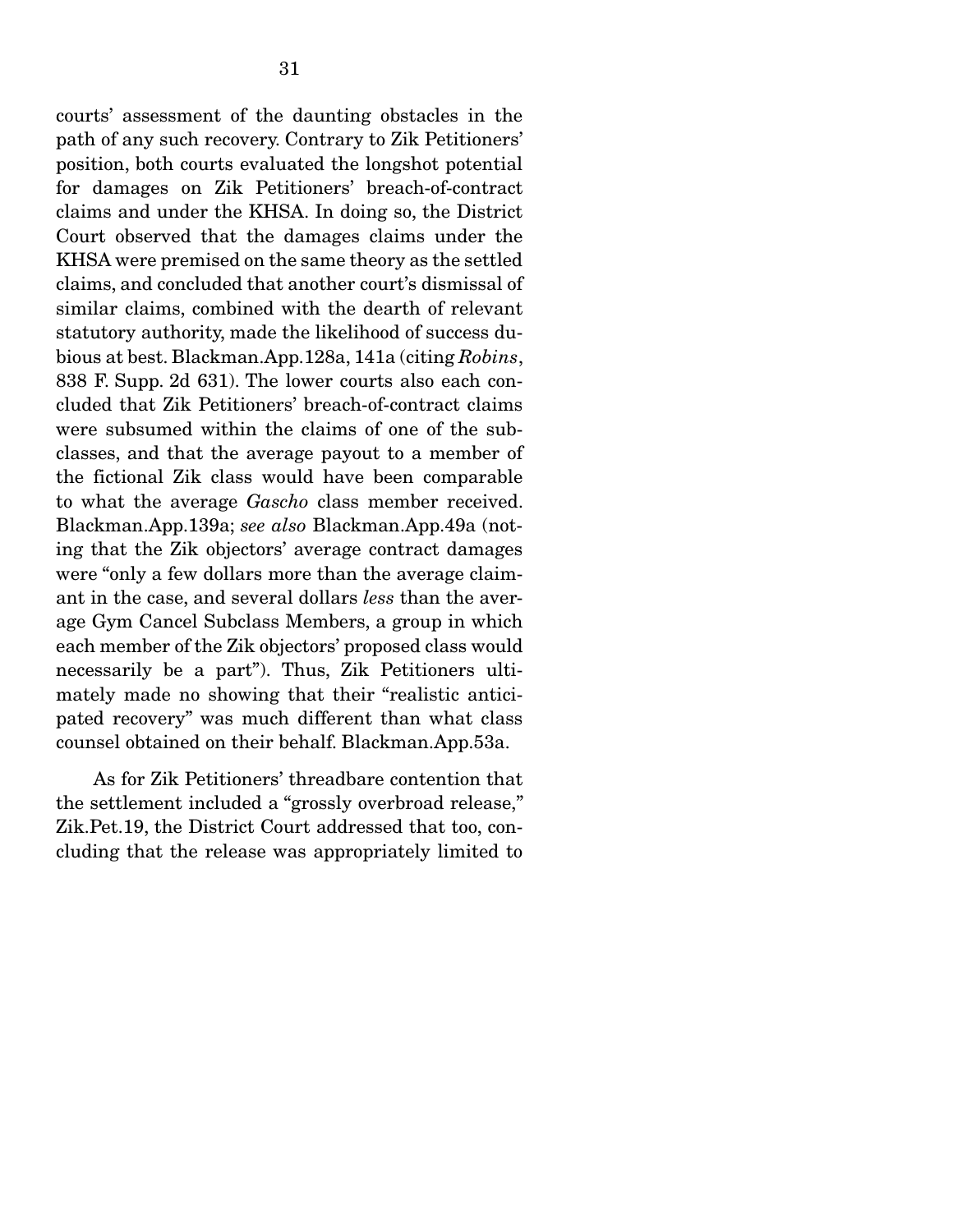path of any such recovery. Contrary to Zik Petitioners' position, both courts evaluated the longshot potential for damages on Zik Petitioners' breach-of-contract claims and under the KHSA. In doing so, the District Court observed that the damages claims under the KHSA were premised on the same theory as the settled claims, and concluded that another court's dismissal of similar claims, combined with the dearth of relevant statutory authority, made the likelihood of success dubious at best. Blackman.App.128a, 141a (citing *Robins*, 838 F. Supp. 2d 631). The lower courts also each concluded that Zik Petitioners' breach-of-contract claims were subsumed within the claims of one of the subclasses, and that the average payout to a member of the fictional Zik class would have been comparable to what the average *Gascho* class member received. Blackman.App.139a; *see also* Blackman.App.49a (noting that the Zik objectors' average contract damages were "only a few dollars more than the average claimant in the case, and several dollars *less* than the average Gym Cancel Subclass Members, a group in which each member of the Zik objectors' proposed class would necessarily be a part"). Thus, Zik Petitioners ultimately made no showing that their "realistic anticipated recovery" was much different than what class counsel obtained on their behalf. Blackman.App.53a.

 As for Zik Petitioners' threadbare contention that the settlement included a "grossly overbroad release," Zik.Pet.19, the District Court addressed that too, concluding that the release was appropriately limited to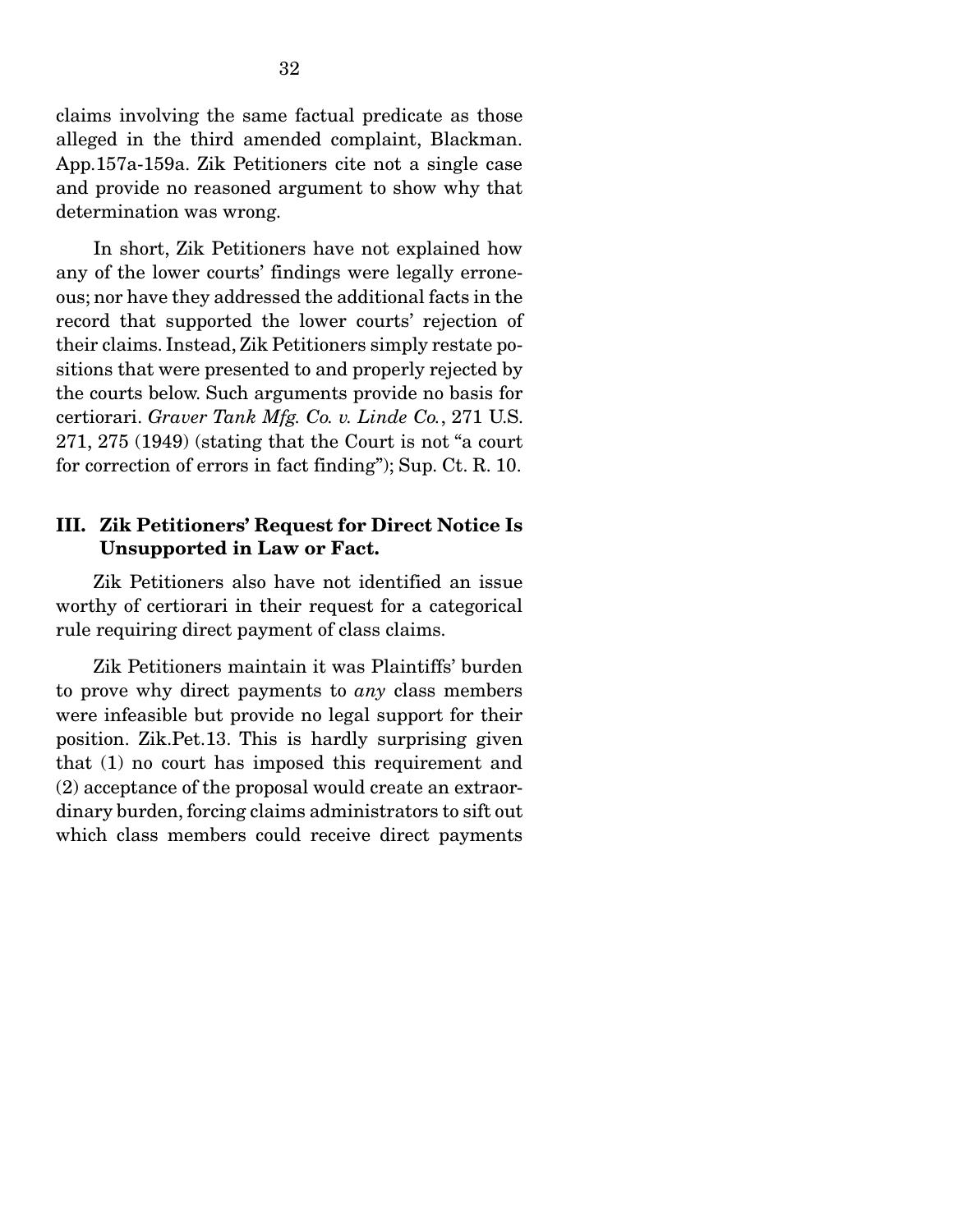claims involving the same factual predicate as those alleged in the third amended complaint, Blackman. App.157a-159a. Zik Petitioners cite not a single case and provide no reasoned argument to show why that determination was wrong.

 In short, Zik Petitioners have not explained how any of the lower courts' findings were legally erroneous; nor have they addressed the additional facts in the record that supported the lower courts' rejection of their claims. Instead, Zik Petitioners simply restate positions that were presented to and properly rejected by the courts below. Such arguments provide no basis for certiorari. *Graver Tank Mfg. Co. v. Linde Co.*, 271 U.S. 271, 275 (1949) (stating that the Court is not "a court for correction of errors in fact finding"); Sup. Ct. R. 10.

#### III. Zik Petitioners' Request for Direct Notice Is Unsupported in Law or Fact.

 Zik Petitioners also have not identified an issue worthy of certiorari in their request for a categorical rule requiring direct payment of class claims.

 Zik Petitioners maintain it was Plaintiffs' burden to prove why direct payments to *any* class members were infeasible but provide no legal support for their position. Zik.Pet.13. This is hardly surprising given that (1) no court has imposed this requirement and (2) acceptance of the proposal would create an extraordinary burden, forcing claims administrators to sift out which class members could receive direct payments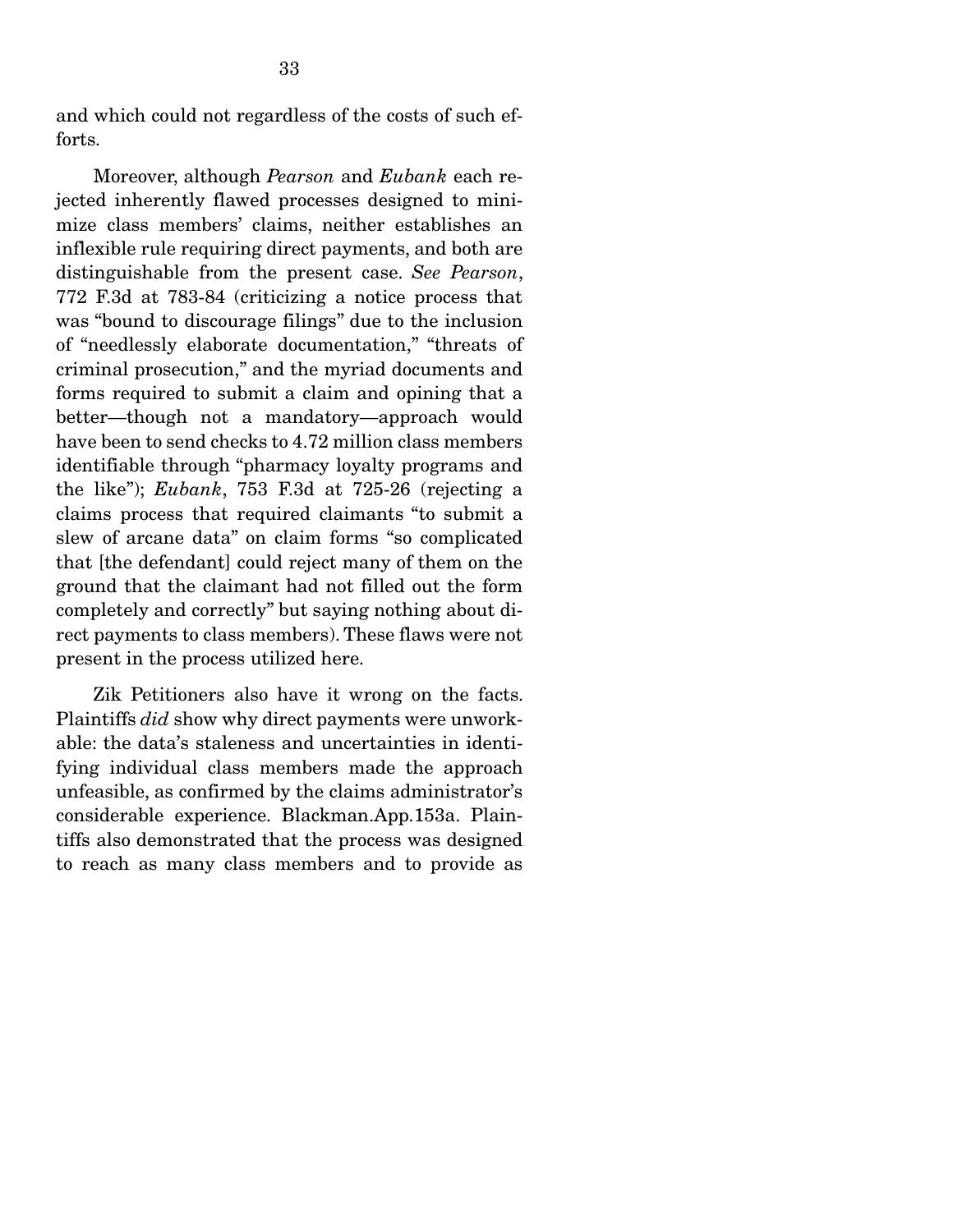and which could not regardless of the costs of such efforts.

 Moreover, although *Pearson* and *Eubank* each rejected inherently flawed processes designed to minimize class members' claims, neither establishes an inflexible rule requiring direct payments, and both are distinguishable from the present case. *See Pearson*, 772 F.3d at 783-84 (criticizing a notice process that was "bound to discourage filings" due to the inclusion of "needlessly elaborate documentation," "threats of criminal prosecution," and the myriad documents and forms required to submit a claim and opining that a better—though not a mandatory—approach would have been to send checks to 4.72 million class members identifiable through "pharmacy loyalty programs and the like"); *Eubank*, 753 F.3d at 725-26 (rejecting a claims process that required claimants "to submit a slew of arcane data" on claim forms "so complicated that [the defendant] could reject many of them on the ground that the claimant had not filled out the form completely and correctly" but saying nothing about direct payments to class members). These flaws were not present in the process utilized here.

 Zik Petitioners also have it wrong on the facts. Plaintiffs *did* show why direct payments were unworkable: the data's staleness and uncertainties in identifying individual class members made the approach unfeasible, as confirmed by the claims administrator's considerable experience. Blackman.App.153a. Plaintiffs also demonstrated that the process was designed to reach as many class members and to provide as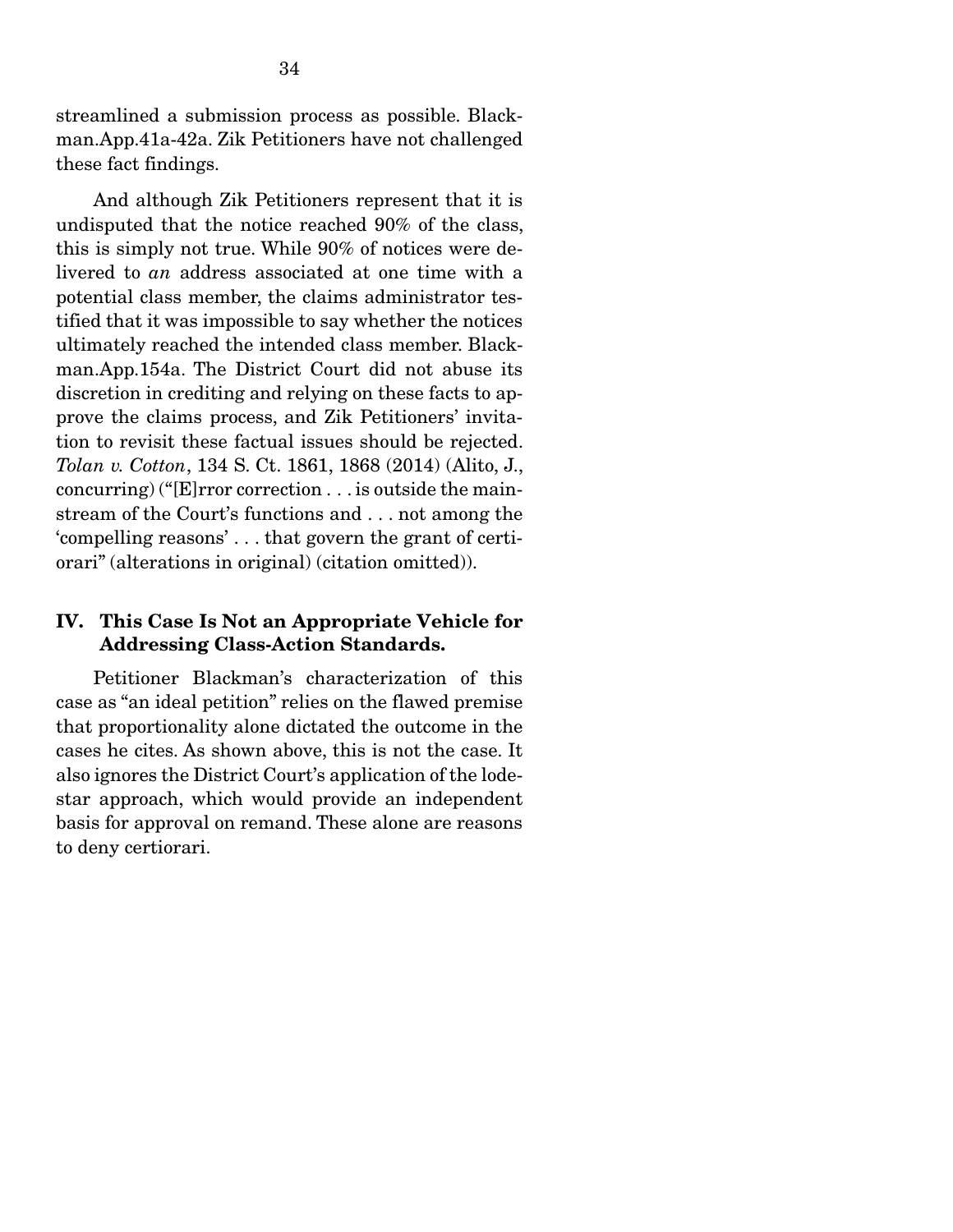streamlined a submission process as possible. Blackman.App.41a-42a. Zik Petitioners have not challenged these fact findings.

 And although Zik Petitioners represent that it is undisputed that the notice reached 90% of the class, this is simply not true. While 90% of notices were delivered to *an* address associated at one time with a potential class member, the claims administrator testified that it was impossible to say whether the notices ultimately reached the intended class member. Blackman.App.154a. The District Court did not abuse its discretion in crediting and relying on these facts to approve the claims process, and Zik Petitioners' invitation to revisit these factual issues should be rejected. *Tolan v. Cotton*, 134 S. Ct. 1861, 1868 (2014) (Alito, J., concurring) ("[E]rror correction . . . is outside the mainstream of the Court's functions and . . . not among the 'compelling reasons' . . . that govern the grant of certiorari" (alterations in original) (citation omitted)).

#### IV. This Case Is Not an Appropriate Vehicle for Addressing Class-Action Standards.

 Petitioner Blackman's characterization of this case as "an ideal petition" relies on the flawed premise that proportionality alone dictated the outcome in the cases he cites. As shown above, this is not the case. It also ignores the District Court's application of the lodestar approach, which would provide an independent basis for approval on remand. These alone are reasons to deny certiorari.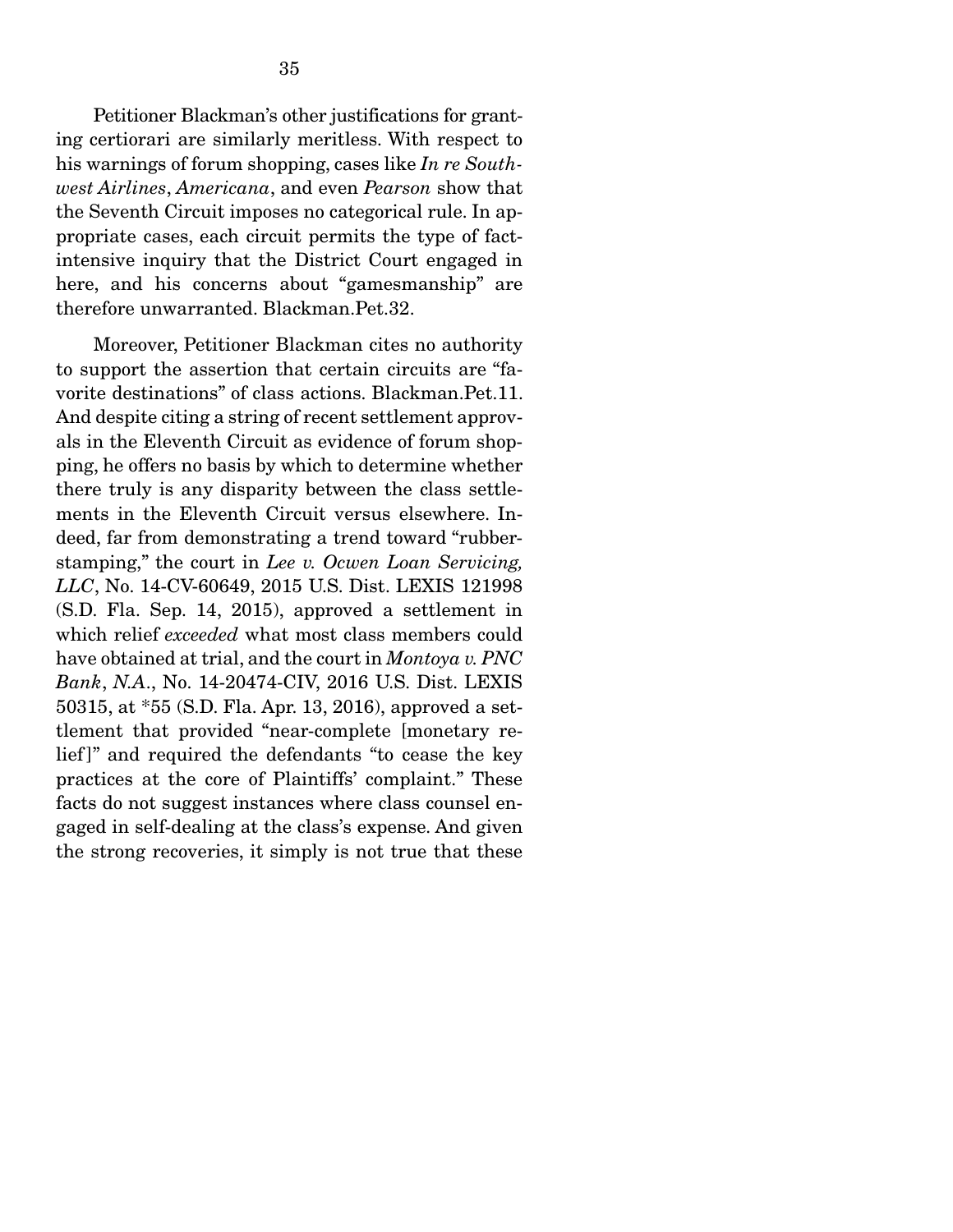Petitioner Blackman's other justifications for granting certiorari are similarly meritless. With respect to his warnings of forum shopping, cases like *In re Southwest Airlines*, *Americana*, and even *Pearson* show that the Seventh Circuit imposes no categorical rule. In appropriate cases, each circuit permits the type of factintensive inquiry that the District Court engaged in here, and his concerns about "gamesmanship" are therefore unwarranted. Blackman.Pet.32.

 Moreover, Petitioner Blackman cites no authority to support the assertion that certain circuits are "favorite destinations" of class actions. Blackman.Pet.11. And despite citing a string of recent settlement approvals in the Eleventh Circuit as evidence of forum shopping, he offers no basis by which to determine whether there truly is any disparity between the class settlements in the Eleventh Circuit versus elsewhere. Indeed, far from demonstrating a trend toward "rubberstamping," the court in *Lee v. Ocwen Loan Servicing, LLC*, No. 14-CV-60649, 2015 U.S. Dist. LEXIS 121998 (S.D. Fla. Sep. 14, 2015), approved a settlement in which relief *exceeded* what most class members could have obtained at trial, and the court in *Montoya v. PNC Bank*, *N.A*., No. 14-20474-CIV, 2016 U.S. Dist. LEXIS 50315, at \*55 (S.D. Fla. Apr. 13, 2016), approved a settlement that provided "near-complete [monetary relief]" and required the defendants "to cease the key practices at the core of Plaintiffs' complaint." These facts do not suggest instances where class counsel engaged in self-dealing at the class's expense. And given the strong recoveries, it simply is not true that these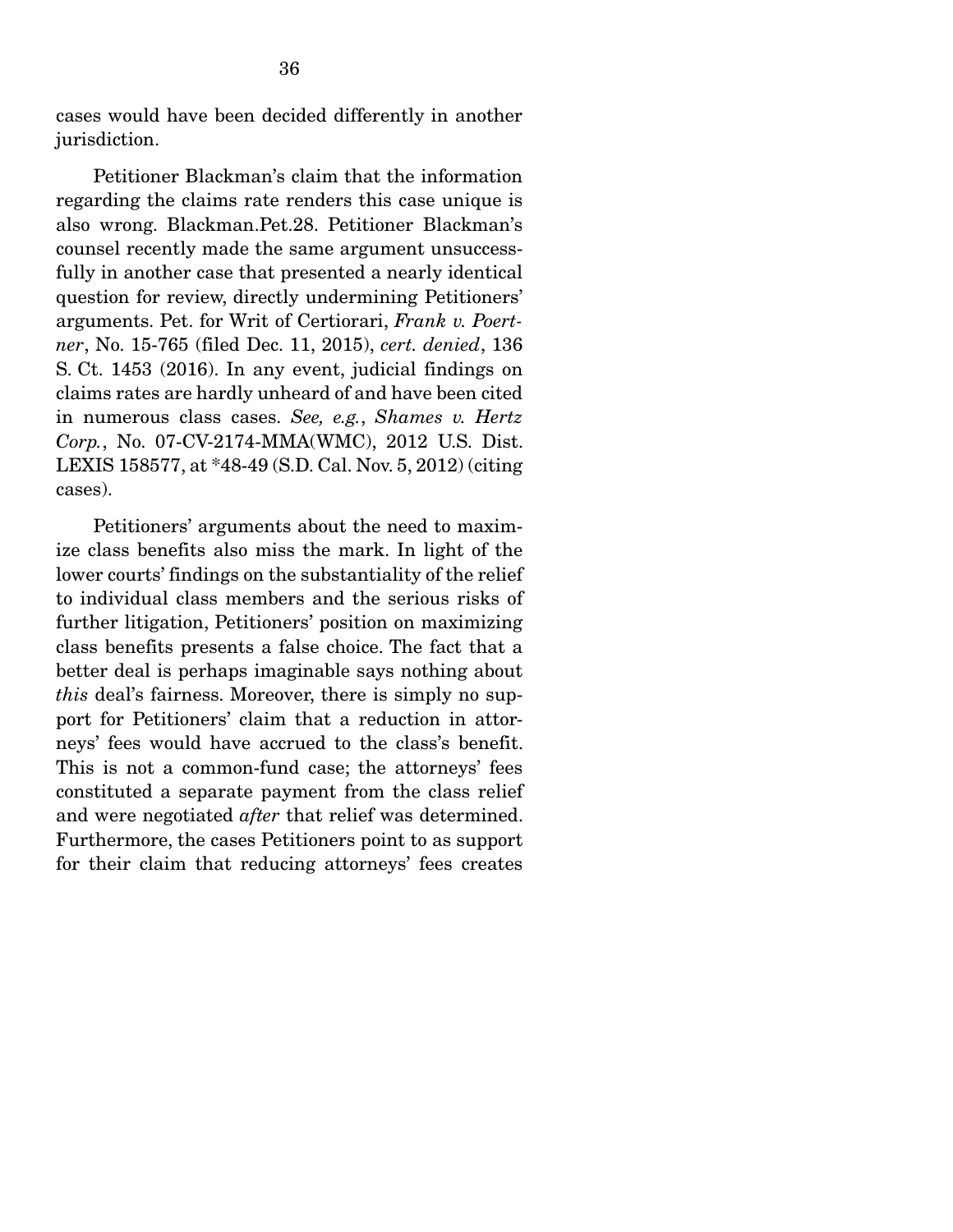cases would have been decided differently in another jurisdiction.

 Petitioner Blackman's claim that the information regarding the claims rate renders this case unique is also wrong. Blackman.Pet.28. Petitioner Blackman's counsel recently made the same argument unsuccessfully in another case that presented a nearly identical question for review, directly undermining Petitioners' arguments. Pet. for Writ of Certiorari, *Frank v. Poertner*, No. 15-765 (filed Dec. 11, 2015), *cert. denied*, 136 S. Ct. 1453 (2016). In any event, judicial findings on claims rates are hardly unheard of and have been cited in numerous class cases. *See, e.g.*, *Shames v. Hertz Corp.*, No. 07-CV-2174-MMA(WMC), 2012 U.S. Dist. LEXIS 158577, at \*48-49 (S.D. Cal. Nov. 5, 2012) (citing cases).

 Petitioners' arguments about the need to maximize class benefits also miss the mark. In light of the lower courts' findings on the substantiality of the relief to individual class members and the serious risks of further litigation, Petitioners' position on maximizing class benefits presents a false choice. The fact that a better deal is perhaps imaginable says nothing about *this* deal's fairness. Moreover, there is simply no support for Petitioners' claim that a reduction in attorneys' fees would have accrued to the class's benefit. This is not a common-fund case; the attorneys' fees constituted a separate payment from the class relief and were negotiated *after* that relief was determined. Furthermore, the cases Petitioners point to as support for their claim that reducing attorneys' fees creates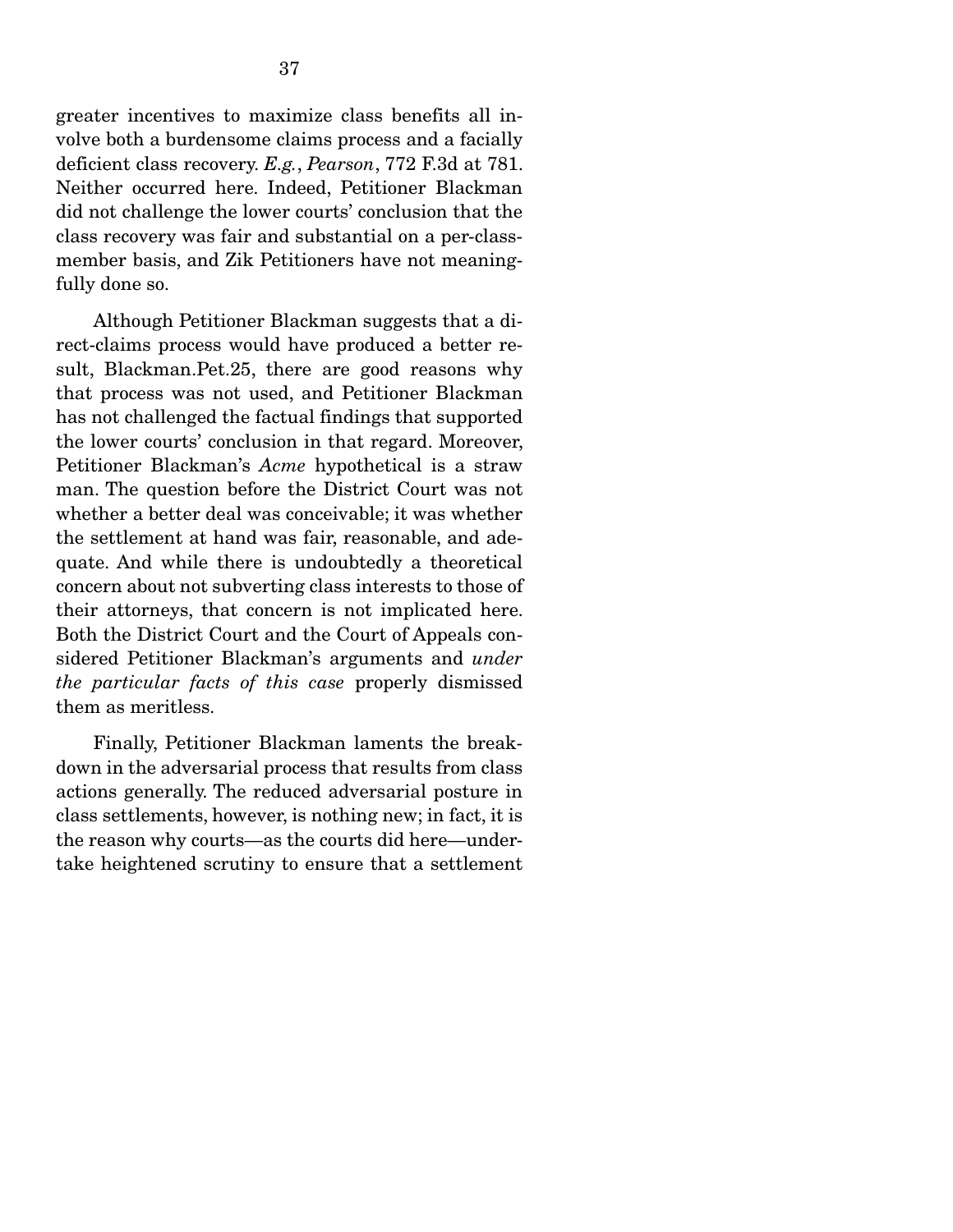greater incentives to maximize class benefits all involve both a burdensome claims process and a facially deficient class recovery. *E.g.*, *Pearson*, 772 F.3d at 781. Neither occurred here. Indeed, Petitioner Blackman did not challenge the lower courts' conclusion that the class recovery was fair and substantial on a per-classmember basis, and Zik Petitioners have not meaningfully done so.

 Although Petitioner Blackman suggests that a direct-claims process would have produced a better result, Blackman.Pet.25, there are good reasons why that process was not used, and Petitioner Blackman has not challenged the factual findings that supported the lower courts' conclusion in that regard. Moreover, Petitioner Blackman's *Acme* hypothetical is a straw man. The question before the District Court was not whether a better deal was conceivable; it was whether the settlement at hand was fair, reasonable, and adequate. And while there is undoubtedly a theoretical concern about not subverting class interests to those of their attorneys, that concern is not implicated here. Both the District Court and the Court of Appeals considered Petitioner Blackman's arguments and *under the particular facts of this case* properly dismissed them as meritless.

 Finally, Petitioner Blackman laments the breakdown in the adversarial process that results from class actions generally. The reduced adversarial posture in class settlements, however, is nothing new; in fact, it is the reason why courts—as the courts did here—undertake heightened scrutiny to ensure that a settlement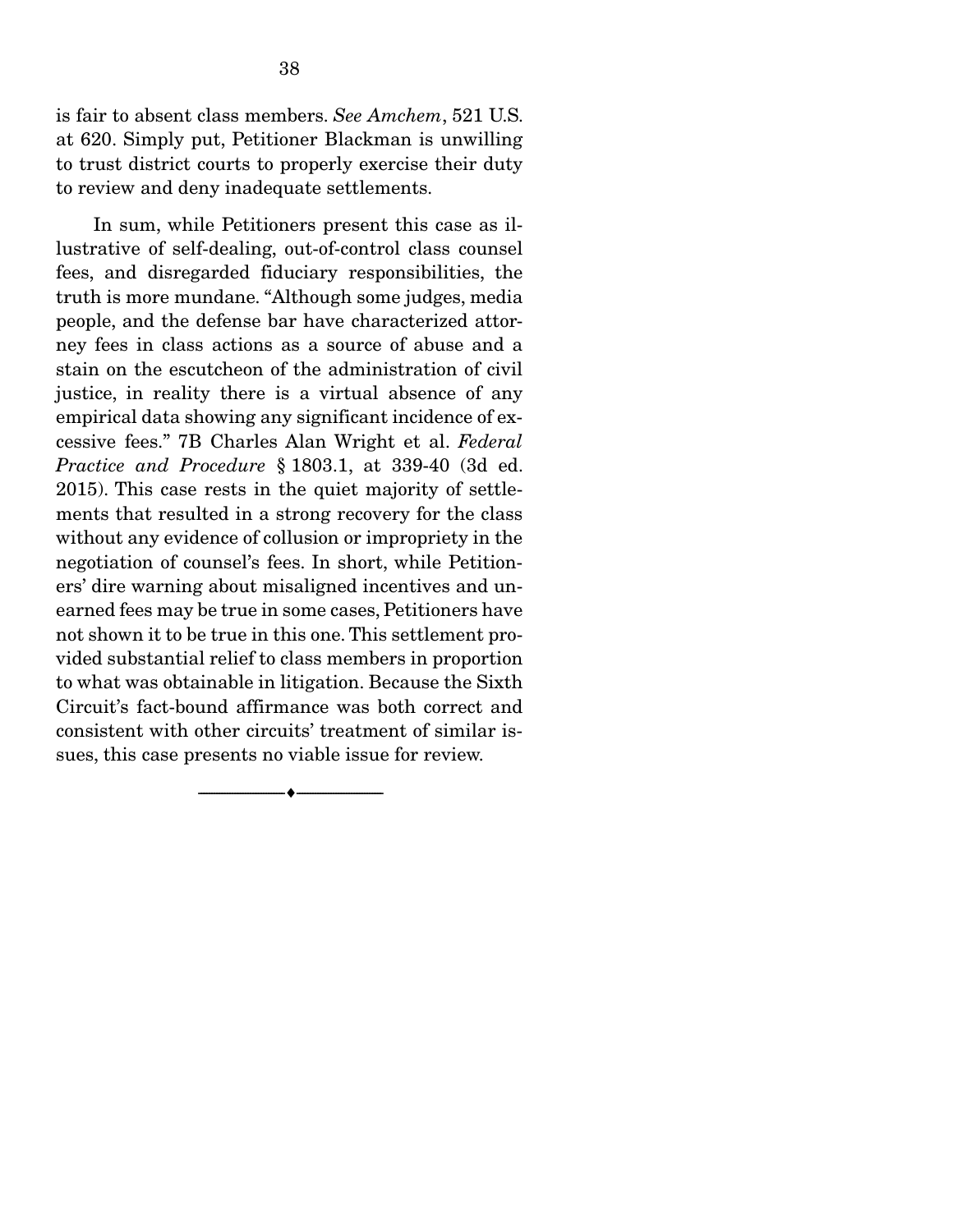is fair to absent class members. *See Amchem*, 521 U.S. at 620. Simply put, Petitioner Blackman is unwilling to trust district courts to properly exercise their duty to review and deny inadequate settlements.

 In sum, while Petitioners present this case as illustrative of self-dealing, out-of-control class counsel fees, and disregarded fiduciary responsibilities, the truth is more mundane. "Although some judges, media people, and the defense bar have characterized attorney fees in class actions as a source of abuse and a stain on the escutcheon of the administration of civil justice, in reality there is a virtual absence of any empirical data showing any significant incidence of excessive fees." 7B Charles Alan Wright et al. *Federal Practice and Procedure* § 1803.1, at 339-40 (3d ed. 2015). This case rests in the quiet majority of settlements that resulted in a strong recovery for the class without any evidence of collusion or impropriety in the negotiation of counsel's fees. In short, while Petitioners' dire warning about misaligned incentives and unearned fees may be true in some cases, Petitioners have not shown it to be true in this one. This settlement provided substantial relief to class members in proportion to what was obtainable in litigation. Because the Sixth Circuit's fact-bound affirmance was both correct and consistent with other circuits' treatment of similar issues, this case presents no viable issue for review.

--------------------------------- ---------------------------------